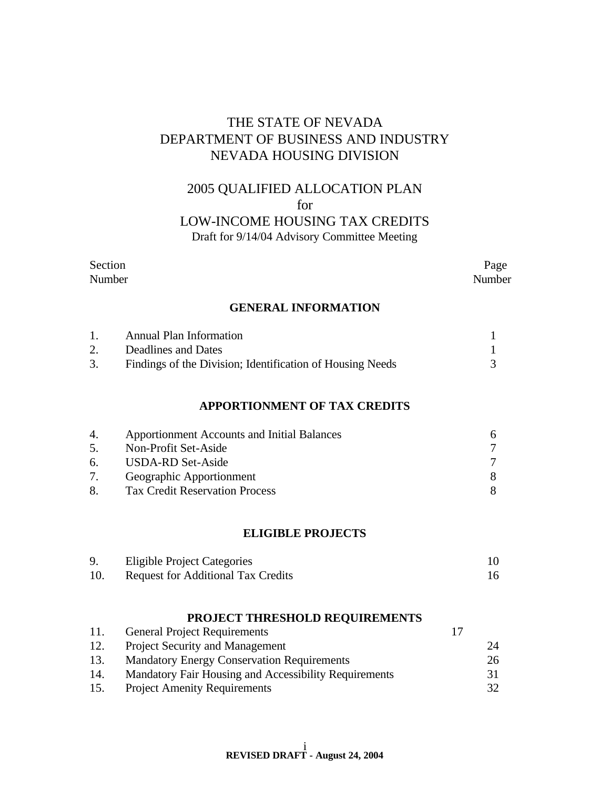## THE STATE OF NEVADA DEPARTMENT OF BUSINESS AND INDUSTRY NEVADA HOUSING DIVISION

## 2005 QUALIFIED ALLOCATION PLAN for LOW-INCOME HOUSING TAX CREDITS Draft for 9/14/04 Advisory Committee Meeting

# Section Page

Number Number

#### **GENERAL INFORMATION**

|    | <b>Annual Plan Information</b>                            |  |
|----|-----------------------------------------------------------|--|
|    | Deadlines and Dates                                       |  |
| 3. | Findings of the Division; Identification of Housing Needs |  |

#### **APPORTIONMENT OF TAX CREDITS**

| 4. | <b>Apportionment Accounts and Initial Balances</b> | 6. |
|----|----------------------------------------------------|----|
| 5. | Non-Profit Set-Aside                               |    |
| 6. | USDA-RD Set-Aside                                  |    |
| 7. | Geographic Apportionment                           | 8. |
| 8. | <b>Tax Credit Reservation Process</b>              |    |

## **ELIGIBLE PROJECTS**

| <b>Eligible Project Categories</b>        |  |
|-------------------------------------------|--|
| <b>Request for Additional Tax Credits</b> |  |

## **PROJECT THRESHOLD REQUIREMENTS**

| 11. | <b>General Project Requirements</b>                   |    |
|-----|-------------------------------------------------------|----|
| 12. | <b>Project Security and Management</b>                | 24 |
| 13. | <b>Mandatory Energy Conservation Requirements</b>     | 26 |
| 14. | Mandatory Fair Housing and Accessibility Requirements | 31 |
| 15. | <b>Project Amenity Requirements</b>                   | 32 |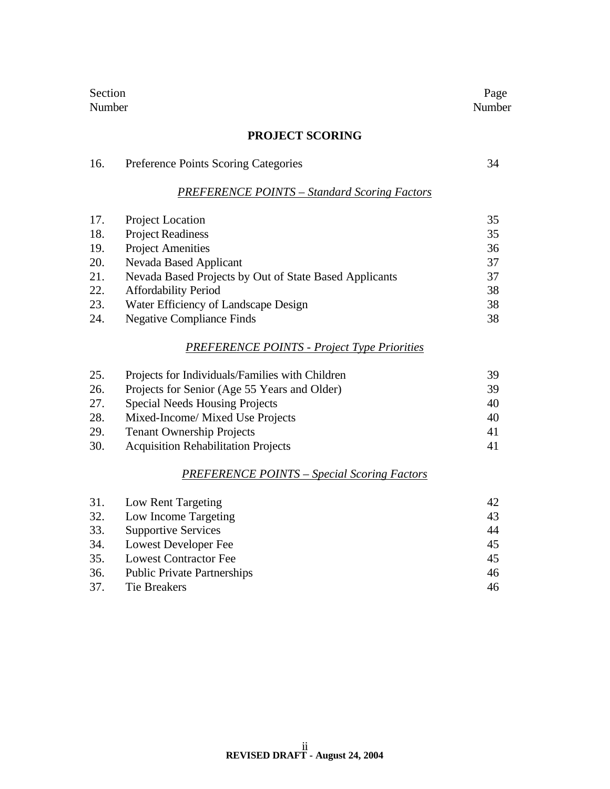|        | Section<br>Number                                      |            |
|--------|--------------------------------------------------------|------------|
|        | <b>PROJECT SCORING</b>                                 |            |
| 16.    | Preference Points Scoring Categories                   | 34         |
|        | <b>PREFERENCE POINTS - Standard Scoring Factors</b>    |            |
| 17.    | Project Location                                       | 35         |
| 18.    | <b>Project Readiness</b>                               | 35         |
| 19.    | <b>Project Amenities</b>                               | 36         |
| 20.    | Nevada Based Applicant                                 | 37         |
| 21.    | Nevada Based Projects by Out of State Based Applicants | 37         |
| 22.    | <b>Affordability Period</b>                            | 38         |
| 23.    | Water Efficiency of Landscape Design                   | 38         |
| 24.    | <b>Negative Compliance Finds</b>                       | 38         |
|        | <b>PREFERENCE POINTS - Project Type Priorities</b>     |            |
| 25.    | Projects for Individuals/Families with Children        | 39         |
| 26.    | Projects for Senior (Age 55 Years and Older)           | 39         |
| $\sim$ | $\mathbf{1}$                                           | $\sqrt{2}$ |

| 27.        | <b>Special Needs Housing Projects</b>      | 40 |
|------------|--------------------------------------------|----|
| 28.        | Mixed-Income/ Mixed Use Projects           | 40 |
| <b>29.</b> | <b>Tenant Ownership Projects</b>           |    |
| 30.        | <b>Acquisition Rehabilitation Projects</b> | 41 |

## *PREFERENCE POINTS – Special Scoring Factors*

| 31. Low Rent Targeting          | 42 |
|---------------------------------|----|
| 32. Low Income Targeting        | 43 |
| 33. Supportive Services         | 44 |
| 34. Lowest Developer Fee        | 45 |
| 35. Lowest Contractor Fee       | 45 |
| 36. Public Private Partnerships | 46 |
| 37. Tie Breakers                | 46 |
|                                 |    |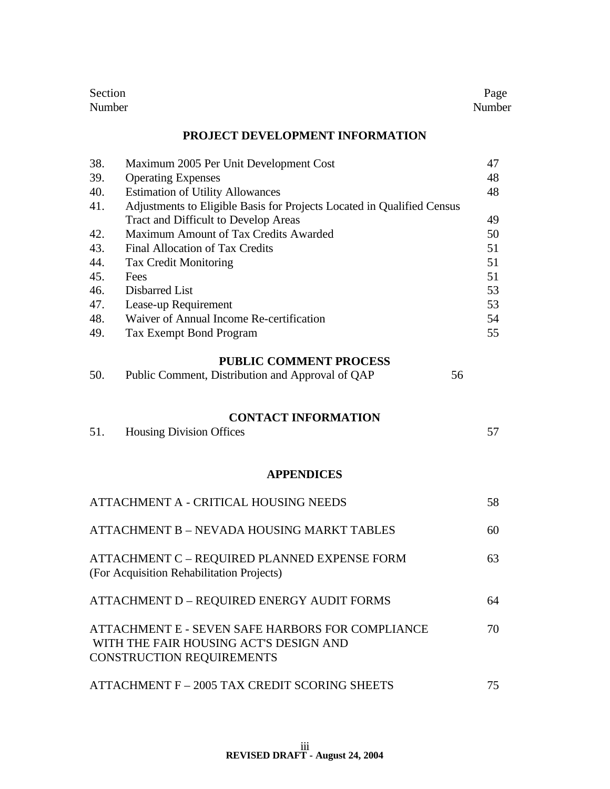| Section | Page   |
|---------|--------|
| Number  | Number |

## **PROJECT DEVELOPMENT INFORMATION**

| 38. | Maximum 2005 Per Unit Development Cost                                 | 47 |
|-----|------------------------------------------------------------------------|----|
| 39. | <b>Operating Expenses</b>                                              | 48 |
| 40. | <b>Estimation of Utility Allowances</b>                                | 48 |
| 41. | Adjustments to Eligible Basis for Projects Located in Qualified Census |    |
|     | <b>Tract and Difficult to Develop Areas</b>                            | 49 |
| 42. | Maximum Amount of Tax Credits Awarded                                  | 50 |
| 43. | Final Allocation of Tax Credits                                        | 51 |
| 44. | <b>Tax Credit Monitoring</b>                                           | 51 |
| 45. | Fees                                                                   | 51 |
| 46. | Disbarred List                                                         | 53 |
| 47. | Lease-up Requirement                                                   | 53 |
| 48. | Waiver of Annual Income Re-certification                               | 54 |
| 49. | Tax Exempt Bond Program                                                | 55 |
|     | <b>PUBLIC COMMENT PROCESS</b>                                          |    |
| 50. | Public Comment, Distribution and Approval of QAP                       | 56 |
|     |                                                                        |    |

## **CONTACT INFORMATION**

| 51. | <b>Housing Division Offices</b> |  |
|-----|---------------------------------|--|
|     |                                 |  |

## **APPENDICES**

| ATTACHMENT A - CRITICAL HOUSING NEEDS                                                                                          | 58 |
|--------------------------------------------------------------------------------------------------------------------------------|----|
| ATTACHMENT B - NEVADA HOUSING MARKT TABLES                                                                                     | 60 |
| ATTACHMENT C - REQUIRED PLANNED EXPENSE FORM<br>(For Acquisition Rehabilitation Projects)                                      | 63 |
| ATTACHMENT D - REQUIRED ENERGY AUDIT FORMS                                                                                     | 64 |
| ATTACHMENT E - SEVEN SAFE HARBORS FOR COMPLIANCE<br>WITH THE FAIR HOUSING ACT'S DESIGN AND<br><b>CONSTRUCTION REQUIREMENTS</b> | 70 |
| ATTACHMENT F - 2005 TAX CREDIT SCORING SHEETS                                                                                  | 75 |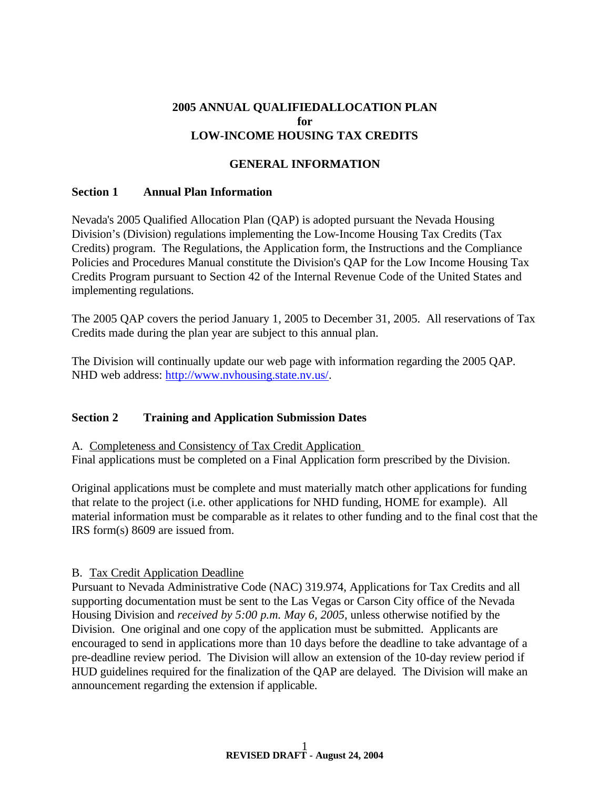## **2005 ANNUAL QUALIFIEDALLOCATION PLAN for LOW-INCOME HOUSING TAX CREDITS**

## **GENERAL INFORMATION**

## **Section 1 Annual Plan Information**

Nevada's 2005 Qualified Allocation Plan (QAP) is adopted pursuant the Nevada Housing Division's (Division) regulations implementing the Low-Income Housing Tax Credits (Tax Credits) program. The Regulations, the Application form, the Instructions and the Compliance Policies and Procedures Manual constitute the Division's QAP for the Low Income Housing Tax Credits Program pursuant to Section 42 of the Internal Revenue Code of the United States and implementing regulations.

The 2005 QAP covers the period January 1, 2005 to December 31, 2005. All reservations of Tax Credits made during the plan year are subject to this annual plan.

The Division will continually update our web page with information regarding the 2005 QAP. NHD web address: http://www.nvhousing.state.nv.us/.

## **Section 2 Training and Application Submission Dates**

A. Completeness and Consistency of Tax Credit Application Final applications must be completed on a Final Application form prescribed by the Division.

Original applications must be complete and must materially match other applications for funding that relate to the project (i.e. other applications for NHD funding, HOME for example). All material information must be comparable as it relates to other funding and to the final cost that the IRS form(s) 8609 are issued from.

#### B. Tax Credit Application Deadline

Pursuant to Nevada Administrative Code (NAC) 319.974, Applications for Tax Credits and all supporting documentation must be sent to the Las Vegas or Carson City office of the Nevada Housing Division and *received by 5:00 p.m. May 6, 2005,* unless otherwise notified by the Division. One original and one copy of the application must be submitted. Applicants are encouraged to send in applications more than 10 days before the deadline to take advantage of a pre-deadline review period. The Division will allow an extension of the 10-day review period if HUD guidelines required for the finalization of the QAP are delayed. The Division will make an announcement regarding the extension if applicable.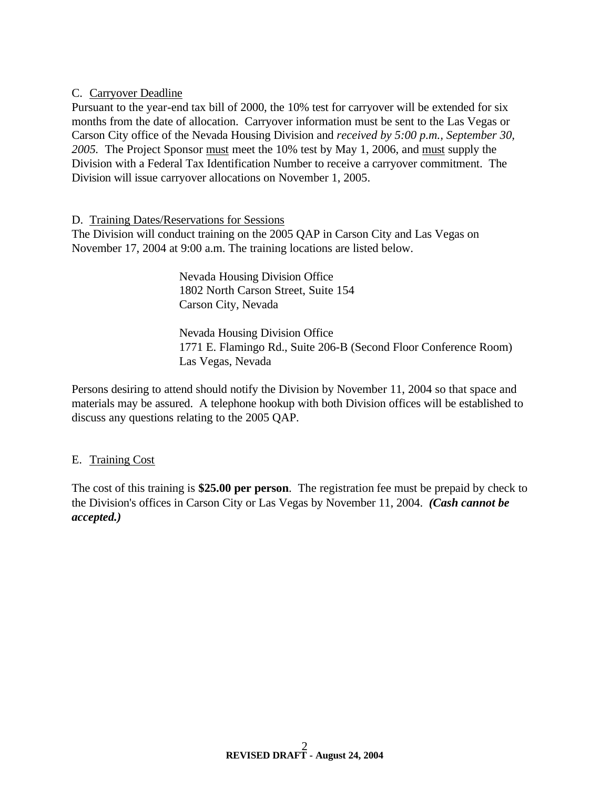## C. Carryover Deadline

Pursuant to the year-end tax bill of 2000, the 10% test for carryover will be extended for six months from the date of allocation. Carryover information must be sent to the Las Vegas or Carson City office of the Nevada Housing Division and *received by 5:00 p.m., September 30, 2005.* The Project Sponsor must meet the 10% test by May 1, 2006, and must supply the Division with a Federal Tax Identification Number to receive a carryover commitment. The Division will issue carryover allocations on November 1, 2005.

## D. Training Dates/Reservations for Sessions

The Division will conduct training on the 2005 QAP in Carson City and Las Vegas on November 17, 2004 at 9:00 a.m. The training locations are listed below.

> Nevada Housing Division Office 1802 North Carson Street, Suite 154 Carson City, Nevada

Nevada Housing Division Office 1771 E. Flamingo Rd., Suite 206-B (Second Floor Conference Room) Las Vegas, Nevada

Persons desiring to attend should notify the Division by November 11, 2004 so that space and materials may be assured. A telephone hookup with both Division offices will be established to discuss any questions relating to the 2005 QAP.

## E. Training Cost

The cost of this training is **\$25.00 per person**. The registration fee must be prepaid by check to the Division's offices in Carson City or Las Vegas by November 11, 2004. *(Cash cannot be accepted.)*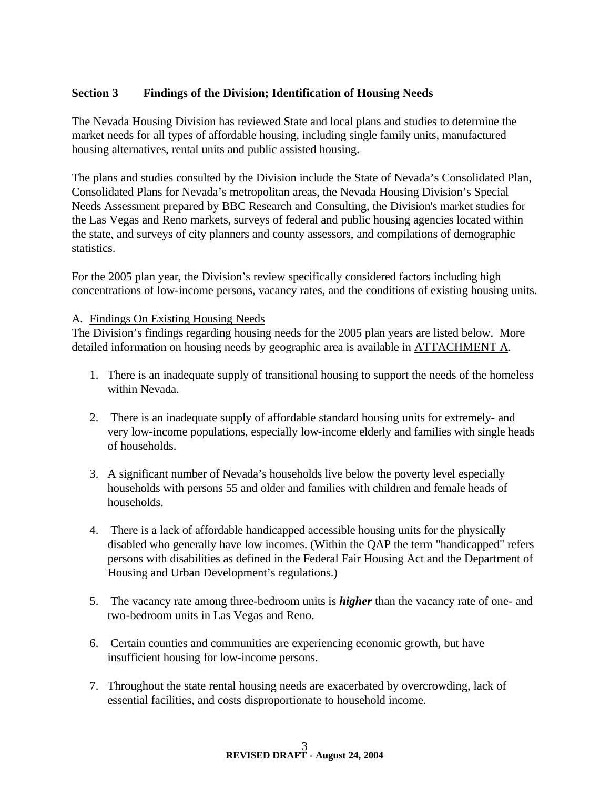## **Section 3 Findings of the Division; Identification of Housing Needs**

The Nevada Housing Division has reviewed State and local plans and studies to determine the market needs for all types of affordable housing, including single family units, manufactured housing alternatives, rental units and public assisted housing.

The plans and studies consulted by the Division include the State of Nevada's Consolidated Plan, Consolidated Plans for Nevada's metropolitan areas, the Nevada Housing Division's Special Needs Assessment prepared by BBC Research and Consulting, the Division's market studies for the Las Vegas and Reno markets, surveys of federal and public housing agencies located within the state, and surveys of city planners and county assessors, and compilations of demographic statistics.

For the 2005 plan year, the Division's review specifically considered factors including high concentrations of low-income persons, vacancy rates, and the conditions of existing housing units.

## A. Findings On Existing Housing Needs

The Division's findings regarding housing needs for the 2005 plan years are listed below. More detailed information on housing needs by geographic area is available in ATTACHMENT A.

- 1. There is an inadequate supply of transitional housing to support the needs of the homeless within Nevada.
- 2. There is an inadequate supply of affordable standard housing units for extremely- and very low-income populations, especially low-income elderly and families with single heads of households.
- 3. A significant number of Nevada's households live below the poverty level especially households with persons 55 and older and families with children and female heads of households.
- 4. There is a lack of affordable handicapped accessible housing units for the physically disabled who generally have low incomes. (Within the QAP the term "handicapped" refers persons with disabilities as defined in the Federal Fair Housing Act and the Department of Housing and Urban Development's regulations.)
- 5. The vacancy rate among three-bedroom units is *higher* than the vacancy rate of one- and two-bedroom units in Las Vegas and Reno.
- 6. Certain counties and communities are experiencing economic growth, but have insufficient housing for low-income persons.
- 7. Throughout the state rental housing needs are exacerbated by overcrowding, lack of essential facilities, and costs disproportionate to household income.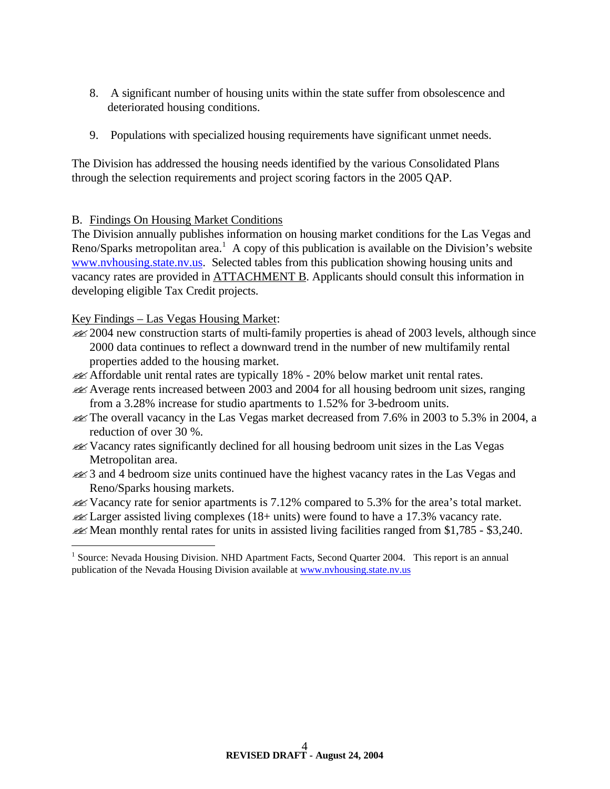- 8. A significant number of housing units within the state suffer from obsolescence and deteriorated housing conditions.
- 9. Populations with specialized housing requirements have significant unmet needs.

The Division has addressed the housing needs identified by the various Consolidated Plans through the selection requirements and project scoring factors in the 2005 QAP.

#### B. Findings On Housing Market Conditions

The Division annually publishes information on housing market conditions for the Las Vegas and Reno/Sparks metropolitan area.<sup>1</sup> A copy of this publication is available on the Division's website www.nvhousing.state.nv.us. Selected tables from this publication showing housing units and vacancy rates are provided in ATTACHMENT B. Applicants should consult this information in developing eligible Tax Credit projects.

## Key Findings – Las Vegas Housing Market:

<u>.</u>

- **2004** new construction starts of multi-family properties is ahead of 2003 levels, although since 2000 data continues to reflect a downward trend in the number of new multifamily rental properties added to the housing market.
- ??Affordable unit rental rates are typically 18% 20% below market unit rental rates.
- ??Average rents increased between 2003 and 2004 for all housing bedroom unit sizes, ranging from a 3.28% increase for studio apartments to 1.52% for 3-bedroom units.
- $\ll$  The overall vacancy in the Las Vegas market decreased from 7.6% in 2003 to 5.3% in 2004, a reduction of over 30 %.
- ??Vacancy rates significantly declined for all housing bedroom unit sizes in the Las Vegas Metropolitan area.
- $\lll$  3 and 4 bedroom size units continued have the highest vacancy rates in the Las Vegas and Reno/Sparks housing markets.

 $\lll$  Vacancy rate for senior apartments is 7.12% compared to 5.3% for the area's total market.

 $\ll$  Larger assisted living complexes (18+ units) were found to have a 17.3% vacancy rate.

 $\approx$  Mean monthly rental rates for units in assisted living facilities ranged from \$1,785 - \$3,240.

<sup>&</sup>lt;sup>1</sup> Source: Nevada Housing Division. NHD Apartment Facts, Second Quarter 2004. This report is an annual publication of the Nevada Housing Division available at www.nvhousing.state.nv.us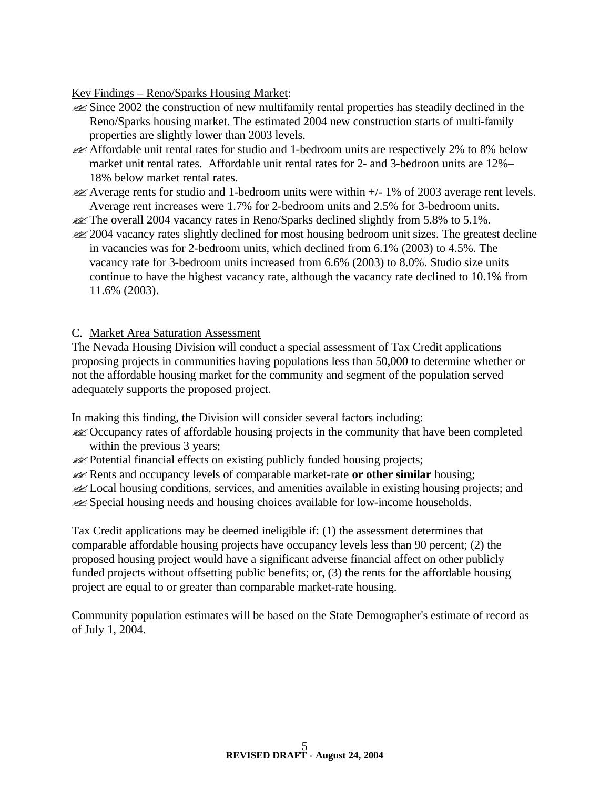Key Findings – Reno/Sparks Housing Market:

- **EXACCES** Since 2002 the construction of new multifamily rental properties has steadily declined in the Reno/Sparks housing market. The estimated 2004 new construction starts of multi-family properties are slightly lower than 2003 levels.
- $\ll$  Affordable unit rental rates for studio and 1-bedroom units are respectively 2% to 8% below market unit rental rates. Affordable unit rental rates for 2- and 3-bedroon units are 12%– 18% below market rental rates.
- $\ll$  Average rents for studio and 1-bedroom units were within  $+/-1\%$  of 2003 average rent levels. Average rent increases were 1.7% for 2-bedroom units and 2.5% for 3-bedroom units.
- $\ll$  The overall 2004 vacancy rates in Reno/Sparks declined slightly from 5.8% to 5.1%.
- **EX** 2004 vacancy rates slightly declined for most housing bedroom unit sizes. The greatest decline in vacancies was for 2-bedroom units, which declined from 6.1% (2003) to 4.5%. The vacancy rate for 3-bedroom units increased from 6.6% (2003) to 8.0%. Studio size units continue to have the highest vacancy rate, although the vacancy rate declined to 10.1% from 11.6% (2003).

## C. Market Area Saturation Assessment

The Nevada Housing Division will conduct a special assessment of Tax Credit applications proposing projects in communities having populations less than 50,000 to determine whether or not the affordable housing market for the community and segment of the population served adequately supports the proposed project.

In making this finding, the Division will consider several factors including:

- ??Occupancy rates of affordable housing projects in the community that have been completed within the previous 3 years;
- ??Potential financial effects on existing publicly funded housing projects;
- ??Rents and occupancy levels of comparable market-rate **or other similar** housing;
- **EX** Local housing conditions, services, and amenities available in existing housing projects; and **Example 3** Special housing needs and housing choices available for low-income households.

Tax Credit applications may be deemed ineligible if: (1) the assessment determines that comparable affordable housing projects have occupancy levels less than 90 percent; (2) the proposed housing project would have a significant adverse financial affect on other publicly funded projects without offsetting public benefits; or, (3) the rents for the affordable housing project are equal to or greater than comparable market-rate housing.

Community population estimates will be based on the State Demographer's estimate of record as of July 1, 2004.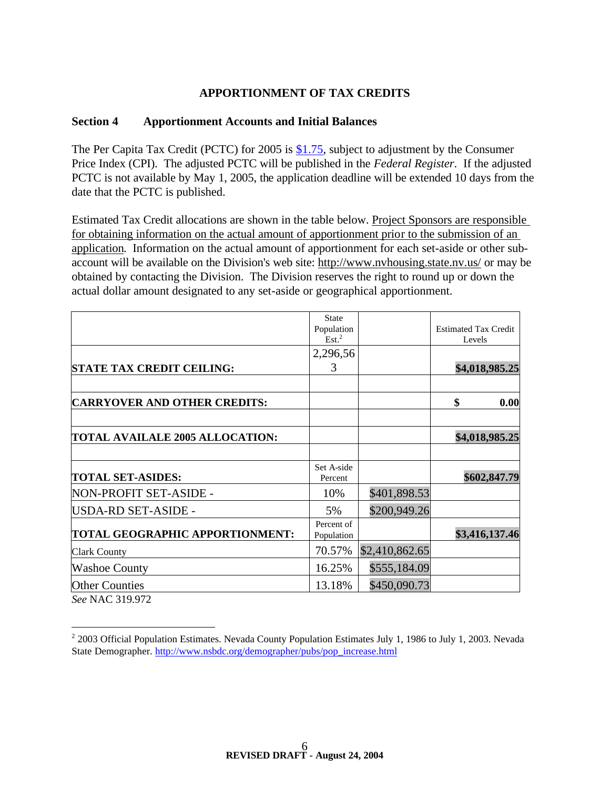## **APPORTIONMENT OF TAX CREDITS**

## **Section 4 Apportionment Accounts and Initial Balances**

The Per Capita Tax Credit (PCTC) for 2005 is \$1.75, subject to adjustment by the Consumer Price Index (CPI). The adjusted PCTC will be published in the *Federal Register*. If the adjusted PCTC is not available by May 1, 2005, the application deadline will be extended 10 days from the date that the PCTC is published.

Estimated Tax Credit allocations are shown in the table below. Project Sponsors are responsible for obtaining information on the actual amount of apportionment prior to the submission of an application. Information on the actual amount of apportionment for each set-aside or other subaccount will be available on the Division's web site: http://www.nvhousing.state.nv.us/ or may be obtained by contacting the Division. The Division reserves the right to round up or down the actual dollar amount designated to any set-aside or geographical apportionment.

|                                                                                                                   | <b>State</b><br>Population<br>$\text{Est.}^2$ |                | <b>Estimated Tax Credit</b><br>Levels |
|-------------------------------------------------------------------------------------------------------------------|-----------------------------------------------|----------------|---------------------------------------|
|                                                                                                                   | 2,296,56                                      |                |                                       |
| <b>STATE TAX CREDIT CEILING:</b>                                                                                  | 3                                             |                | \$4,018,985.25                        |
| <b>CARRYOVER AND OTHER CREDITS:</b>                                                                               |                                               |                | \$<br>0.00                            |
| <b>TOTAL AVAILALE 2005 ALLOCATION:</b>                                                                            |                                               |                | \$4,018,985.25                        |
| <b>TOTAL SET-ASIDES:</b>                                                                                          | Set A-side<br>Percent                         |                | \$602,847.79                          |
| NON-PROFIT SET-ASIDE -                                                                                            | 10%                                           | \$401,898.53   |                                       |
| USDA-RD SET-ASIDE -                                                                                               | 5%                                            | \$200,949.26   |                                       |
| TOTAL GEOGRAPHIC APPORTIONMENT:                                                                                   | Percent of<br>Population                      |                | \$3,416,137.46                        |
| <b>Clark County</b>                                                                                               | 70.57%                                        | \$2,410,862.65 |                                       |
| <b>Washoe County</b>                                                                                              | 16.25%                                        | \$555,184.09   |                                       |
| <b>Other Counties</b><br>$\sim$<br>$\overline{111}$ $\overline{0}$ $\overline{010}$ $\overline{0}$ $\overline{0}$ | 13.18%                                        | \$450,090.73   |                                       |

*See* NAC 319.972

 $\overline{a}$ 

 $2$  2003 Official Population Estimates. Nevada County Population Estimates July 1, 1986 to July 1, 2003. Nevada State Demographer. http://www.nsbdc.org/demographer/pubs/pop\_increase.html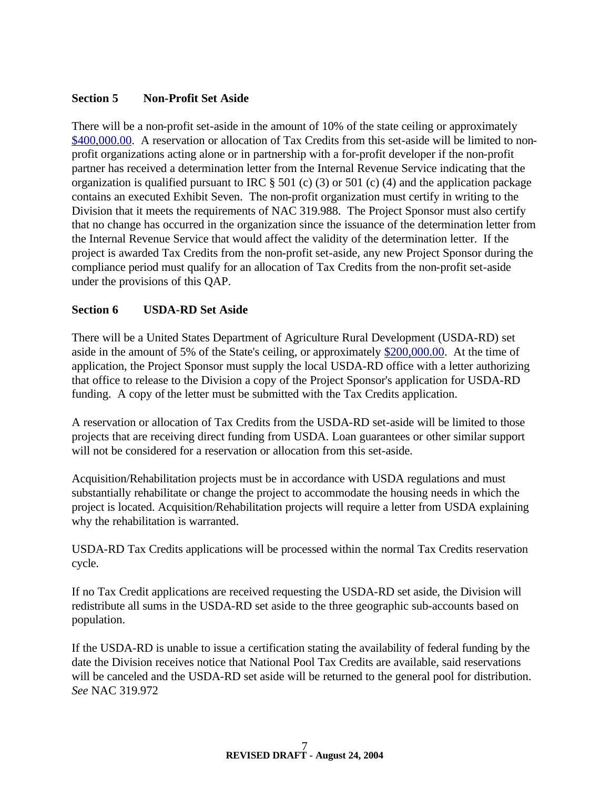## **Section 5 Non-Profit Set Aside**

There will be a non-profit set-aside in the amount of 10% of the state ceiling or approximately \$400,000.00. A reservation or allocation of Tax Credits from this set-aside will be limited to nonprofit organizations acting alone or in partnership with a for-profit developer if the non-profit partner has received a determination letter from the Internal Revenue Service indicating that the organization is qualified pursuant to IRC  $\S$  501 (c) (3) or 501 (c) (4) and the application package contains an executed Exhibit Seven. The non-profit organization must certify in writing to the Division that it meets the requirements of NAC 319.988. The Project Sponsor must also certify that no change has occurred in the organization since the issuance of the determination letter from the Internal Revenue Service that would affect the validity of the determination letter. If the project is awarded Tax Credits from the non-profit set-aside, any new Project Sponsor during the compliance period must qualify for an allocation of Tax Credits from the non-profit set-aside under the provisions of this QAP.

## **Section 6 USDA-RD Set Aside**

There will be a United States Department of Agriculture Rural Development (USDA-RD) set aside in the amount of 5% of the State's ceiling, or approximately \$200,000.00. At the time of application, the Project Sponsor must supply the local USDA-RD office with a letter authorizing that office to release to the Division a copy of the Project Sponsor's application for USDA-RD funding. A copy of the letter must be submitted with the Tax Credits application.

A reservation or allocation of Tax Credits from the USDA-RD set-aside will be limited to those projects that are receiving direct funding from USDA. Loan guarantees or other similar support will not be considered for a reservation or allocation from this set-aside.

Acquisition/Rehabilitation projects must be in accordance with USDA regulations and must substantially rehabilitate or change the project to accommodate the housing needs in which the project is located. Acquisition/Rehabilitation projects will require a letter from USDA explaining why the rehabilitation is warranted.

USDA-RD Tax Credits applications will be processed within the normal Tax Credits reservation cycle.

If no Tax Credit applications are received requesting the USDA-RD set aside, the Division will redistribute all sums in the USDA-RD set aside to the three geographic sub-accounts based on population.

If the USDA-RD is unable to issue a certification stating the availability of federal funding by the date the Division receives notice that National Pool Tax Credits are available, said reservations will be canceled and the USDA-RD set aside will be returned to the general pool for distribution. *See* NAC 319.972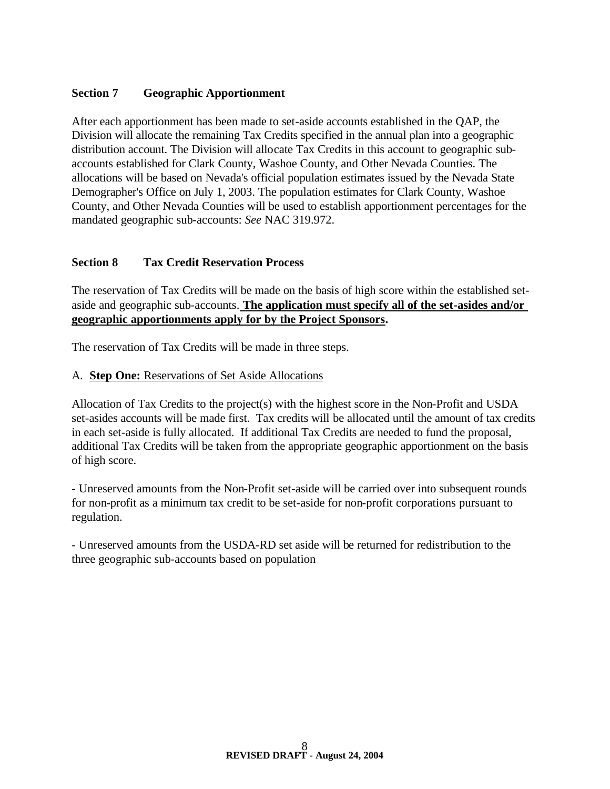## **Section 7 Geographic Apportionment**

After each apportionment has been made to set-aside accounts established in the QAP, the Division will allocate the remaining Tax Credits specified in the annual plan into a geographic distribution account. The Division will allocate Tax Credits in this account to geographic subaccounts established for Clark County, Washoe County, and Other Nevada Counties. The allocations will be based on Nevada's official population estimates issued by the Nevada State Demographer's Office on July 1, 2003. The population estimates for Clark County, Washoe County, and Other Nevada Counties will be used to establish apportionment percentages for the mandated geographic sub-accounts: *See* NAC 319.972.

## **Section 8 Tax Credit Reservation Process**

The reservation of Tax Credits will be made on the basis of high score within the established setaside and geographic sub-accounts. **The application must specify all of the set-asides and/or geographic apportionments apply for by the Project Sponsors.**

The reservation of Tax Credits will be made in three steps.

## A. **Step One:** Reservations of Set Aside Allocations

Allocation of Tax Credits to the project(s) with the highest score in the Non-Profit and USDA set-asides accounts will be made first. Tax credits will be allocated until the amount of tax credits in each set-aside is fully allocated. If additional Tax Credits are needed to fund the proposal, additional Tax Credits will be taken from the appropriate geographic apportionment on the basis of high score.

- Unreserved amounts from the Non-Profit set-aside will be carried over into subsequent rounds for non-profit as a minimum tax credit to be set-aside for non-profit corporations pursuant to regulation.

- Unreserved amounts from the USDA-RD set aside will be returned for redistribution to the three geographic sub-accounts based on population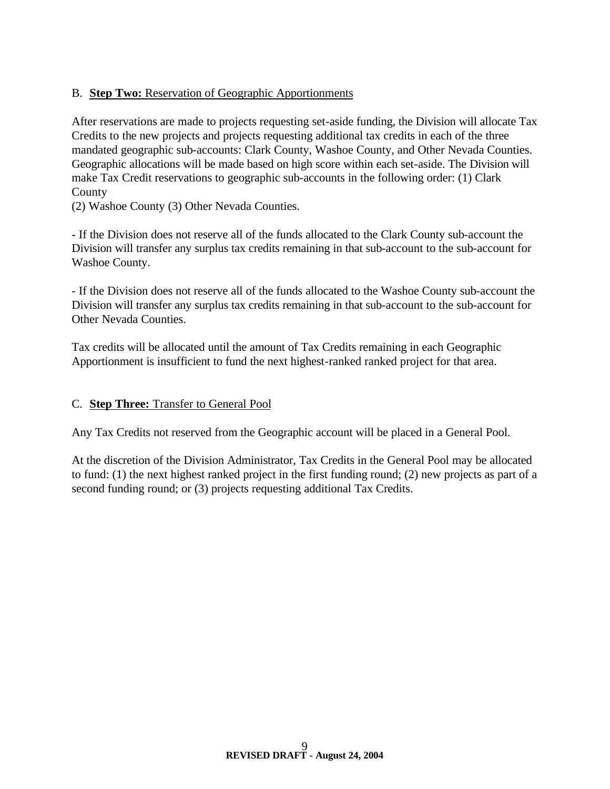## B. **Step Two:** Reservation of Geographic Apportionments

After reservations are made to projects requesting set-aside funding, the Division will allocate Tax Credits to the new projects and projects requesting additional tax credits in each of the three mandated geographic sub-accounts: Clark County, Washoe County, and Other Nevada Counties. Geographic allocations will be made based on high score within each set-aside. The Division will make Tax Credit reservations to geographic sub-accounts in the following order: (1) Clark County

(2) Washoe County (3) Other Nevada Counties.

- If the Division does not reserve all of the funds allocated to the Clark County sub-account the Division will transfer any surplus tax credits remaining in that sub-account to the sub-account for Washoe County.

- If the Division does not reserve all of the funds allocated to the Washoe County sub-account the Division will transfer any surplus tax credits remaining in that sub-account to the sub-account for Other Nevada Counties.

Tax credits will be allocated until the amount of Tax Credits remaining in each Geographic Apportionment is insufficient to fund the next highest-ranked ranked project for that area.

## C. **Step Three:** Transfer to General Pool

Any Tax Credits not reserved from the Geographic account will be placed in a General Pool.

At the discretion of the Division Administrator, Tax Credits in the General Pool may be allocated to fund: (1) the next highest ranked project in the first funding round; (2) new projects as part of a second funding round; or (3) projects requesting additional Tax Credits.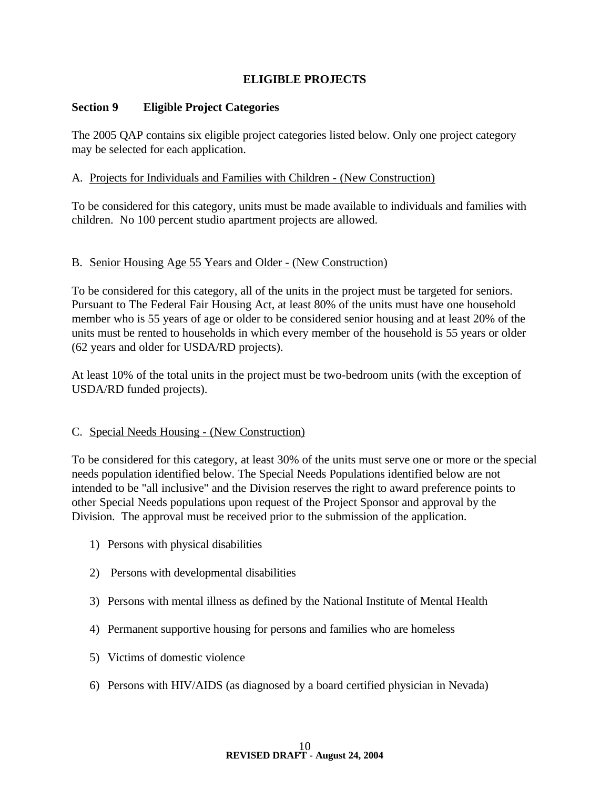## **ELIGIBLE PROJECTS**

## **Section 9 Eligible Project Categories**

The 2005 QAP contains six eligible project categories listed below. Only one project category may be selected for each application.

## A. Projects for Individuals and Families with Children - (New Construction)

To be considered for this category, units must be made available to individuals and families with children. No 100 percent studio apartment projects are allowed.

## B. Senior Housing Age 55 Years and Older - (New Construction)

To be considered for this category, all of the units in the project must be targeted for seniors. Pursuant to The Federal Fair Housing Act, at least 80% of the units must have one household member who is 55 years of age or older to be considered senior housing and at least 20% of the units must be rented to households in which every member of the household is 55 years or older (62 years and older for USDA/RD projects).

At least 10% of the total units in the project must be two-bedroom units (with the exception of USDA/RD funded projects).

#### C. Special Needs Housing - (New Construction)

To be considered for this category, at least 30% of the units must serve one or more or the special needs population identified below. The Special Needs Populations identified below are not intended to be "all inclusive" and the Division reserves the right to award preference points to other Special Needs populations upon request of the Project Sponsor and approval by the Division. The approval must be received prior to the submission of the application.

- 1) Persons with physical disabilities
- 2) Persons with developmental disabilities
- 3) Persons with mental illness as defined by the National Institute of Mental Health
- 4) Permanent supportive housing for persons and families who are homeless
- 5) Victims of domestic violence
- 6) Persons with HIV/AIDS (as diagnosed by a board certified physician in Nevada)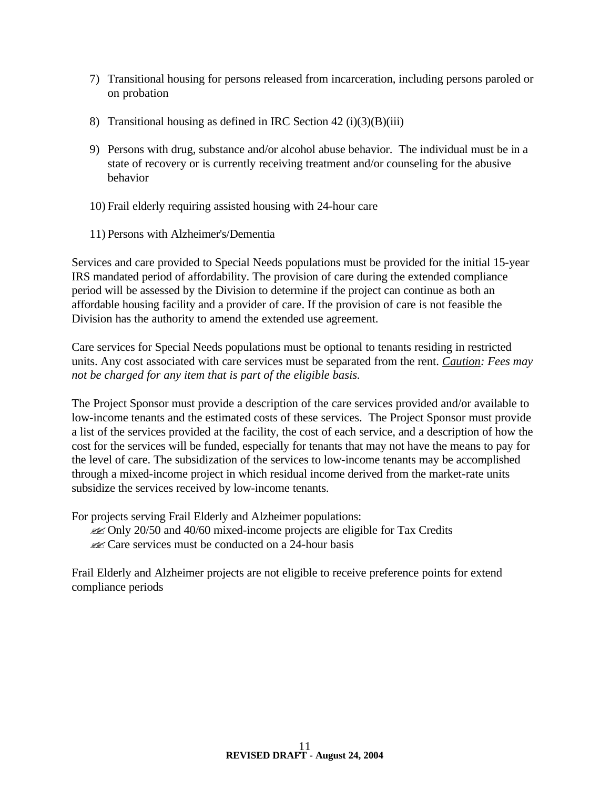- 7) Transitional housing for persons released from incarceration, including persons paroled or on probation
- 8) Transitional housing as defined in IRC Section  $42 \text{ (i)}(3)(B)\text{ (iii)}$
- 9) Persons with drug, substance and/or alcohol abuse behavior. The individual must be in a state of recovery or is currently receiving treatment and/or counseling for the abusive behavior
- 10) Frail elderly requiring assisted housing with 24-hour care
- 11) Persons with Alzheimer's/Dementia

Services and care provided to Special Needs populations must be provided for the initial 15-year IRS mandated period of affordability. The provision of care during the extended compliance period will be assessed by the Division to determine if the project can continue as both an affordable housing facility and a provider of care. If the provision of care is not feasible the Division has the authority to amend the extended use agreement.

Care services for Special Needs populations must be optional to tenants residing in restricted units. Any cost associated with care services must be separated from the rent. *Caution: Fees may not be charged for any item that is part of the eligible basis.* 

The Project Sponsor must provide a description of the care services provided and/or available to low-income tenants and the estimated costs of these services. The Project Sponsor must provide a list of the services provided at the facility, the cost of each service, and a description of how the cost for the services will be funded, especially for tenants that may not have the means to pay for the level of care. The subsidization of the services to low-income tenants may be accomplished through a mixed-income project in which residual income derived from the market-rate units subsidize the services received by low-income tenants.

For projects serving Frail Elderly and Alzheimer populations:

**EX** Only 20/50 and 40/60 mixed-income projects are eligible for Tax Credits  $\mathscr{A}$  Care services must be conducted on a 24-hour basis

Frail Elderly and Alzheimer projects are not eligible to receive preference points for extend compliance periods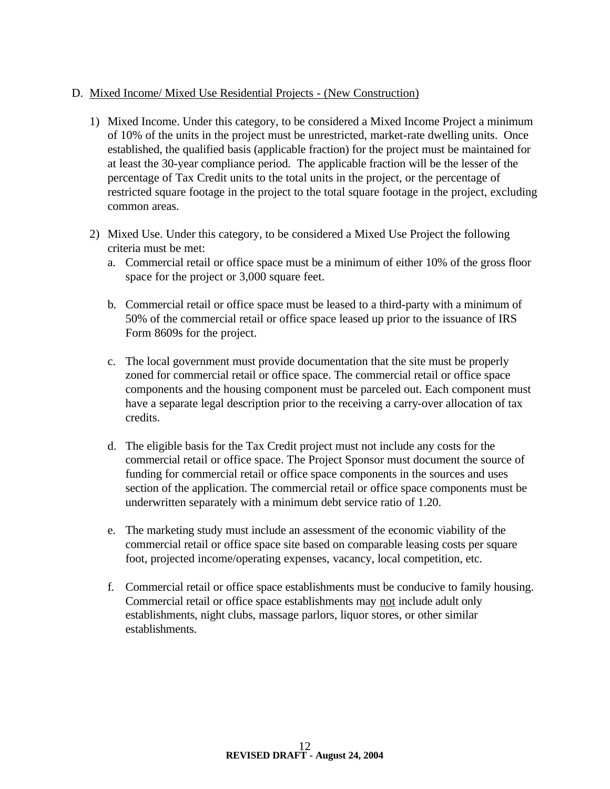## D. Mixed Income/ Mixed Use Residential Projects - (New Construction)

- 1) Mixed Income. Under this category, to be considered a Mixed Income Project a minimum of 10% of the units in the project must be unrestricted, market-rate dwelling units. Once established, the qualified basis (applicable fraction) for the project must be maintained for at least the 30-year compliance period. The applicable fraction will be the lesser of the percentage of Tax Credit units to the total units in the project, or the percentage of restricted square footage in the project to the total square footage in the project, excluding common areas.
- 2) Mixed Use. Under this category, to be considered a Mixed Use Project the following criteria must be met:
	- a. Commercial retail or office space must be a minimum of either 10% of the gross floor space for the project or 3,000 square feet.
	- b. Commercial retail or office space must be leased to a third-party with a minimum of 50% of the commercial retail or office space leased up prior to the issuance of IRS Form 8609s for the project.
	- c. The local government must provide documentation that the site must be properly zoned for commercial retail or office space. The commercial retail or office space components and the housing component must be parceled out. Each component must have a separate legal description prior to the receiving a carry-over allocation of tax credits.
	- d. The eligible basis for the Tax Credit project must not include any costs for the commercial retail or office space. The Project Sponsor must document the source of funding for commercial retail or office space components in the sources and uses section of the application. The commercial retail or office space components must be underwritten separately with a minimum debt service ratio of 1.20.
	- e. The marketing study must include an assessment of the economic viability of the commercial retail or office space site based on comparable leasing costs per square foot, projected income/operating expenses, vacancy, local competition, etc.
	- f. Commercial retail or office space establishments must be conducive to family housing. Commercial retail or office space establishments may not include adult only establishments, night clubs, massage parlors, liquor stores, or other similar establishments.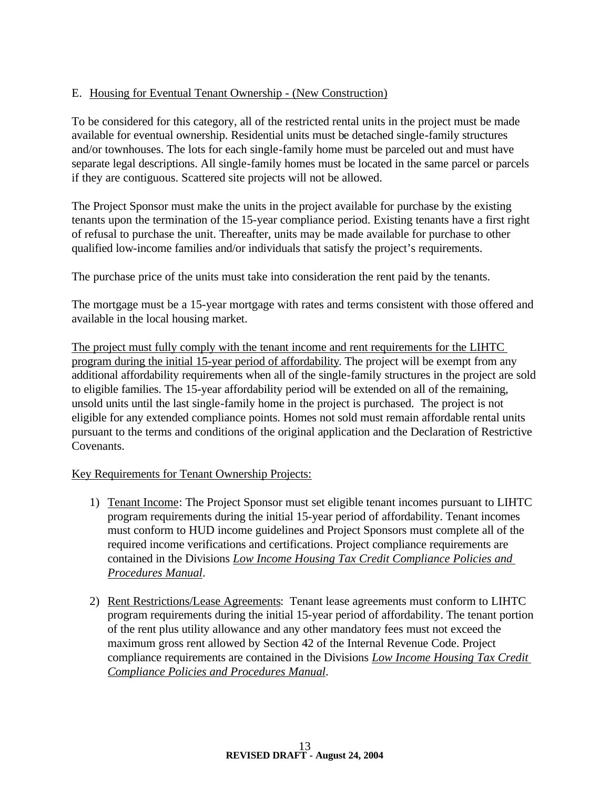## E. Housing for Eventual Tenant Ownership - (New Construction)

To be considered for this category, all of the restricted rental units in the project must be made available for eventual ownership. Residential units must be detached single-family structures and/or townhouses. The lots for each single-family home must be parceled out and must have separate legal descriptions. All single-family homes must be located in the same parcel or parcels if they are contiguous. Scattered site projects will not be allowed.

The Project Sponsor must make the units in the project available for purchase by the existing tenants upon the termination of the 15-year compliance period. Existing tenants have a first right of refusal to purchase the unit. Thereafter, units may be made available for purchase to other qualified low-income families and/or individuals that satisfy the project's requirements.

The purchase price of the units must take into consideration the rent paid by the tenants.

The mortgage must be a 15-year mortgage with rates and terms consistent with those offered and available in the local housing market.

The project must fully comply with the tenant income and rent requirements for the LIHTC program during the initial 15-year period of affordability. The project will be exempt from any additional affordability requirements when all of the single-family structures in the project are sold to eligible families. The 15-year affordability period will be extended on all of the remaining, unsold units until the last single-family home in the project is purchased. The project is not eligible for any extended compliance points. Homes not sold must remain affordable rental units pursuant to the terms and conditions of the original application and the Declaration of Restrictive Covenants.

## Key Requirements for Tenant Ownership Projects:

- 1) Tenant Income: The Project Sponsor must set eligible tenant incomes pursuant to LIHTC program requirements during the initial 15-year period of affordability. Tenant incomes must conform to HUD income guidelines and Project Sponsors must complete all of the required income verifications and certifications. Project compliance requirements are contained in the Divisions *Low Income Housing Tax Credit Compliance Policies and Procedures Manual*.
- 2) Rent Restrictions/Lease Agreements: Tenant lease agreements must conform to LIHTC program requirements during the initial 15-year period of affordability. The tenant portion of the rent plus utility allowance and any other mandatory fees must not exceed the maximum gross rent allowed by Section 42 of the Internal Revenue Code. Project compliance requirements are contained in the Divisions *Low Income Housing Tax Credit Compliance Policies and Procedures Manual*.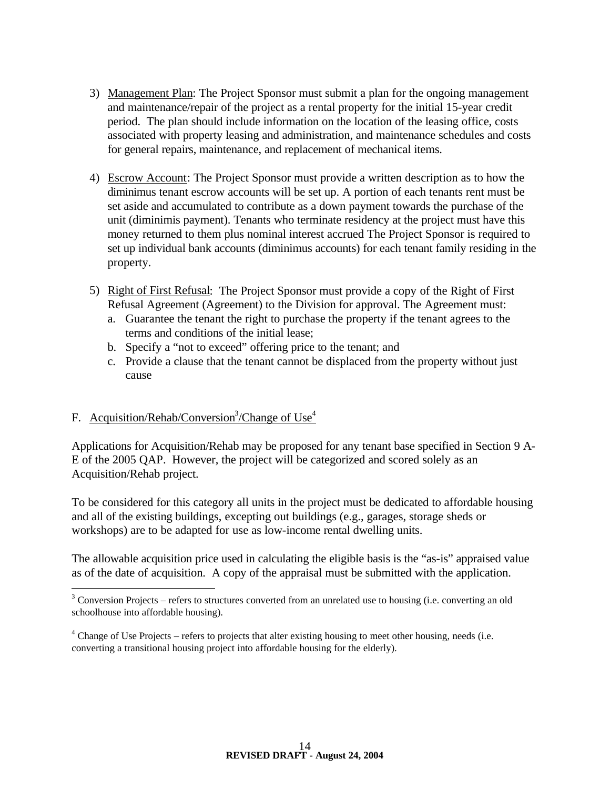- 3) Management Plan: The Project Sponsor must submit a plan for the ongoing management and maintenance/repair of the project as a rental property for the initial 15-year credit period. The plan should include information on the location of the leasing office, costs associated with property leasing and administration, and maintenance schedules and costs for general repairs, maintenance, and replacement of mechanical items.
- 4) Escrow Account: The Project Sponsor must provide a written description as to how the diminimus tenant escrow accounts will be set up. A portion of each tenants rent must be set aside and accumulated to contribute as a down payment towards the purchase of the unit (diminimis payment). Tenants who terminate residency at the project must have this money returned to them plus nominal interest accrued The Project Sponsor is required to set up individual bank accounts (diminimus accounts) for each tenant family residing in the property.
- 5) Right of First Refusal: The Project Sponsor must provide a copy of the Right of First Refusal Agreement (Agreement) to the Division for approval. The Agreement must:
	- a. Guarantee the tenant the right to purchase the property if the tenant agrees to the terms and conditions of the initial lease;
	- b. Specify a "not to exceed" offering price to the tenant; and
	- c. Provide a clause that the tenant cannot be displaced from the property without just cause

## F. Acquisition/Rehab/Conversion<sup>3</sup>/Change of Use<sup>4</sup>

 $\overline{a}$ 

Applications for Acquisition/Rehab may be proposed for any tenant base specified in Section 9 A-E of the 2005 QAP. However, the project will be categorized and scored solely as an Acquisition/Rehab project.

To be considered for this category all units in the project must be dedicated to affordable housing and all of the existing buildings, excepting out buildings (e.g., garages, storage sheds or workshops) are to be adapted for use as low-income rental dwelling units.

The allowable acquisition price used in calculating the eligible basis is the "as-is" appraised value as of the date of acquisition. A copy of the appraisal must be submitted with the application.

 $3$  Conversion Projects – refers to structures converted from an unrelated use to housing (i.e. converting an old schoolhouse into affordable housing).

<sup>&</sup>lt;sup>4</sup> Change of Use Projects – refers to projects that alter existing housing to meet other housing, needs (i.e. converting a transitional housing project into affordable housing for the elderly).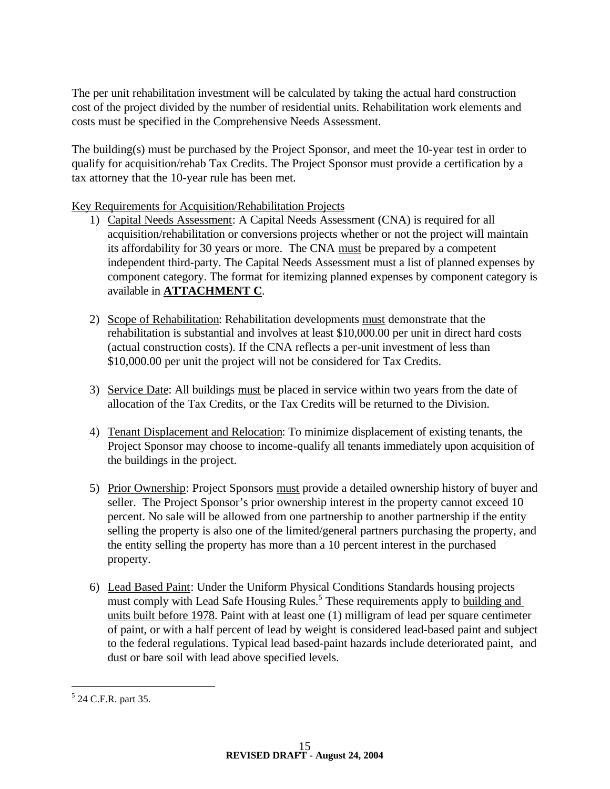The per unit rehabilitation investment will be calculated by taking the actual hard construction cost of the project divided by the number of residential units. Rehabilitation work elements and costs must be specified in the Comprehensive Needs Assessment.

The building(s) must be purchased by the Project Sponsor, and meet the 10-year test in order to qualify for acquisition/rehab Tax Credits. The Project Sponsor must provide a certification by a tax attorney that the 10-year rule has been met.

Key Requirements for Acquisition/Rehabilitation Projects

- 1) Capital Needs Assessment: A Capital Needs Assessment (CNA) is required for all acquisition/rehabilitation or conversions projects whether or not the project will maintain its affordability for 30 years or more. The CNA must be prepared by a competent independent third-party. The Capital Needs Assessment must a list of planned expenses by component category. The format for itemizing planned expenses by component category is available in **ATTACHMENT C**.
- 2) Scope of Rehabilitation: Rehabilitation developments must demonstrate that the rehabilitation is substantial and involves at least \$10,000.00 per unit in direct hard costs (actual construction costs). If the CNA reflects a per-unit investment of less than \$10,000.00 per unit the project will not be considered for Tax Credits.
- 3) Service Date: All buildings must be placed in service within two years from the date of allocation of the Tax Credits, or the Tax Credits will be returned to the Division.
- 4) Tenant Displacement and Relocation: To minimize displacement of existing tenants, the Project Sponsor may choose to income-qualify all tenants immediately upon acquisition of the buildings in the project.
- 5) Prior Ownership: Project Sponsors must provide a detailed ownership history of buyer and seller. The Project Sponsor's prior ownership interest in the property cannot exceed 10 percent. No sale will be allowed from one partnership to another partnership if the entity selling the property is also one of the limited/general partners purchasing the property, and the entity selling the property has more than a 10 percent interest in the purchased property.
- 6) Lead Based Paint: Under the Uniform Physical Conditions Standards housing projects must comply with Lead Safe Housing Rules.<sup>5</sup> These requirements apply to building and units built before 1978. Paint with at least one (1) milligram of lead per square centimeter of paint, or with a half percent of lead by weight is considered lead-based paint and subject to the federal regulations*.* Typical lead based-paint hazards include deteriorated paint, and dust or bare soil with lead above specified levels.

 5 24 C.F.R. part 35.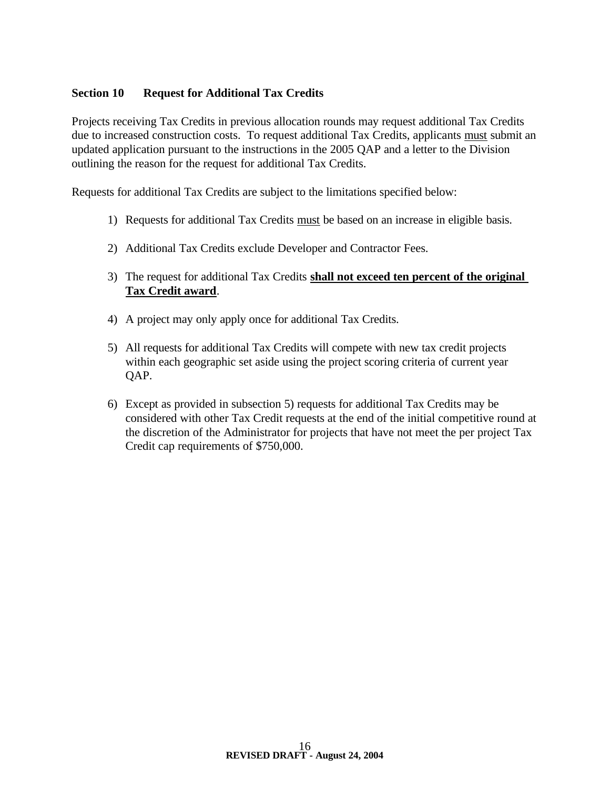## **Section 10 Request for Additional Tax Credits**

Projects receiving Tax Credits in previous allocation rounds may request additional Tax Credits due to increased construction costs. To request additional Tax Credits, applicants must submit an updated application pursuant to the instructions in the 2005 QAP and a letter to the Division outlining the reason for the request for additional Tax Credits.

Requests for additional Tax Credits are subject to the limitations specified below:

- 1) Requests for additional Tax Credits must be based on an increase in eligible basis.
- 2) Additional Tax Credits exclude Developer and Contractor Fees.
- 3) The request for additional Tax Credits **shall not exceed ten percent of the original Tax Credit award**.
- 4) A project may only apply once for additional Tax Credits.
- 5) All requests for additional Tax Credits will compete with new tax credit projects within each geographic set aside using the project scoring criteria of current year QAP.
- 6) Except as provided in subsection 5) requests for additional Tax Credits may be considered with other Tax Credit requests at the end of the initial competitive round at the discretion of the Administrator for projects that have not meet the per project Tax Credit cap requirements of \$750,000.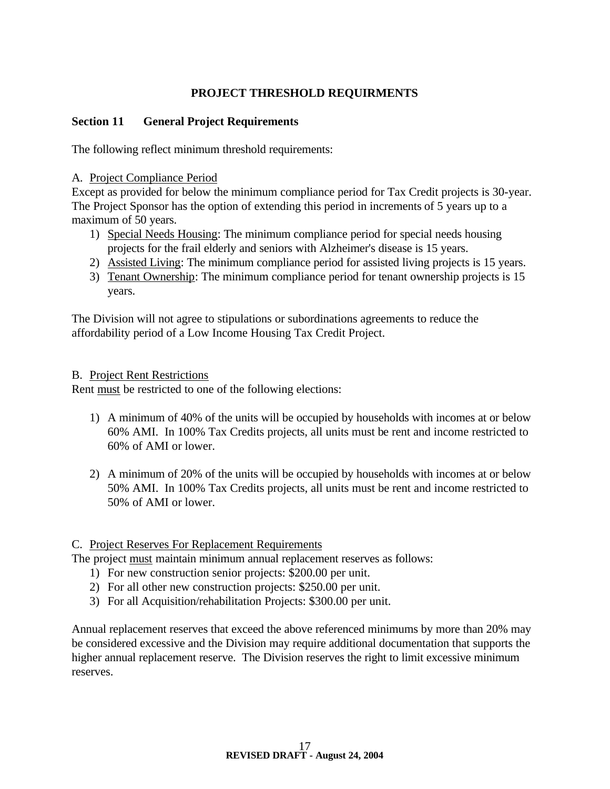## **PROJECT THRESHOLD REQUIRMENTS**

## **Section 11 General Project Requirements**

The following reflect minimum threshold requirements:

## A. Project Compliance Period

Except as provided for below the minimum compliance period for Tax Credit projects is 30-year. The Project Sponsor has the option of extending this period in increments of 5 years up to a maximum of 50 years.

- 1) Special Needs Housing: The minimum compliance period for special needs housing projects for the frail elderly and seniors with Alzheimer's disease is 15 years.
- 2) Assisted Living: The minimum compliance period for assisted living projects is 15 years.
- 3) Tenant Ownership: The minimum compliance period for tenant ownership projects is 15 years.

The Division will not agree to stipulations or subordinations agreements to reduce the affordability period of a Low Income Housing Tax Credit Project.

## B. Project Rent Restrictions

Rent must be restricted to one of the following elections:

- 1) A minimum of 40% of the units will be occupied by households with incomes at or below 60% AMI. In 100% Tax Credits projects, all units must be rent and income restricted to 60% of AMI or lower.
- 2) A minimum of 20% of the units will be occupied by households with incomes at or below 50% AMI. In 100% Tax Credits projects, all units must be rent and income restricted to 50% of AMI or lower.

## C. Project Reserves For Replacement Requirements

The project must maintain minimum annual replacement reserves as follows:

- 1) For new construction senior projects: \$200.00 per unit.
- 2) For all other new construction projects: \$250.00 per unit.
- 3) For all Acquisition/rehabilitation Projects: \$300.00 per unit.

Annual replacement reserves that exceed the above referenced minimums by more than 20% may be considered excessive and the Division may require additional documentation that supports the higher annual replacement reserve. The Division reserves the right to limit excessive minimum reserves.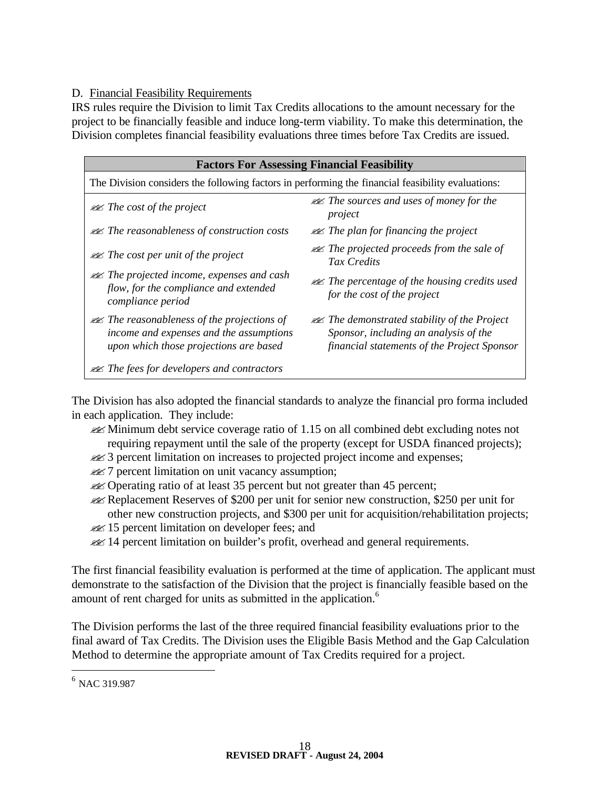## D. Financial Feasibility Requirements

IRS rules require the Division to limit Tax Credits allocations to the amount necessary for the project to be financially feasible and induce long-term viability. To make this determination, the Division completes financial feasibility evaluations three times before Tax Credits are issued.

| <b>Factors For Assessing Financial Feasibility</b>                                                                                          |                                                                                                                                                 |  |  |
|---------------------------------------------------------------------------------------------------------------------------------------------|-------------------------------------------------------------------------------------------------------------------------------------------------|--|--|
| The Division considers the following factors in performing the financial feasibility evaluations:                                           |                                                                                                                                                 |  |  |
| $\mathcal{A}$ The cost of the project                                                                                                       | $\mathcal{A}$ The sources and uses of money for the<br>project                                                                                  |  |  |
| $\mathcal{A}$ The reasonableness of construction costs                                                                                      | $\mathcal{Z}$ The plan for financing the project                                                                                                |  |  |
| $\mathcal{Z}$ The cost per unit of the project                                                                                              | $\mathcal{A}$ The projected proceeds from the sale of<br>Tax Credits                                                                            |  |  |
| $\mathcal{A}$ The projected income, expenses and cash<br>flow, for the compliance and extended<br>compliance period                         | $\mathcal{A}$ The percentage of the housing credits used<br>for the cost of the project                                                         |  |  |
| $\mathcal{Z}$ The reasonableness of the projections of<br>income and expenses and the assumptions<br>upon which those projections are based | $\mathcal{A}$ The demonstrated stability of the Project<br>Sponsor, including an analysis of the<br>financial statements of the Project Sponsor |  |  |
| $\mathcal{A}$ The fees for developers and contractors                                                                                       |                                                                                                                                                 |  |  |

The Division has also adopted the financial standards to analyze the financial pro forma included in each application. They include:

- $\mathcal{L}$  Minimum debt service coverage ratio of 1.15 on all combined debt excluding notes not requiring repayment until the sale of the property (except for USDA financed projects);
- **22** 3 percent limitation on increases to projected project income and expenses;
- $\mathcal{L}$  7 percent limitation on unit vacancy assumption;
- $\mathcal{L}$  Operating ratio of at least 35 percent but not greater than 45 percent;
- $\ll$  Replacement Reserves of \$200 per unit for senior new construction, \$250 per unit for other new construction projects, and \$300 per unit for acquisition/rehabilitation projects;
- $\mathscr{A}$  15 percent limitation on developer fees; and
- **226 14 percent limitation on builder's profit, overhead and general requirements.**

The first financial feasibility evaluation is performed at the time of application. The applicant must demonstrate to the satisfaction of the Division that the project is financially feasible based on the amount of rent charged for units as submitted in the application.<sup>6</sup>

The Division performs the last of the three required financial feasibility evaluations prior to the final award of Tax Credits. The Division uses the Eligible Basis Method and the Gap Calculation Method to determine the appropriate amount of Tax Credits required for a project.

1

<sup>6</sup> NAC 319.987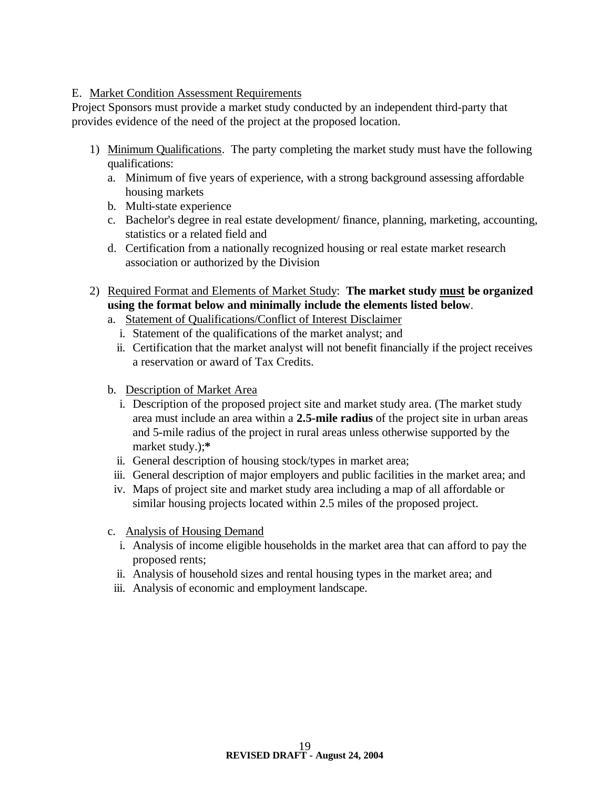## E. Market Condition Assessment Requirements

Project Sponsors must provide a market study conducted by an independent third-party that provides evidence of the need of the project at the proposed location.

- 1) Minimum Qualifications. The party completing the market study must have the following qualifications:
	- a. Minimum of five years of experience, with a strong background assessing affordable housing markets
	- b. Multi-state experience
	- c. Bachelor's degree in real estate development/ finance, planning, marketing, accounting, statistics or a related field and
	- d. Certification from a nationally recognized housing or real estate market research association or authorized by the Division
- 2) Required Format and Elements of Market Study: **The market study must be organized using the format below and minimally include the elements listed below**.
	- a. Statement of Qualifications/Conflict of Interest Disclaimer
		- i. Statement of the qualifications of the market analyst; and
		- ii. Certification that the market analyst will not benefit financially if the project receives a reservation or award of Tax Credits.
	- b. Description of Market Area
		- i. Description of the proposed project site and market study area. (The market study area must include an area within a **2.5-mile radius** of the project site in urban areas and 5-mile radius of the project in rural areas unless otherwise supported by the market study.);**\***
		- ii. General description of housing stock/types in market area;
	- iii. General description of major employers and public facilities in the market area; and
	- iv. Maps of project site and market study area including a map of all affordable or similar housing projects located within 2.5 miles of the proposed project.
	- c. Analysis of Housing Demand
		- i. Analysis of income eligible households in the market area that can afford to pay the proposed rents;
		- ii. Analysis of household sizes and rental housing types in the market area; and
	- iii. Analysis of economic and employment landscape.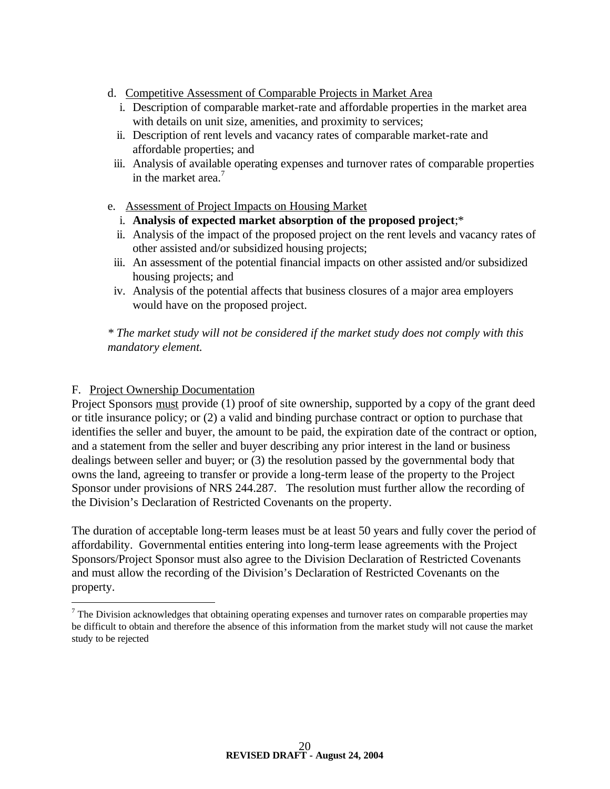- d. Competitive Assessment of Comparable Projects in Market Area
	- i. Description of comparable market-rate and affordable properties in the market area with details on unit size, amenities, and proximity to services;
	- ii. Description of rent levels and vacancy rates of comparable market-rate and affordable properties; and
- iii. Analysis of available operating expenses and turnover rates of comparable properties in the market area.<sup>7</sup>
- e. Assessment of Project Impacts on Housing Market
	- i. **Analysis of expected market absorption of the proposed project**;\*
	- ii. Analysis of the impact of the proposed project on the rent levels and vacancy rates of other assisted and/or subsidized housing projects;
- iii. An assessment of the potential financial impacts on other assisted and/or subsidized housing projects; and
- iv. Analysis of the potential affects that business closures of a major area employers would have on the proposed project.

*\* The market study will not be considered if the market study does not comply with this mandatory element.*

## F. Project Ownership Documentation

1

Project Sponsors must provide (1) proof of site ownership, supported by a copy of the grant deed or title insurance policy; or (2) a valid and binding purchase contract or option to purchase that identifies the seller and buyer, the amount to be paid, the expiration date of the contract or option, and a statement from the seller and buyer describing any prior interest in the land or business dealings between seller and buyer; or (3) the resolution passed by the governmental body that owns the land, agreeing to transfer or provide a long-term lease of the property to the Project Sponsor under provisions of NRS 244.287. The resolution must further allow the recording of the Division's Declaration of Restricted Covenants on the property.

The duration of acceptable long-term leases must be at least 50 years and fully cover the period of affordability. Governmental entities entering into long-term lease agreements with the Project Sponsors/Project Sponsor must also agree to the Division Declaration of Restricted Covenants and must allow the recording of the Division's Declaration of Restricted Covenants on the property.

 $<sup>7</sup>$  The Division acknowledges that obtaining operating expenses and turnover rates on comparable properties may</sup> be difficult to obtain and therefore the absence of this information from the market study will not cause the market study to be rejected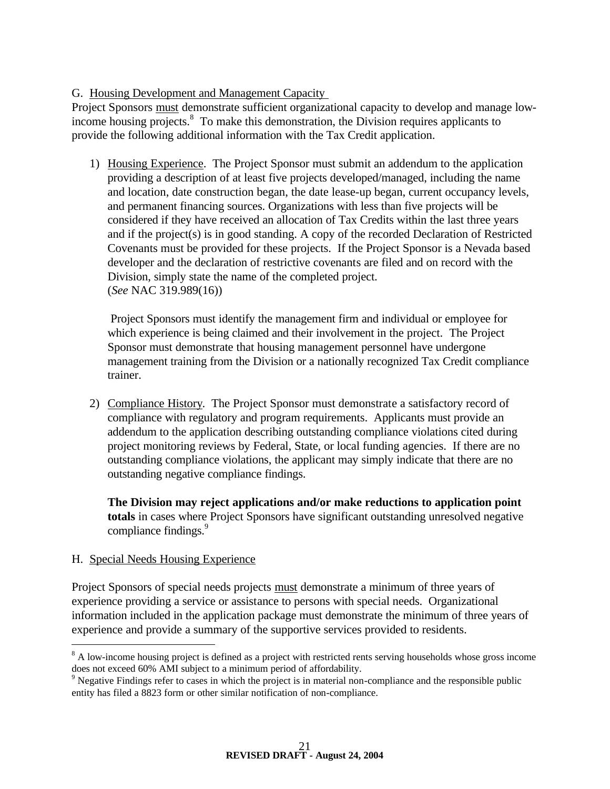## G. Housing Development and Management Capacity

Project Sponsors must demonstrate sufficient organizational capacity to develop and manage lowincome housing projects.<sup>8</sup> To make this demonstration, the Division requires applicants to provide the following additional information with the Tax Credit application.

1) Housing Experience. The Project Sponsor must submit an addendum to the application providing a description of at least five projects developed/managed, including the name and location, date construction began, the date lease-up began, current occupancy levels, and permanent financing sources. Organizations with less than five projects will be considered if they have received an allocation of Tax Credits within the last three years and if the project(s) is in good standing. A copy of the recorded Declaration of Restricted Covenants must be provided for these projects. If the Project Sponsor is a Nevada based developer and the declaration of restrictive covenants are filed and on record with the Division, simply state the name of the completed project. (*See* NAC 319.989(16))

 Project Sponsors must identify the management firm and individual or employee for which experience is being claimed and their involvement in the project. The Project Sponsor must demonstrate that housing management personnel have undergone management training from the Division or a nationally recognized Tax Credit compliance trainer.

2) Compliance History. The Project Sponsor must demonstrate a satisfactory record of compliance with regulatory and program requirements. Applicants must provide an addendum to the application describing outstanding compliance violations cited during project monitoring reviews by Federal, State, or local funding agencies. If there are no outstanding compliance violations, the applicant may simply indicate that there are no outstanding negative compliance findings.

**The Division may reject applications and/or make reductions to application point totals** in cases where Project Sponsors have significant outstanding unresolved negative compliance findings.<sup>9</sup>

## H. Special Needs Housing Experience

 $\overline{a}$ 

Project Sponsors of special needs projects must demonstrate a minimum of three years of experience providing a service or assistance to persons with special needs. Organizational information included in the application package must demonstrate the minimum of three years of experience and provide a summary of the supportive services provided to residents.

<sup>&</sup>lt;sup>8</sup> A low-income housing project is defined as a project with restricted rents serving households whose gross income does not exceed 60% AMI subject to a minimum period of affordability.

<sup>&</sup>lt;sup>9</sup> Negative Findings refer to cases in which the project is in material non-compliance and the responsible public entity has filed a 8823 form or other similar notification of non-compliance.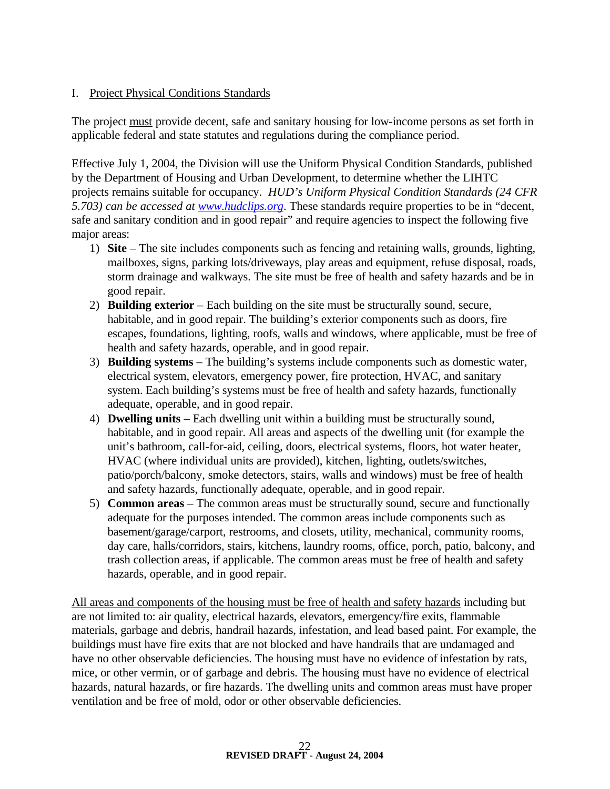## I. Project Physical Conditions Standards

The project must provide decent, safe and sanitary housing for low-income persons as set forth in applicable federal and state statutes and regulations during the compliance period.

Effective July 1, 2004, the Division will use the Uniform Physical Condition Standards, published by the Department of Housing and Urban Development, to determine whether the LIHTC projects remains suitable for occupancy. *HUD's Uniform Physical Condition Standards (24 CFR 5.703) can be accessed at www.hudclips.org*. These standards require properties to be in "decent, safe and sanitary condition and in good repair" and require agencies to inspect the following five major areas:

- 1) **Site**  The site includes components such as fencing and retaining walls, grounds, lighting, mailboxes, signs, parking lots/driveways, play areas and equipment, refuse disposal, roads, storm drainage and walkways. The site must be free of health and safety hazards and be in good repair.
- 2) **Building exterior**  Each building on the site must be structurally sound, secure, habitable, and in good repair. The building's exterior components such as doors, fire escapes, foundations, lighting, roofs, walls and windows, where applicable, must be free of health and safety hazards, operable, and in good repair.
- 3) **Building systems** The building's systems include components such as domestic water, electrical system, elevators, emergency power, fire protection, HVAC, and sanitary system. Each building's systems must be free of health and safety hazards, functionally adequate, operable, and in good repair.
- 4) **Dwelling units**  Each dwelling unit within a building must be structurally sound, habitable, and in good repair. All areas and aspects of the dwelling unit (for example the unit's bathroom, call-for-aid, ceiling, doors, electrical systems, floors, hot water heater, HVAC (where individual units are provided), kitchen, lighting, outlets/switches, patio/porch/balcony, smoke detectors, stairs, walls and windows) must be free of health and safety hazards, functionally adequate, operable, and in good repair.
- 5) **Common areas**  The common areas must be structurally sound, secure and functionally adequate for the purposes intended. The common areas include components such as basement/garage/carport, restrooms, and closets, utility, mechanical, community rooms, day care, halls/corridors, stairs, kitchens, laundry rooms, office, porch, patio, balcony, and trash collection areas, if applicable. The common areas must be free of health and safety hazards, operable, and in good repair.

All areas and components of the housing must be free of health and safety hazards including but are not limited to: air quality, electrical hazards, elevators, emergency/fire exits, flammable materials, garbage and debris, handrail hazards, infestation, and lead based paint. For example, the buildings must have fire exits that are not blocked and have handrails that are undamaged and have no other observable deficiencies. The housing must have no evidence of infestation by rats, mice, or other vermin, or of garbage and debris. The housing must have no evidence of electrical hazards, natural hazards, or fire hazards. The dwelling units and common areas must have proper ventilation and be free of mold, odor or other observable deficiencies.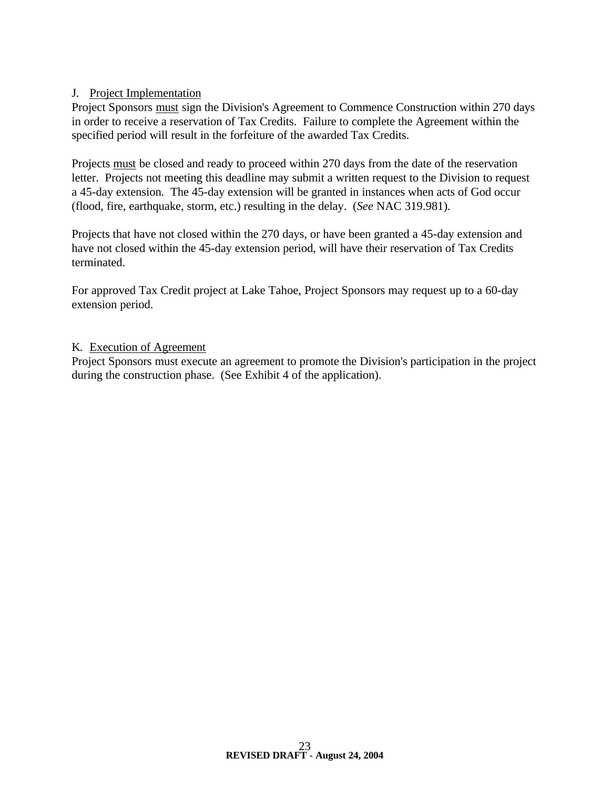## J. Project Implementation

Project Sponsors must sign the Division's Agreement to Commence Construction within 270 days in order to receive a reservation of Tax Credits. Failure to complete the Agreement within the specified period will result in the forfeiture of the awarded Tax Credits.

Projects must be closed and ready to proceed within 270 days from the date of the reservation letter. Projects not meeting this deadline may submit a written request to the Division to request a 45-day extension. The 45-day extension will be granted in instances when acts of God occur (flood, fire, earthquake, storm, etc.) resulting in the delay. (*See* NAC 319.981).

Projects that have not closed within the 270 days, or have been granted a 45-day extension and have not closed within the 45-day extension period, will have their reservation of Tax Credits terminated.

For approved Tax Credit project at Lake Tahoe, Project Sponsors may request up to a 60-day extension period.

## K. Execution of Agreement

Project Sponsors must execute an agreement to promote the Division's participation in the project during the construction phase. (See Exhibit 4 of the application).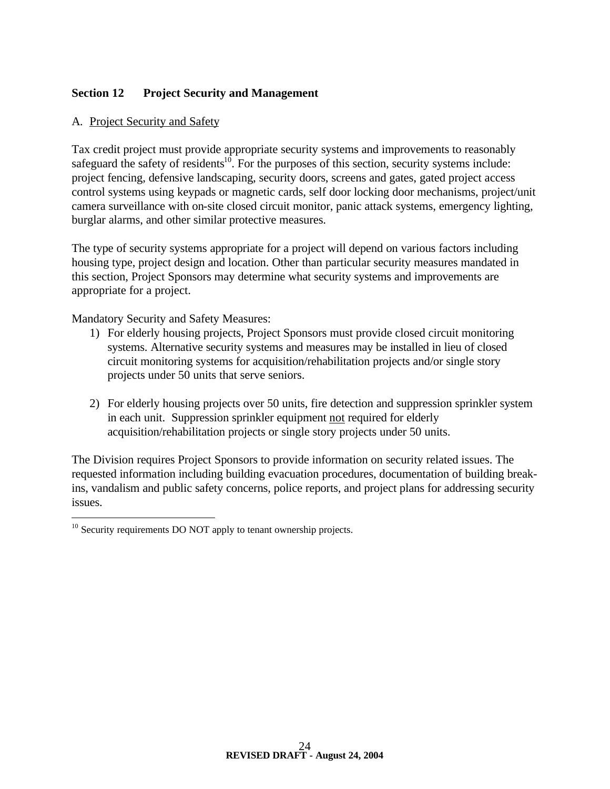## **Section 12 Project Security and Management**

## A. Project Security and Safety

Tax credit project must provide appropriate security systems and improvements to reasonably safeguard the safety of residents<sup> $10$ </sup>. For the purposes of this section, security systems include: project fencing, defensive landscaping, security doors, screens and gates, gated project access control systems using keypads or magnetic cards, self door locking door mechanisms, project/unit camera surveillance with on-site closed circuit monitor, panic attack systems, emergency lighting, burglar alarms, and other similar protective measures.

The type of security systems appropriate for a project will depend on various factors including housing type, project design and location. Other than particular security measures mandated in this section, Project Sponsors may determine what security systems and improvements are appropriate for a project.

Mandatory Security and Safety Measures:

1

- 1) For elderly housing projects, Project Sponsors must provide closed circuit monitoring systems. Alternative security systems and measures may be installed in lieu of closed circuit monitoring systems for acquisition/rehabilitation projects and/or single story projects under 50 units that serve seniors.
- 2) For elderly housing projects over 50 units, fire detection and suppression sprinkler system in each unit. Suppression sprinkler equipment not required for elderly acquisition/rehabilitation projects or single story projects under 50 units.

The Division requires Project Sponsors to provide information on security related issues. The requested information including building evacuation procedures, documentation of building breakins, vandalism and public safety concerns, police reports, and project plans for addressing security issues.

 $10$  Security requirements DO NOT apply to tenant ownership projects.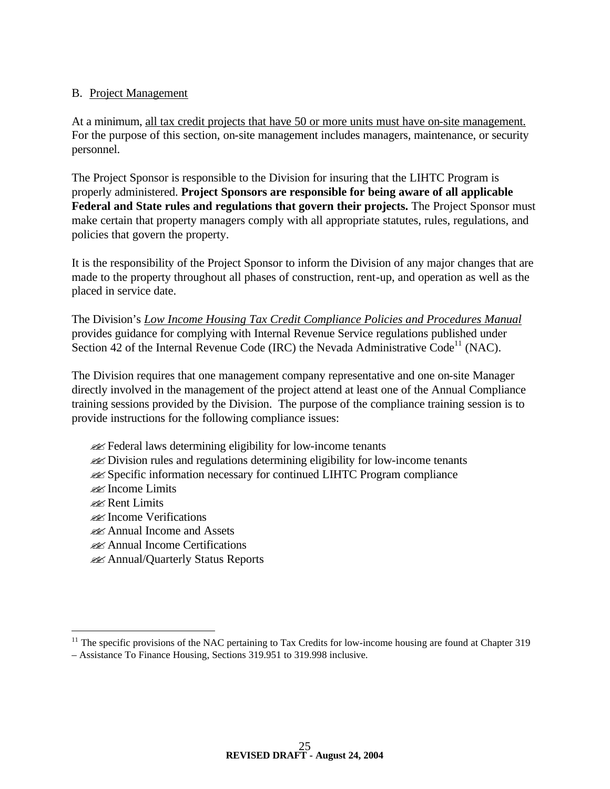## B. Project Management

At a minimum, all tax credit projects that have 50 or more units must have on-site management. For the purpose of this section, on-site management includes managers, maintenance, or security personnel.

The Project Sponsor is responsible to the Division for insuring that the LIHTC Program is properly administered. **Project Sponsors are responsible for being aware of all applicable Federal and State rules and regulations that govern their projects.** The Project Sponsor must make certain that property managers comply with all appropriate statutes, rules, regulations, and policies that govern the property.

It is the responsibility of the Project Sponsor to inform the Division of any major changes that are made to the property throughout all phases of construction, rent-up, and operation as well as the placed in service date.

The Division's *Low Income Housing Tax Credit Compliance Policies and Procedures Manual* provides guidance for complying with Internal Revenue Service regulations published under Section 42 of the Internal Revenue Code (IRC) the Nevada Administrative Code<sup>11</sup> (NAC).

The Division requires that one management company representative and one on-site Manager directly involved in the management of the project attend at least one of the Annual Compliance training sessions provided by the Division. The purpose of the compliance training session is to provide instructions for the following compliance issues:

- **Example 12** Federal laws determining eligibility for low-income tenants
- ??Division rules and regulations determining eligibility for low-income tenants
- **EX** Specific information necessary for continued LIHTC Program compliance
- ??Income Limits
- *PR* Rent Limits

1

- ??Income Verifications
- **EXAnnual Income and Assets**
- ??Annual Income Certifications
- **Examinary Status Reports**

– Assistance To Finance Housing, Sections 319.951 to 319.998 inclusive.

 $11$  The specific provisions of the NAC pertaining to Tax Credits for low-income housing are found at Chapter 319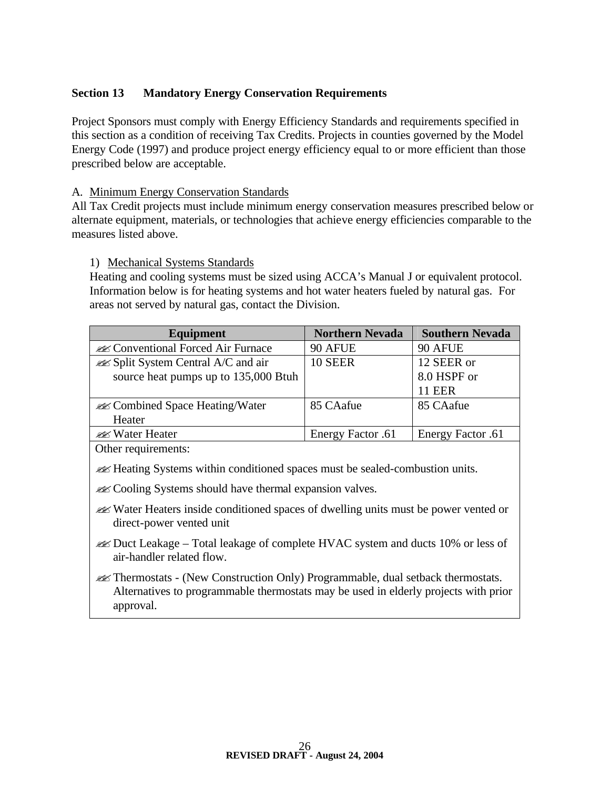## **Section 13 Mandatory Energy Conservation Requirements**

Project Sponsors must comply with Energy Efficiency Standards and requirements specified in this section as a condition of receiving Tax Credits. Projects in counties governed by the Model Energy Code (1997) and produce project energy efficiency equal to or more efficient than those prescribed below are acceptable.

#### A. Minimum Energy Conservation Standards

All Tax Credit projects must include minimum energy conservation measures prescribed below or alternate equipment, materials, or technologies that achieve energy efficiencies comparable to the measures listed above.

## 1) Mechanical Systems Standards

Heating and cooling systems must be sized using ACCA's Manual J or equivalent protocol. Information below is for heating systems and hot water heaters fueled by natural gas. For areas not served by natural gas, contact the Division.

| Equipment                                   | <b>Northern Nevada</b>   | <b>Southern Nevada</b>   |
|---------------------------------------------|--------------------------|--------------------------|
| <b>Also Conventional Forced Air Furnace</b> | 90 AFUE                  | 90 AFUE                  |
| <b>Example 1</b> System Central A/C and air | 10 SEER                  | 12 SEER or               |
| source heat pumps up to 135,000 Btuh        |                          | 8.0 HSPF or              |
|                                             |                          | <b>11 EER</b>            |
| <b>Example Space Heating/Water</b>          | 85 CAafue                | 85 CAafue                |
| Heater                                      |                          |                          |
| <b>AS Water Heater</b>                      | <b>Energy Factor .61</b> | <b>Energy Factor .61</b> |

Other requirements:

**Example 3** Heating Systems within conditioned spaces must be sealed-combustion units.

**Example Systems should have thermal expansion valves.** 

- ??Water Heaters inside conditioned spaces of dwelling units must be power vented or direct-power vented unit
- $\mathcal{L}$  Duct Leakage Total leakage of complete HVAC system and ducts 10% or less of air-handler related flow.
- ??Thermostats (New Construction Only) Programmable, dual setback thermostats. Alternatives to programmable thermostats may be used in elderly projects with prior approval.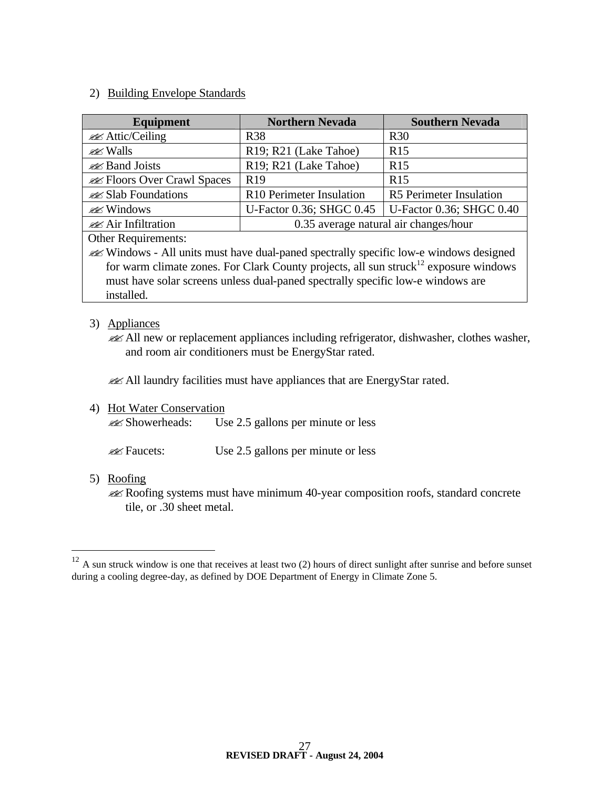## 2) Building Envelope Standards

| <b>Equipment</b>                         | <b>Northern Nevada</b>                         | <b>Southern Nevada</b>   |
|------------------------------------------|------------------------------------------------|--------------------------|
| <b>Attic/Ceiling</b>                     | <b>R38</b>                                     | <b>R30</b>               |
| <b>A</b> Walls                           | R <sub>19</sub> ; R <sub>21</sub> (Lake Tahoe) | R15                      |
| <b>Also</b> Band Joists                  | R <sub>19</sub> ; R <sub>21</sub> (Lake Tahoe) | R15                      |
| <b>EXECUTE:</b> Floors Over Crawl Spaces | R <sub>19</sub>                                | R15                      |
| <b>ASSES</b> Slab Foundations            | R10 Perimeter Insulation                       | R5 Perimeter Insulation  |
| <b>EX Windows</b>                        | U-Factor 0.36; SHGC 0.45                       | U-Factor 0.36; SHGC 0.40 |
| <b>Air Infiltration</b>                  | 0.35 average natural air changes/hour          |                          |
| <b>Other Requirements:</b>               |                                                |                          |

??Windows - All units must have dual-paned spectrally specific low-e windows designed for warm climate zones. For Clark County projects, all sun struck<sup>12</sup> exposure windows must have solar screens unless dual-paned spectrally specific low-e windows are installed.

## 3) Appliances

??All new or replacement appliances including refrigerator, dishwasher, clothes washer, and room air conditioners must be EnergyStar rated.

??All laundry facilities must have appliances that are EnergyStar rated.

4) Hot Water Conservation

**EX** Showerheads: Use 2.5 gallons per minute or less

**Example 1** Use 2.5 gallons per minute or less

## 5) Roofing

1

??Roofing systems must have minimum 40-year composition roofs, standard concrete tile, or .30 sheet metal.

 $12$  A sun struck window is one that receives at least two (2) hours of direct sunlight after sunrise and before sunset during a cooling degree-day, as defined by DOE Department of Energy in Climate Zone 5.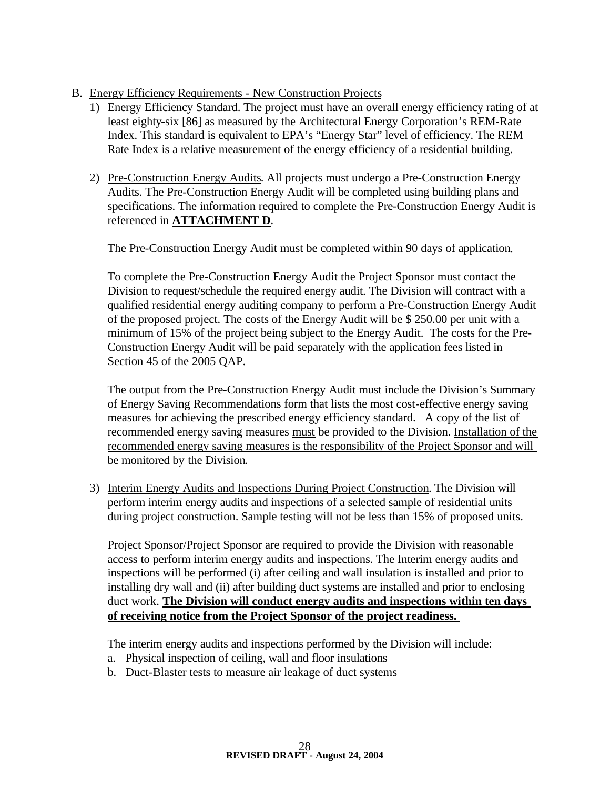- B. Energy Efficiency Requirements New Construction Projects
	- 1) Energy Efficiency Standard. The project must have an overall energy efficiency rating of at least eighty-six [86] as measured by the Architectural Energy Corporation's REM-Rate Index. This standard is equivalent to EPA's "Energy Star" level of efficiency. The REM Rate Index is a relative measurement of the energy efficiency of a residential building.
	- 2) Pre-Construction Energy Audits. All projects must undergo a Pre-Construction Energy Audits. The Pre-Construction Energy Audit will be completed using building plans and specifications. The information required to complete the Pre-Construction Energy Audit is referenced in **ATTACHMENT D**.

## The Pre-Construction Energy Audit must be completed within 90 days of application.

To complete the Pre-Construction Energy Audit the Project Sponsor must contact the Division to request/schedule the required energy audit. The Division will contract with a qualified residential energy auditing company to perform a Pre-Construction Energy Audit of the proposed project. The costs of the Energy Audit will be \$ 250.00 per unit with a minimum of 15% of the project being subject to the Energy Audit. The costs for the Pre-Construction Energy Audit will be paid separately with the application fees listed in Section 45 of the 2005 QAP.

The output from the Pre-Construction Energy Audit must include the Division's Summary of Energy Saving Recommendations form that lists the most cost-effective energy saving measures for achieving the prescribed energy efficiency standard. A copy of the list of recommended energy saving measures must be provided to the Division. Installation of the recommended energy saving measures is the responsibility of the Project Sponsor and will be monitored by the Division.

3) Interim Energy Audits and Inspections During Project Construction. The Division will perform interim energy audits and inspections of a selected sample of residential units during project construction. Sample testing will not be less than 15% of proposed units.

Project Sponsor/Project Sponsor are required to provide the Division with reasonable access to perform interim energy audits and inspections. The Interim energy audits and inspections will be performed (i) after ceiling and wall insulation is installed and prior to installing dry wall and (ii) after building duct systems are installed and prior to enclosing duct work. **The Division will conduct energy audits and inspections within ten days of receiving notice from the Project Sponsor of the project readiness.** 

The interim energy audits and inspections performed by the Division will include:

- a. Physical inspection of ceiling, wall and floor insulations
- b. Duct-Blaster tests to measure air leakage of duct systems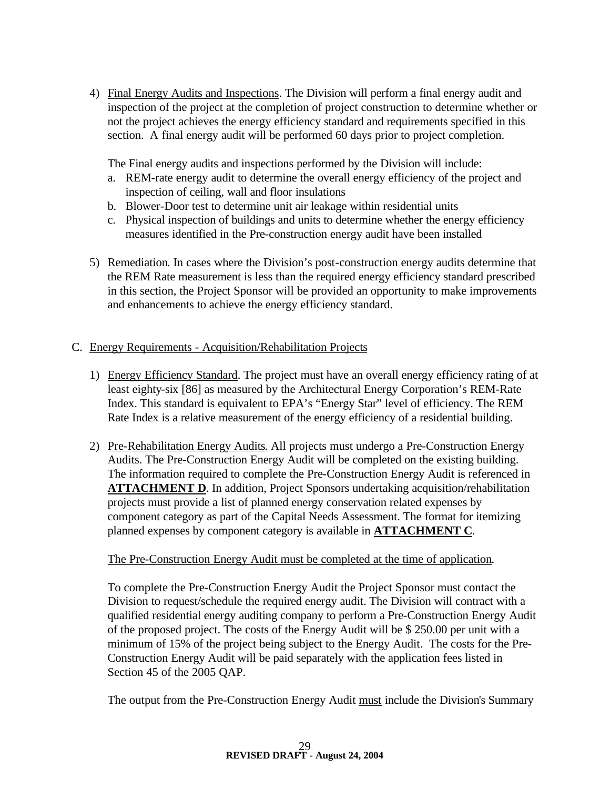4) Final Energy Audits and Inspections. The Division will perform a final energy audit and inspection of the project at the completion of project construction to determine whether or not the project achieves the energy efficiency standard and requirements specified in this section. A final energy audit will be performed 60 days prior to project completion.

The Final energy audits and inspections performed by the Division will include:

- a. REM-rate energy audit to determine the overall energy efficiency of the project and inspection of ceiling, wall and floor insulations
- b. Blower-Door test to determine unit air leakage within residential units
- c. Physical inspection of buildings and units to determine whether the energy efficiency measures identified in the Pre-construction energy audit have been installed
- 5) Remediation. In cases where the Division's post-construction energy audits determine that the REM Rate measurement is less than the required energy efficiency standard prescribed in this section, the Project Sponsor will be provided an opportunity to make improvements and enhancements to achieve the energy efficiency standard.

## C. Energy Requirements - Acquisition/Rehabilitation Projects

- 1) Energy Efficiency Standard. The project must have an overall energy efficiency rating of at least eighty-six [86] as measured by the Architectural Energy Corporation's REM-Rate Index. This standard is equivalent to EPA's "Energy Star" level of efficiency. The REM Rate Index is a relative measurement of the energy efficiency of a residential building.
- 2) Pre-Rehabilitation Energy Audits. All projects must undergo a Pre-Construction Energy Audits. The Pre-Construction Energy Audit will be completed on the existing building. The information required to complete the Pre-Construction Energy Audit is referenced in **ATTACHMENT D**. In addition, Project Sponsors undertaking acquisition/rehabilitation projects must provide a list of planned energy conservation related expenses by component category as part of the Capital Needs Assessment. The format for itemizing planned expenses by component category is available in **ATTACHMENT C**.

## The Pre-Construction Energy Audit must be completed at the time of application.

To complete the Pre-Construction Energy Audit the Project Sponsor must contact the Division to request/schedule the required energy audit. The Division will contract with a qualified residential energy auditing company to perform a Pre-Construction Energy Audit of the proposed project. The costs of the Energy Audit will be \$ 250.00 per unit with a minimum of 15% of the project being subject to the Energy Audit. The costs for the Pre-Construction Energy Audit will be paid separately with the application fees listed in Section 45 of the 2005 QAP.

The output from the Pre-Construction Energy Audit must include the Division's Summary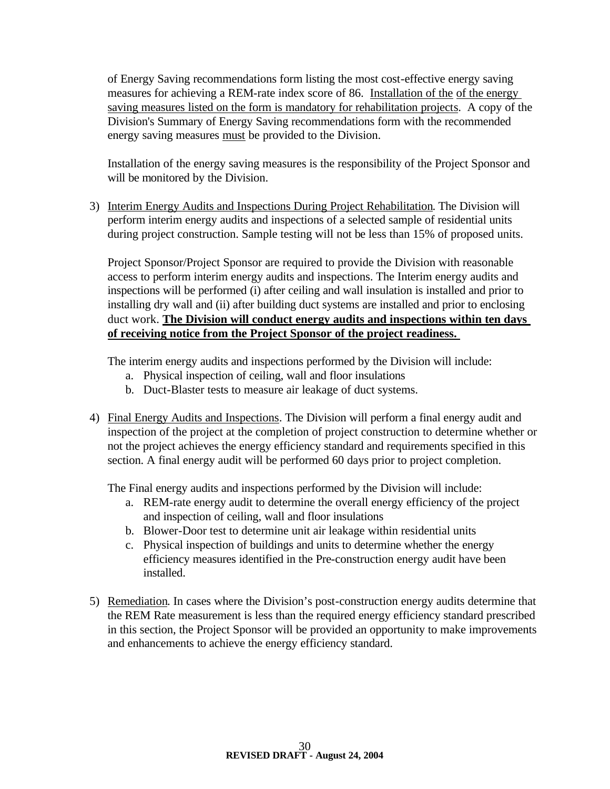of Energy Saving recommendations form listing the most cost-effective energy saving measures for achieving a REM-rate index score of 86. Installation of the of the energy saving measures listed on the form is mandatory for rehabilitation projects. A copy of the Division's Summary of Energy Saving recommendations form with the recommended energy saving measures must be provided to the Division.

Installation of the energy saving measures is the responsibility of the Project Sponsor and will be monitored by the Division.

3) Interim Energy Audits and Inspections During Project Rehabilitation. The Division will perform interim energy audits and inspections of a selected sample of residential units during project construction. Sample testing will not be less than 15% of proposed units.

Project Sponsor/Project Sponsor are required to provide the Division with reasonable access to perform interim energy audits and inspections. The Interim energy audits and inspections will be performed (i) after ceiling and wall insulation is installed and prior to installing dry wall and (ii) after building duct systems are installed and prior to enclosing duct work. **The Division will conduct energy audits and inspections within ten days of receiving notice from the Project Sponsor of the project readiness.** 

The interim energy audits and inspections performed by the Division will include:

- a. Physical inspection of ceiling, wall and floor insulations
- b. Duct-Blaster tests to measure air leakage of duct systems.
- 4) Final Energy Audits and Inspections. The Division will perform a final energy audit and inspection of the project at the completion of project construction to determine whether or not the project achieves the energy efficiency standard and requirements specified in this section. A final energy audit will be performed 60 days prior to project completion.

The Final energy audits and inspections performed by the Division will include:

- a. REM-rate energy audit to determine the overall energy efficiency of the project and inspection of ceiling, wall and floor insulations
- b. Blower-Door test to determine unit air leakage within residential units
- c. Physical inspection of buildings and units to determine whether the energy efficiency measures identified in the Pre-construction energy audit have been installed.
- 5) Remediation. In cases where the Division's post-construction energy audits determine that the REM Rate measurement is less than the required energy efficiency standard prescribed in this section, the Project Sponsor will be provided an opportunity to make improvements and enhancements to achieve the energy efficiency standard.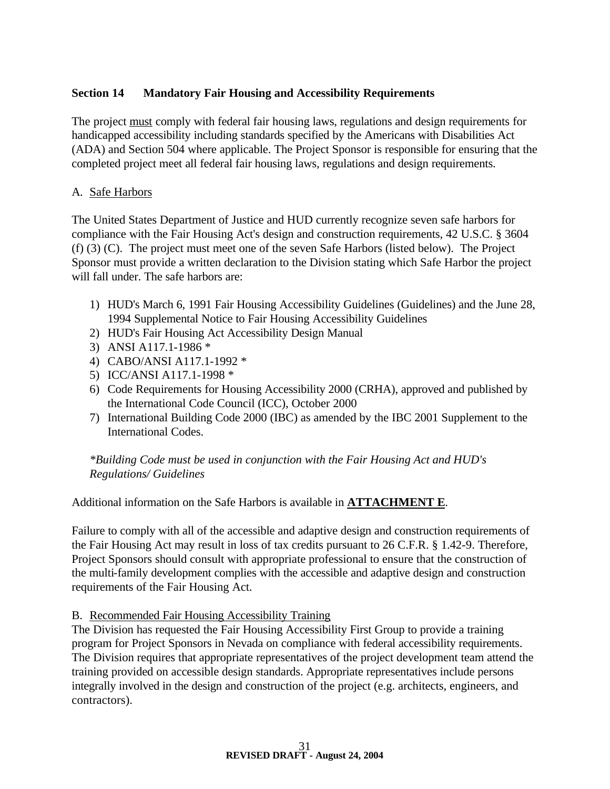## **Section 14 Mandatory Fair Housing and Accessibility Requirements**

The project must comply with federal fair housing laws, regulations and design requirements for handicapped accessibility including standards specified by the Americans with Disabilities Act (ADA) and Section 504 where applicable. The Project Sponsor is responsible for ensuring that the completed project meet all federal fair housing laws, regulations and design requirements.

## A. Safe Harbors

The United States Department of Justice and HUD currently recognize seven safe harbors for compliance with the Fair Housing Act's design and construction requirements, 42 U.S.C. § 3604 (f) (3) (C). The project must meet one of the seven Safe Harbors (listed below). The Project Sponsor must provide a written declaration to the Division stating which Safe Harbor the project will fall under. The safe harbors are:

- 1) HUD's March 6, 1991 Fair Housing Accessibility Guidelines (Guidelines) and the June 28, 1994 Supplemental Notice to Fair Housing Accessibility Guidelines
- 2) HUD's Fair Housing Act Accessibility Design Manual
- 3) ANSI A117.1-1986 \*
- 4) CABO/ANSI A117.1-1992 \*
- 5) ICC/ANSI A117.1-1998 \*
- 6) Code Requirements for Housing Accessibility 2000 (CRHA), approved and published by the International Code Council (ICC), October 2000
- 7) International Building Code 2000 (IBC) as amended by the IBC 2001 Supplement to the International Codes.

*\*Building Code must be used in conjunction with the Fair Housing Act and HUD's Regulations/ Guidelines* 

Additional information on the Safe Harbors is available in **ATTACHMENT E**.

Failure to comply with all of the accessible and adaptive design and construction requirements of the Fair Housing Act may result in loss of tax credits pursuant to 26 C.F.R. § 1.42-9. Therefore, Project Sponsors should consult with appropriate professional to ensure that the construction of the multi-family development complies with the accessible and adaptive design and construction requirements of the Fair Housing Act.

#### B. Recommended Fair Housing Accessibility Training

The Division has requested the Fair Housing Accessibility First Group to provide a training program for Project Sponsors in Nevada on compliance with federal accessibility requirements. The Division requires that appropriate representatives of the project development team attend the training provided on accessible design standards. Appropriate representatives include persons integrally involved in the design and construction of the project (e.g. architects, engineers, and contractors).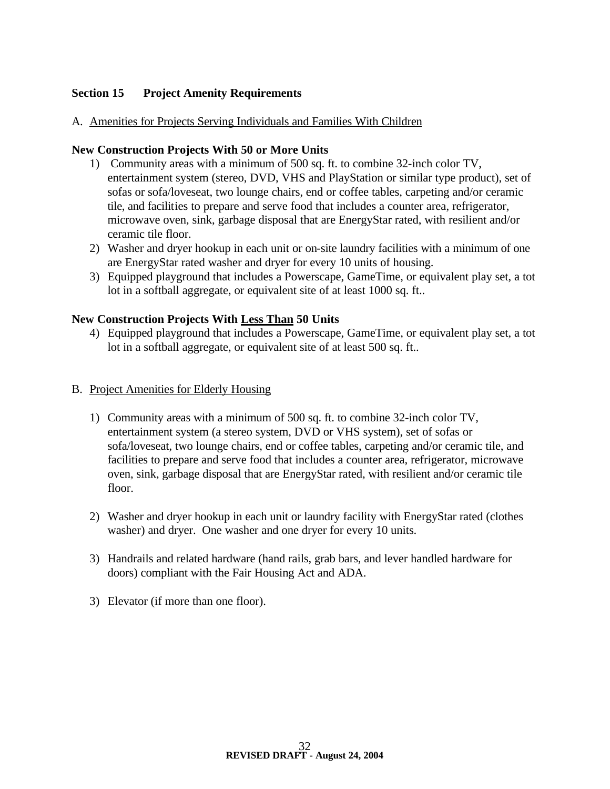## **Section 15 Project Amenity Requirements**

#### A. Amenities for Projects Serving Individuals and Families With Children

#### **New Construction Projects With 50 or More Units**

- 1) Community areas with a minimum of 500 sq. ft. to combine 32-inch color TV, entertainment system (stereo, DVD, VHS and PlayStation or similar type product), set of sofas or sofa/loveseat, two lounge chairs, end or coffee tables, carpeting and/or ceramic tile, and facilities to prepare and serve food that includes a counter area, refrigerator, microwave oven, sink, garbage disposal that are EnergyStar rated, with resilient and/or ceramic tile floor.
- 2) Washer and dryer hookup in each unit or on-site laundry facilities with a minimum of one are EnergyStar rated washer and dryer for every 10 units of housing.
- 3) Equipped playground that includes a Powerscape, GameTime, or equivalent play set, a tot lot in a softball aggregate, or equivalent site of at least 1000 sq. ft..

## **New Construction Projects With Less Than 50 Units**

4) Equipped playground that includes a Powerscape, GameTime, or equivalent play set, a tot lot in a softball aggregate, or equivalent site of at least 500 sq. ft..

#### B. Project Amenities for Elderly Housing

- 1) Community areas with a minimum of 500 sq. ft. to combine 32-inch color TV, entertainment system (a stereo system, DVD or VHS system), set of sofas or sofa/loveseat, two lounge chairs, end or coffee tables, carpeting and/or ceramic tile, and facilities to prepare and serve food that includes a counter area, refrigerator, microwave oven, sink, garbage disposal that are EnergyStar rated, with resilient and/or ceramic tile floor.
- 2) Washer and dryer hookup in each unit or laundry facility with EnergyStar rated (clothes washer) and dryer. One washer and one dryer for every 10 units.
- 3) Handrails and related hardware (hand rails, grab bars, and lever handled hardware for doors) compliant with the Fair Housing Act and ADA.
- 3) Elevator (if more than one floor).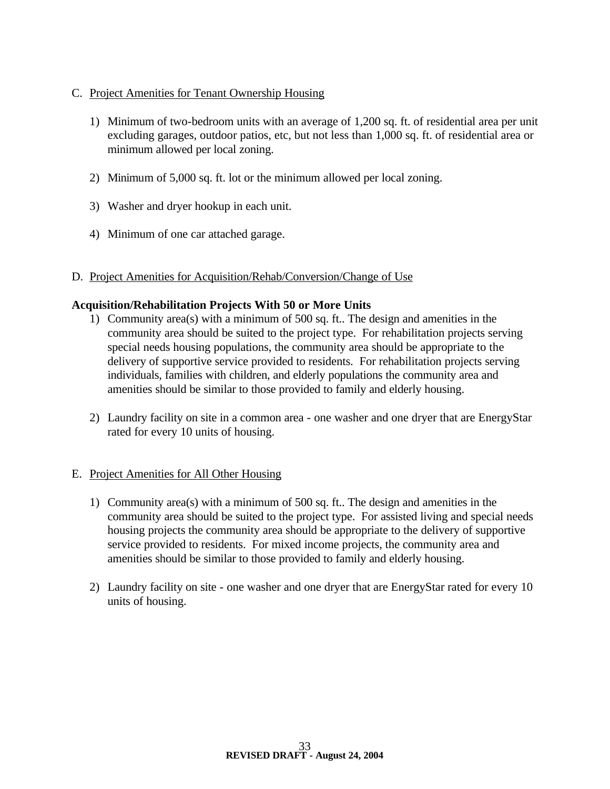## C. Project Amenities for Tenant Ownership Housing

- 1) Minimum of two-bedroom units with an average of 1,200 sq. ft. of residential area per unit excluding garages, outdoor patios, etc, but not less than 1,000 sq. ft. of residential area or minimum allowed per local zoning.
- 2) Minimum of 5,000 sq. ft. lot or the minimum allowed per local zoning.
- 3) Washer and dryer hookup in each unit.
- 4) Minimum of one car attached garage.

#### D. Project Amenities for Acquisition/Rehab/Conversion/Change of Use

## **Acquisition/Rehabilitation Projects With 50 or More Units**

- 1) Community area(s) with a minimum of 500 sq. ft.. The design and amenities in the community area should be suited to the project type. For rehabilitation projects serving special needs housing populations, the community area should be appropriate to the delivery of supportive service provided to residents. For rehabilitation projects serving individuals, families with children, and elderly populations the community area and amenities should be similar to those provided to family and elderly housing.
- 2) Laundry facility on site in a common area one washer and one dryer that are EnergyStar rated for every 10 units of housing.

#### E. Project Amenities for All Other Housing

- 1) Community area(s) with a minimum of 500 sq. ft.. The design and amenities in the community area should be suited to the project type. For assisted living and special needs housing projects the community area should be appropriate to the delivery of supportive service provided to residents. For mixed income projects, the community area and amenities should be similar to those provided to family and elderly housing.
- 2) Laundry facility on site one washer and one dryer that are EnergyStar rated for every 10 units of housing.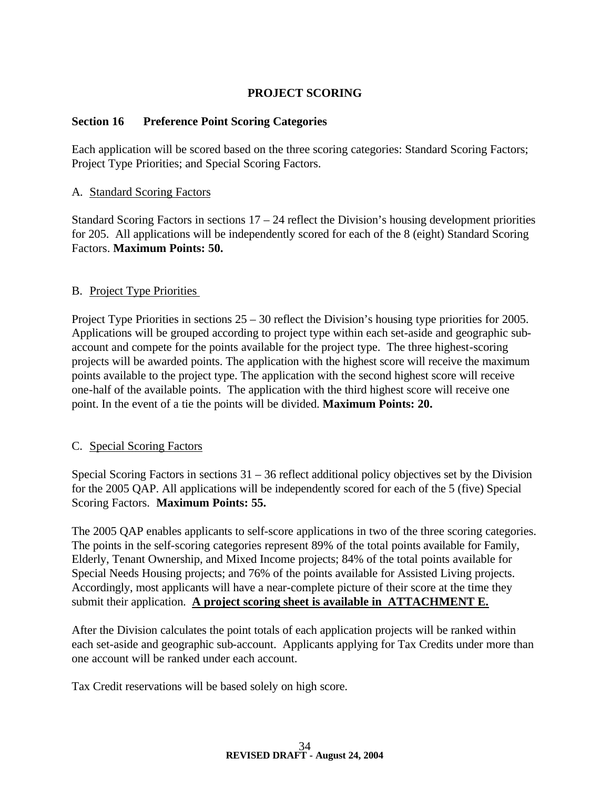# **PROJECT SCORING**

#### **Section 16 Preference Point Scoring Categories**

Each application will be scored based on the three scoring categories: Standard Scoring Factors; Project Type Priorities; and Special Scoring Factors.

#### A. Standard Scoring Factors

Standard Scoring Factors in sections 17 – 24 reflect the Division's housing development priorities for 205. All applications will be independently scored for each of the 8 (eight) Standard Scoring Factors. **Maximum Points: 50.**

#### B. Project Type Priorities

Project Type Priorities in sections  $25 - 30$  reflect the Division's housing type priorities for 2005. Applications will be grouped according to project type within each set-aside and geographic subaccount and compete for the points available for the project type. The three highest-scoring projects will be awarded points. The application with the highest score will receive the maximum points available to the project type. The application with the second highest score will receive one-half of the available points. The application with the third highest score will receive one point. In the event of a tie the points will be divided. **Maximum Points: 20.**

### C. Special Scoring Factors

Special Scoring Factors in sections 31 – 36 reflect additional policy objectives set by the Division for the 2005 QAP. All applications will be independently scored for each of the 5 (five) Special Scoring Factors. **Maximum Points: 55.**

The 2005 QAP enables applicants to self-score applications in two of the three scoring categories. The points in the self-scoring categories represent 89% of the total points available for Family, Elderly, Tenant Ownership, and Mixed Income projects; 84% of the total points available for Special Needs Housing projects; and 76% of the points available for Assisted Living projects. Accordingly, most applicants will have a near-complete picture of their score at the time they submit their application. **A project scoring sheet is available in ATTACHMENT E.**

After the Division calculates the point totals of each application projects will be ranked within each set-aside and geographic sub-account. Applicants applying for Tax Credits under more than one account will be ranked under each account.

Tax Credit reservations will be based solely on high score.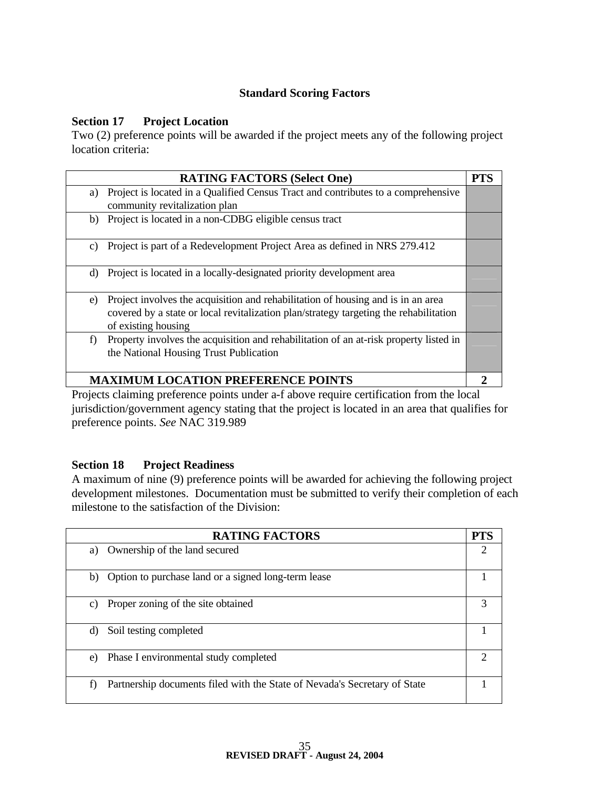# **Standard Scoring Factors**

#### **Section 17 Project Location**

Two (2) preference points will be awarded if the project meets any of the following project location criteria:

|    | <b>RATING FACTORS (Select One)</b>                                                                                                                                                               | <b>PTS</b> |
|----|--------------------------------------------------------------------------------------------------------------------------------------------------------------------------------------------------|------------|
| a) | Project is located in a Qualified Census Tract and contributes to a comprehensive<br>community revitalization plan                                                                               |            |
| b) | Project is located in a non-CDBG eligible census tract                                                                                                                                           |            |
| C) | Project is part of a Redevelopment Project Area as defined in NRS 279.412                                                                                                                        |            |
| d) | Project is located in a locally-designated priority development area                                                                                                                             |            |
| e) | Project involves the acquisition and rehabilitation of housing and is in an area<br>covered by a state or local revitalization plan/strategy targeting the rehabilitation<br>of existing housing |            |
| f  | Property involves the acquisition and rehabilitation of an at-risk property listed in<br>the National Housing Trust Publication                                                                  |            |
|    | <b>MAXIMUM LOCATION PREFERENCE POINTS</b>                                                                                                                                                        |            |

Projects claiming preference points under a-f above require certification from the local jurisdiction/government agency stating that the project is located in an area that qualifies for preference points. *See* NAC 319.989

### **Section 18 Project Readiness**

A maximum of nine (9) preference points will be awarded for achieving the following project development milestones. Documentation must be submitted to verify their completion of each milestone to the satisfaction of the Division:

|    | <b>RATING FACTORS</b>                                                     | <b>PTS</b> |
|----|---------------------------------------------------------------------------|------------|
| a) | Ownership of the land secured                                             | 2          |
| b) | Option to purchase land or a signed long-term lease                       |            |
| C) | Proper zoning of the site obtained                                        | 3          |
| d) | Soil testing completed                                                    |            |
| e) | Phase I environmental study completed                                     | 7          |
| f) | Partnership documents filed with the State of Nevada's Secretary of State |            |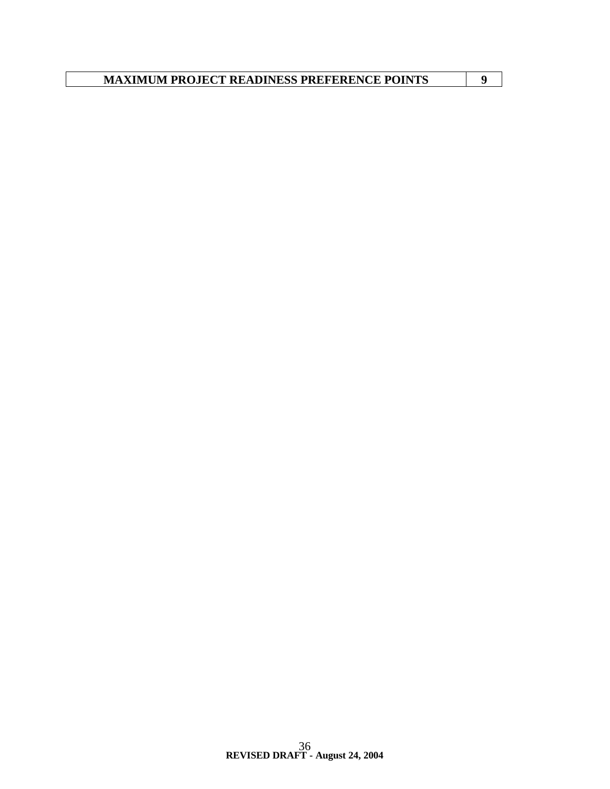| <b>MAXIMUM PROJECT READINESS PREFERENCE POINTS</b> |  |
|----------------------------------------------------|--|
|                                                    |  |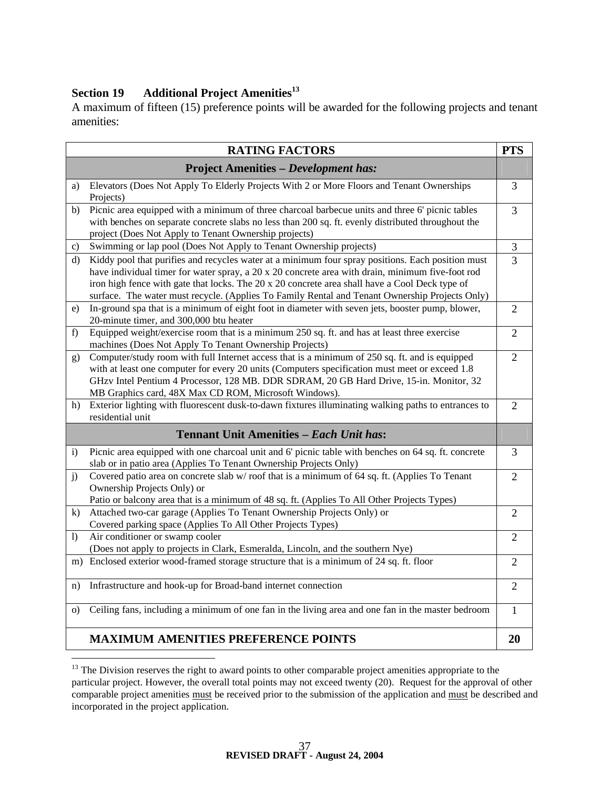# **Section 19 Additional Project Amenities<sup>13</sup>**

 $\overline{a}$ 

A maximum of fifteen (15) preference points will be awarded for the following projects and tenant amenities:

|            | <b>RATING FACTORS</b>                                                                                                                                                                                                                                                                                                                                                                                     | <b>PTS</b>     |
|------------|-----------------------------------------------------------------------------------------------------------------------------------------------------------------------------------------------------------------------------------------------------------------------------------------------------------------------------------------------------------------------------------------------------------|----------------|
|            | <b>Project Amenities - Development has:</b>                                                                                                                                                                                                                                                                                                                                                               |                |
| a)         | Elevators (Does Not Apply To Elderly Projects With 2 or More Floors and Tenant Ownerships<br>Projects)                                                                                                                                                                                                                                                                                                    | 3              |
| b)         | Picnic area equipped with a minimum of three charcoal barbecue units and three 6' picnic tables<br>with benches on separate concrete slabs no less than 200 sq. ft. evenly distributed throughout the<br>project (Does Not Apply to Tenant Ownership projects)                                                                                                                                            | 3              |
| c)         | Swimming or lap pool (Does Not Apply to Tenant Ownership projects)                                                                                                                                                                                                                                                                                                                                        | 3              |
| d)         | Kiddy pool that purifies and recycles water at a minimum four spray positions. Each position must<br>have individual timer for water spray, a 20 x 20 concrete area with drain, minimum five-foot rod<br>iron high fence with gate that locks. The 20 x 20 concrete area shall have a Cool Deck type of<br>surface. The water must recycle. (Applies To Family Rental and Tenant Ownership Projects Only) | 3              |
| e)         | In-ground spa that is a minimum of eight foot in diameter with seven jets, booster pump, blower,<br>20-minute timer, and 300,000 btu heater                                                                                                                                                                                                                                                               | $\overline{2}$ |
| f          | Equipped weight/exercise room that is a minimum 250 sq. ft. and has at least three exercise<br>machines (Does Not Apply To Tenant Ownership Projects)                                                                                                                                                                                                                                                     | $\overline{2}$ |
| g)         | Computer/study room with full Internet access that is a minimum of 250 sq. ft. and is equipped<br>with at least one computer for every 20 units (Computers specification must meet or exceed 1.8<br>GHzv Intel Pentium 4 Processor, 128 MB. DDR SDRAM, 20 GB Hard Drive, 15-in. Monitor, 32<br>MB Graphics card, 48X Max CD ROM, Microsoft Windows).                                                      | $\overline{2}$ |
| h)         | Exterior lighting with fluorescent dusk-to-dawn fixtures illuminating walking paths to entrances to<br>residential unit                                                                                                                                                                                                                                                                                   | $\overline{2}$ |
|            | <b>Tennant Unit Amenities - Each Unit has:</b>                                                                                                                                                                                                                                                                                                                                                            |                |
| $\ddot{1}$ | Picnic area equipped with one charcoal unit and 6' picnic table with benches on 64 sq. ft. concrete<br>slab or in patio area (Applies To Tenant Ownership Projects Only)                                                                                                                                                                                                                                  | 3              |
| $\ddot{J}$ | Covered patio area on concrete slab w/roof that is a minimum of 64 sq. ft. (Applies To Tenant<br>Ownership Projects Only) or<br>Patio or balcony area that is a minimum of 48 sq. ft. (Applies To All Other Projects Types)                                                                                                                                                                               | $\overline{2}$ |
| $\bf{k}$   | Attached two-car garage (Applies To Tenant Ownership Projects Only) or<br>Covered parking space (Applies To All Other Projects Types)                                                                                                                                                                                                                                                                     | $\overline{2}$ |
| $\bf{D}$   | Air conditioner or swamp cooler<br>(Does not apply to projects in Clark, Esmeralda, Lincoln, and the southern Nye)                                                                                                                                                                                                                                                                                        | $\overline{2}$ |
| m)         | Enclosed exterior wood-framed storage structure that is a minimum of 24 sq. ft. floor                                                                                                                                                                                                                                                                                                                     | $\overline{2}$ |
| n)         | Infrastructure and hook-up for Broad-band internet connection                                                                                                                                                                                                                                                                                                                                             | $\overline{2}$ |
| $\Omega$   | Ceiling fans, including a minimum of one fan in the living area and one fan in the master bedroom                                                                                                                                                                                                                                                                                                         | 1              |
|            | <b>MAXIMUM AMENITIES PREFERENCE POINTS</b>                                                                                                                                                                                                                                                                                                                                                                | 20             |

<sup>&</sup>lt;sup>13</sup> The Division reserves the right to award points to other comparable project amenities appropriate to the particular project. However, the overall total points may not exceed twenty (20). Request for the approval of other comparable project amenities must be received prior to the submission of the application and must be described and incorporated in the project application.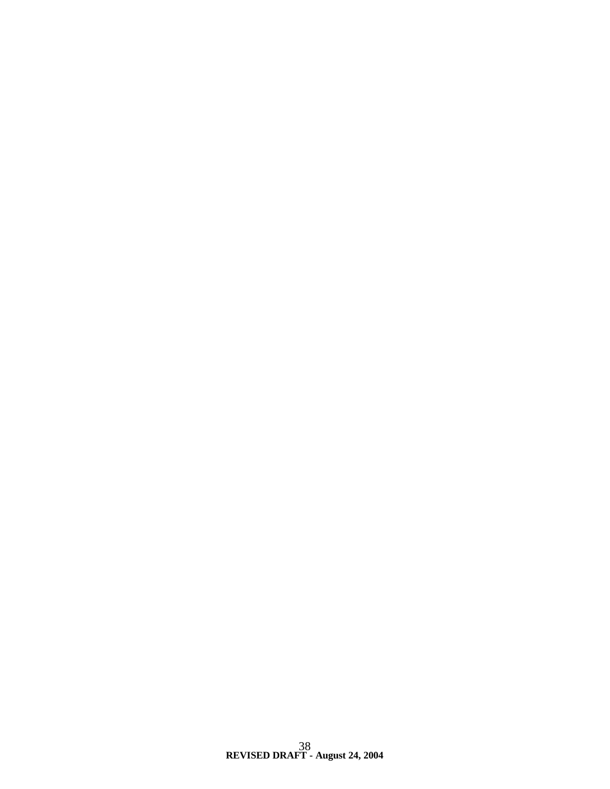38 **REVISED DRAFT - August 24, 2004**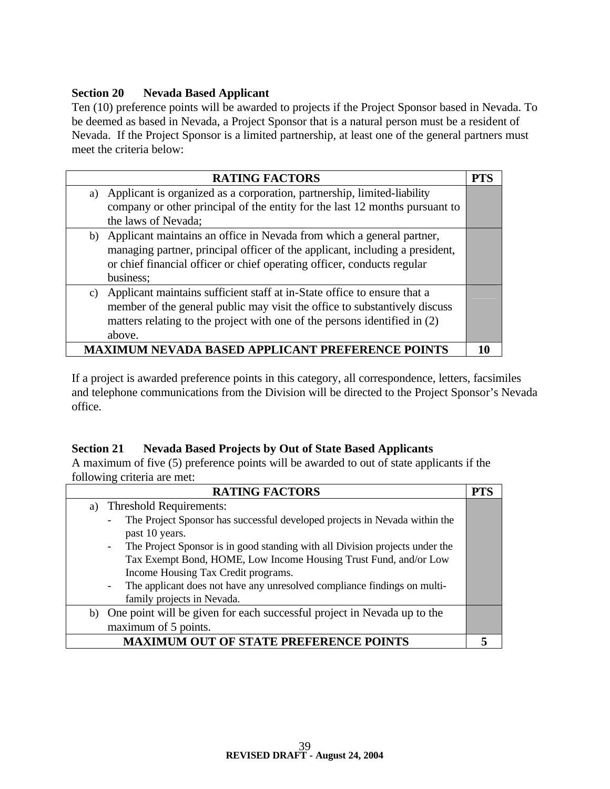# **Section 20 Nevada Based Applicant**

Ten (10) preference points will be awarded to projects if the Project Sponsor based in Nevada. To be deemed as based in Nevada, a Project Sponsor that is a natural person must be a resident of Nevada. If the Project Sponsor is a limited partnership, at least one of the general partners must meet the criteria below:

|    | <b>RATING FACTORS</b>                                                        | <b>PTS</b> |
|----|------------------------------------------------------------------------------|------------|
| a) | Applicant is organized as a corporation, partnership, limited-liability      |            |
|    | company or other principal of the entity for the last 12 months pursuant to  |            |
|    | the laws of Nevada;                                                          |            |
| b) | Applicant maintains an office in Nevada from which a general partner,        |            |
|    | managing partner, principal officer of the applicant, including a president, |            |
|    | or chief financial officer or chief operating officer, conducts regular      |            |
|    | business;                                                                    |            |
|    | c) Applicant maintains sufficient staff at in-State office to ensure that a  |            |
|    | member of the general public may visit the office to substantively discuss   |            |
|    | matters relating to the project with one of the persons identified in (2)    |            |
|    | above.                                                                       |            |
|    | M NEVADA BASED APPLICANT PREFERENCE POINTS                                   |            |

If a project is awarded preference points in this category, all correspondence, letters, facsimiles and telephone communications from the Division will be directed to the Project Sponsor's Nevada office.

### **Section 21 Nevada Based Projects by Out of State Based Applicants**

A maximum of five (5) preference points will be awarded to out of state applicants if the following criteria are met:

| <b>RATING FACTORS</b>                                                                                  | <b>PTS</b> |
|--------------------------------------------------------------------------------------------------------|------------|
| <b>Threshold Requirements:</b><br>a)                                                                   |            |
| The Project Sponsor has successful developed projects in Nevada within the<br>$\overline{\phantom{0}}$ |            |
| past 10 years.                                                                                         |            |
| The Project Sponsor is in good standing with all Division projects under the<br>$\sim 100$             |            |
| Tax Exempt Bond, HOME, Low Income Housing Trust Fund, and/or Low                                       |            |
| Income Housing Tax Credit programs.                                                                    |            |
| The applicant does not have any unresolved compliance findings on multi-<br>$\sim$                     |            |
| family projects in Nevada.                                                                             |            |
| b) One point will be given for each successful project in Nevada up to the                             |            |
| maximum of 5 points.                                                                                   |            |
| MAXIMUM OUT OF STATE PREFERENCE POINTS                                                                 |            |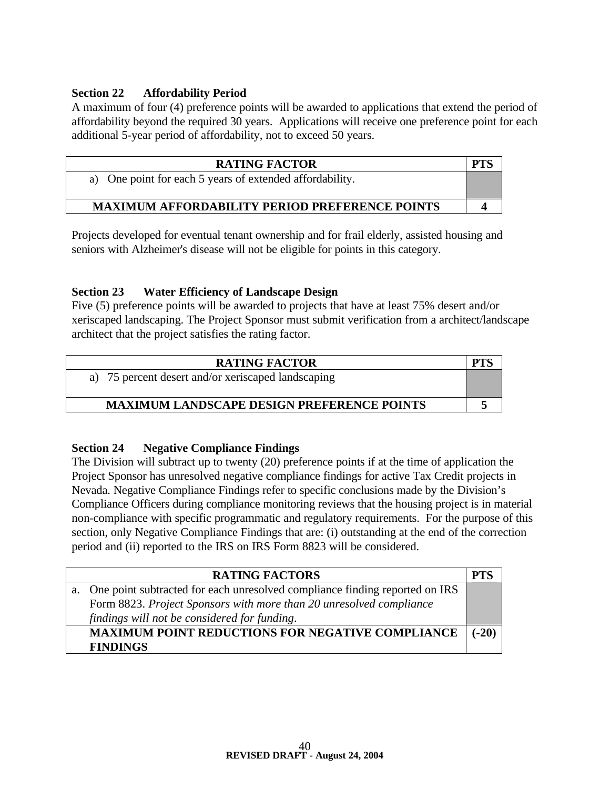# **Section 22 Affordability Period**

A maximum of four (4) preference points will be awarded to applications that extend the period of affordability beyond the required 30 years. Applications will receive one preference point for each additional 5-year period of affordability, not to exceed 50 years.

| <b>RATING FACTOR</b>                                     |  |
|----------------------------------------------------------|--|
| a) One point for each 5 years of extended affordability. |  |
|                                                          |  |
| <b>MAXIMUM AFFORDABILITY PERIOD PREFERENCE POINTS</b>    |  |

Projects developed for eventual tenant ownership and for frail elderly, assisted housing and seniors with Alzheimer's disease will not be eligible for points in this category.

### **Section 23 Water Efficiency of Landscape Design**

Five (5) preference points will be awarded to projects that have at least 75% desert and/or xeriscaped landscaping. The Project Sponsor must submit verification from a architect/landscape architect that the project satisfies the rating factor.

| <b>RATING FACTOR</b>                               |  |
|----------------------------------------------------|--|
| a) 75 percent desert and/or xeriscaped landscaping |  |
| <b>MAXIMUM LANDSCAPE DESIGN PREFERENCE POINTS</b>  |  |

### **Section 24 Negative Compliance Findings**

The Division will subtract up to twenty (20) preference points if at the time of application the Project Sponsor has unresolved negative compliance findings for active Tax Credit projects in Nevada. Negative Compliance Findings refer to specific conclusions made by the Division's Compliance Officers during compliance monitoring reviews that the housing project is in material non-compliance with specific programmatic and regulatory requirements. For the purpose of this section, only Negative Compliance Findings that are: (i) outstanding at the end of the correction period and (ii) reported to the IRS on IRS Form 8823 will be considered.

| <b>RATING FACTORS</b>                                                          | PTS     |
|--------------------------------------------------------------------------------|---------|
| a. One point subtracted for each unresolved compliance finding reported on IRS |         |
| Form 8823. Project Sponsors with more than 20 unresolved compliance            |         |
| findings will not be considered for funding.                                   |         |
| MAXIMUM POINT REDUCTIONS FOR NEGATIVE COMPLIANCE                               | $(-20)$ |
| <b>FINDINGS</b>                                                                |         |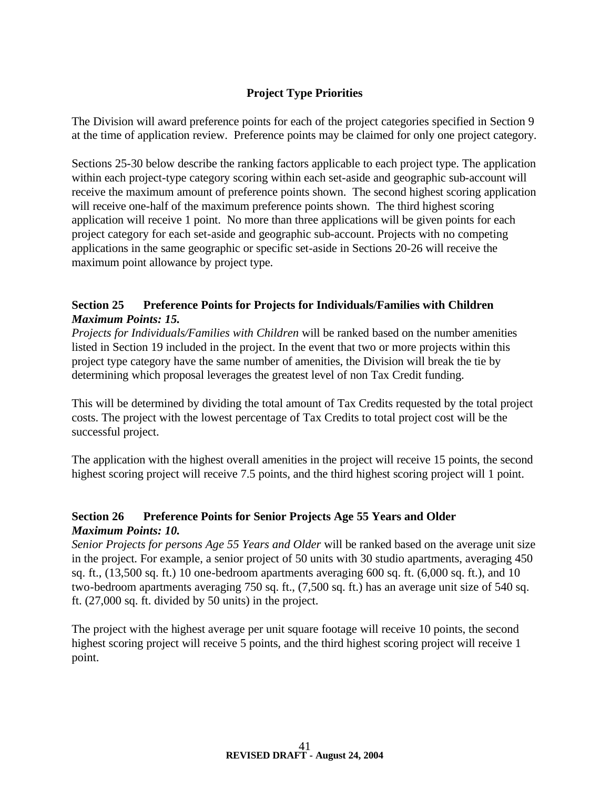# **Project Type Priorities**

The Division will award preference points for each of the project categories specified in Section 9 at the time of application review. Preference points may be claimed for only one project category.

Sections 25-30 below describe the ranking factors applicable to each project type. The application within each project-type category scoring within each set-aside and geographic sub-account will receive the maximum amount of preference points shown. The second highest scoring application will receive one-half of the maximum preference points shown. The third highest scoring application will receive 1 point. No more than three applications will be given points for each project category for each set-aside and geographic sub-account. Projects with no competing applications in the same geographic or specific set-aside in Sections 20-26 will receive the maximum point allowance by project type.

### **Section 25 Preference Points for Projects for Individuals/Families with Children**  *Maximum Points: 15.*

*Projects for Individuals/Families with Children* will be ranked based on the number amenities listed in Section 19 included in the project. In the event that two or more projects within this project type category have the same number of amenities, the Division will break the tie by determining which proposal leverages the greatest level of non Tax Credit funding.

This will be determined by dividing the total amount of Tax Credits requested by the total project costs. The project with the lowest percentage of Tax Credits to total project cost will be the successful project.

The application with the highest overall amenities in the project will receive 15 points, the second highest scoring project will receive 7.5 points, and the third highest scoring project will 1 point.

### **Section 26 Preference Points for Senior Projects Age 55 Years and Older**  *Maximum Points: 10.*

*Senior Projects for persons Age 55 Years and Older* will be ranked based on the average unit size in the project. For example, a senior project of 50 units with 30 studio apartments, averaging 450 sq. ft., (13,500 sq. ft.) 10 one-bedroom apartments averaging 600 sq. ft. (6,000 sq. ft.), and 10 two-bedroom apartments averaging 750 sq. ft., (7,500 sq. ft.) has an average unit size of 540 sq. ft. (27,000 sq. ft. divided by 50 units) in the project.

The project with the highest average per unit square footage will receive 10 points, the second highest scoring project will receive 5 points, and the third highest scoring project will receive 1 point.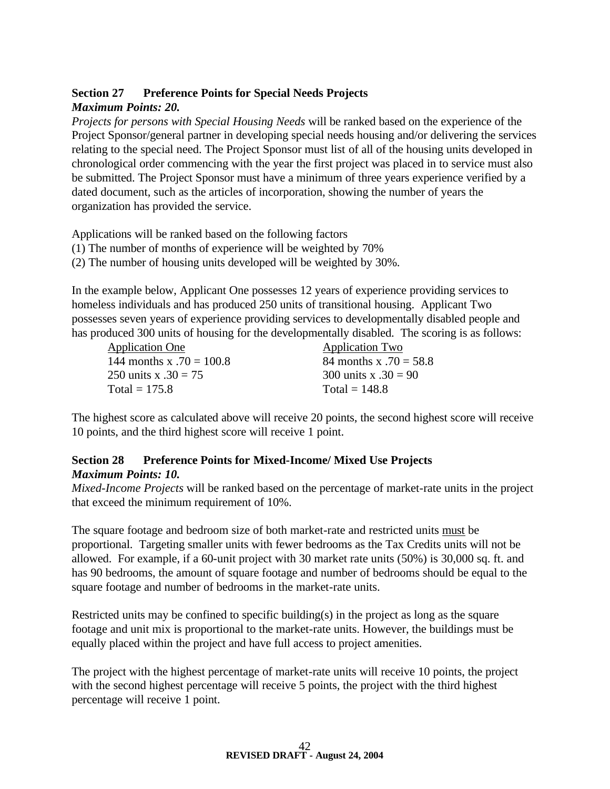#### **Section 27 Preference Points for Special Needs Projects** *Maximum Points: 20.*

*Projects for persons with Special Housing Needs* will be ranked based on the experience of the Project Sponsor/general partner in developing special needs housing and/or delivering the services relating to the special need. The Project Sponsor must list of all of the housing units developed in chronological order commencing with the year the first project was placed in to service must also be submitted. The Project Sponsor must have a minimum of three years experience verified by a dated document, such as the articles of incorporation, showing the number of years the organization has provided the service.

Applications will be ranked based on the following factors

- (1) The number of months of experience will be weighted by 70%
- (2) The number of housing units developed will be weighted by 30%.

In the example below, Applicant One possesses 12 years of experience providing services to homeless individuals and has produced 250 units of transitional housing. Applicant Two possesses seven years of experience providing services to developmentally disabled people and has produced 300 units of housing for the developmentally disabled. The scoring is as follows:

| <b>Application One</b>     | <b>Application Two</b> |
|----------------------------|------------------------|
| 144 months x $.70 = 100.8$ | 84 months x .70 = 58.8 |
| 250 units x $.30 = 75$     | 300 units x .30 = 90   |
| Total = $175.8$            | Total = $148.8$        |

The highest score as calculated above will receive 20 points, the second highest score will receive 10 points, and the third highest score will receive 1 point.

# **Section 28 Preference Points for Mixed-Income/ Mixed Use Projects**  *Maximum Points: 10.*

*Mixed-Income Projects* will be ranked based on the percentage of market-rate units in the project that exceed the minimum requirement of 10%.

The square footage and bedroom size of both market-rate and restricted units must be proportional. Targeting smaller units with fewer bedrooms as the Tax Credits units will not be allowed. For example, if a 60-unit project with 30 market rate units (50%) is 30,000 sq. ft. and has 90 bedrooms, the amount of square footage and number of bedrooms should be equal to the square footage and number of bedrooms in the market-rate units.

Restricted units may be confined to specific building(s) in the project as long as the square footage and unit mix is proportional to the market-rate units. However, the buildings must be equally placed within the project and have full access to project amenities.

The project with the highest percentage of market-rate units will receive 10 points, the project with the second highest percentage will receive 5 points, the project with the third highest percentage will receive 1 point.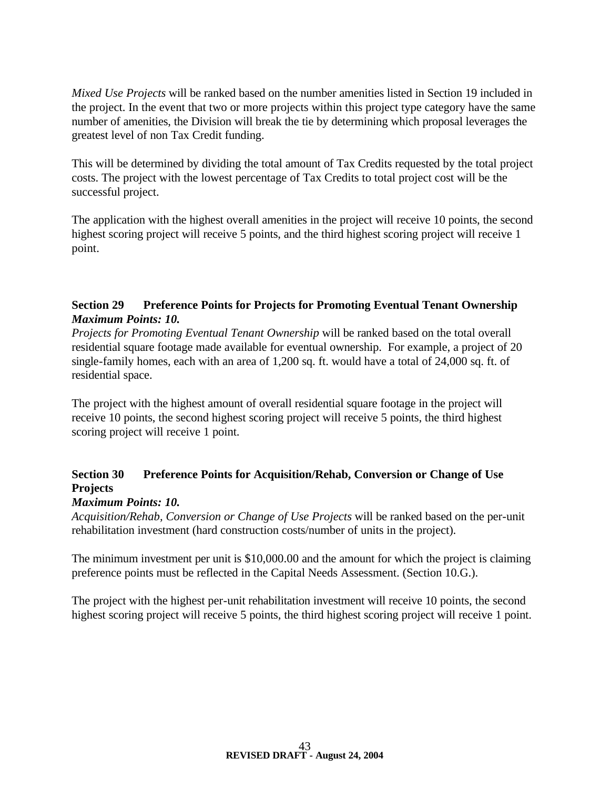*Mixed Use Projects* will be ranked based on the number amenities listed in Section 19 included in the project. In the event that two or more projects within this project type category have the same number of amenities, the Division will break the tie by determining which proposal leverages the greatest level of non Tax Credit funding.

This will be determined by dividing the total amount of Tax Credits requested by the total project costs. The project with the lowest percentage of Tax Credits to total project cost will be the successful project.

The application with the highest overall amenities in the project will receive 10 points, the second highest scoring project will receive 5 points, and the third highest scoring project will receive 1 point.

## **Section 29 Preference Points for Projects for Promoting Eventual Tenant Ownership**  *Maximum Points: 10.*

*Projects for Promoting Eventual Tenant Ownership* will be ranked based on the total overall residential square footage made available for eventual ownership. For example, a project of 20 single-family homes, each with an area of 1,200 sq. ft. would have a total of 24,000 sq. ft. of residential space.

The project with the highest amount of overall residential square footage in the project will receive 10 points, the second highest scoring project will receive 5 points, the third highest scoring project will receive 1 point.

# **Section 30 Preference Points for Acquisition/Rehab, Conversion or Change of Use Projects**

#### *Maximum Points: 10.*

*Acquisition/Rehab, Conversion or Change of Use Projects* will be ranked based on the per-unit rehabilitation investment (hard construction costs/number of units in the project).

The minimum investment per unit is \$10,000.00 and the amount for which the project is claiming preference points must be reflected in the Capital Needs Assessment. (Section 10.G.).

The project with the highest per-unit rehabilitation investment will receive 10 points, the second highest scoring project will receive 5 points, the third highest scoring project will receive 1 point.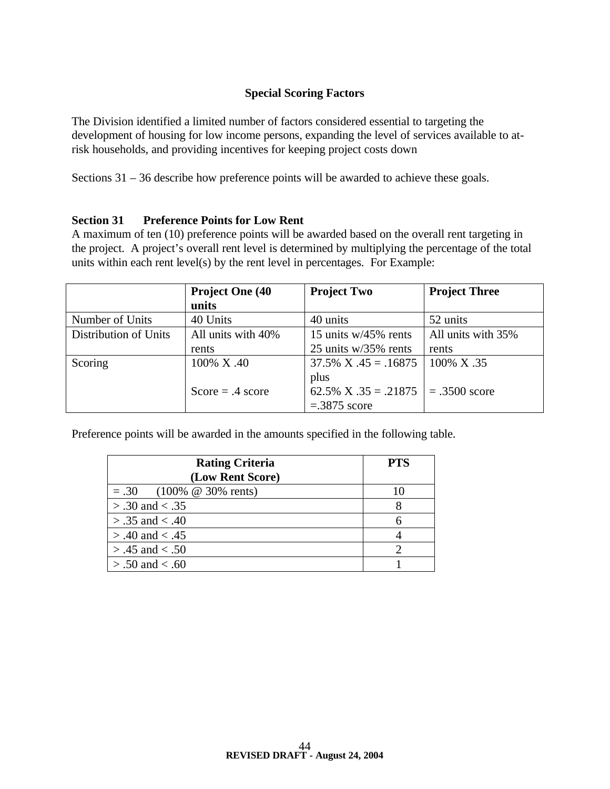# **Special Scoring Factors**

The Division identified a limited number of factors considered essential to targeting the development of housing for low income persons, expanding the level of services available to atrisk households, and providing incentives for keeping project costs down

Sections 31 – 36 describe how preference points will be awarded to achieve these goals.

#### **Section 31 Preference Points for Low Rent**

A maximum of ten (10) preference points will be awarded based on the overall rent targeting in the project. A project's overall rent level is determined by multiplying the percentage of the total units within each rent level(s) by the rent level in percentages. For Example:

|                       | <b>Project One (40)</b> | <b>Project Two</b>                         | <b>Project Three</b>  |
|-----------------------|-------------------------|--------------------------------------------|-----------------------|
|                       | units                   |                                            |                       |
| Number of Units       | 40 Units                | 40 units                                   | 52 units              |
| Distribution of Units | All units with 40%      | 15 units $w/45\%$ rents                    | All units with 35%    |
|                       | rents                   | 25 units $w/35\%$ rents                    | rents                 |
| Scoring               | 100% X.40               | $37.5\%$ X $.45 = .16875$                  | $100\% \text{ X}$ .35 |
|                       |                         | plus                                       |                       |
|                       | $Score = .4 score$      | 62.5% X .35 = .21875 $\vert$ = .3500 score |                       |
|                       |                         | $=.3875$ score                             |                       |

Preference points will be awarded in the amounts specified in the following table.

| <b>Rating Criteria</b><br>(Low Rent Score) | <b>PTS</b> |
|--------------------------------------------|------------|
| $= .30$ (100% @ 30% rents)                 | 10         |
| $> .30$ and $< .35$                        |            |
| $> .35$ and $< .40$                        |            |
| $> .40$ and $< .45$                        |            |
| $> .45$ and $< .50$                        |            |
| $> .50$ and $< .60$                        |            |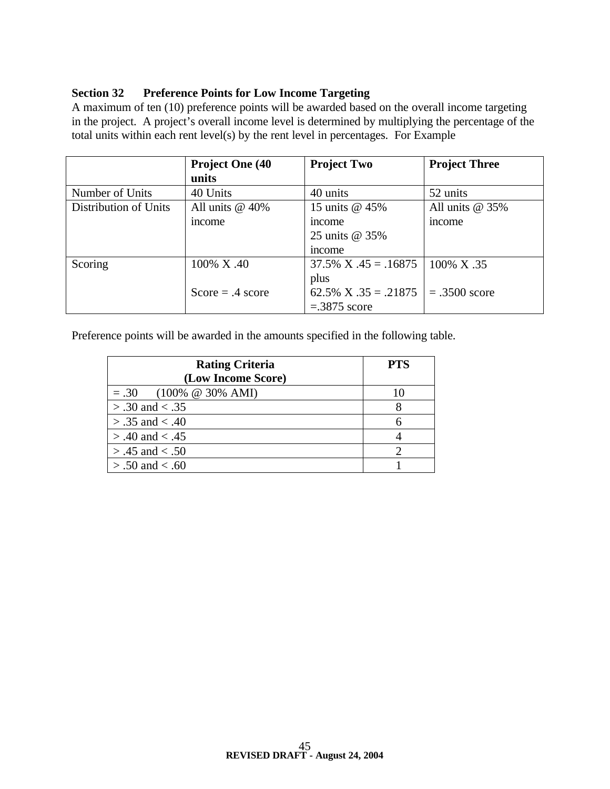# **Section 32 Preference Points for Low Income Targeting**

A maximum of ten (10) preference points will be awarded based on the overall income targeting in the project. A project's overall income level is determined by multiplying the percentage of the total units within each rent level(s) by the rent level in percentages. For Example

|                       | <b>Project One (40)</b> | <b>Project Two</b>                   | <b>Project Three</b> |
|-----------------------|-------------------------|--------------------------------------|----------------------|
|                       | units                   |                                      |                      |
| Number of Units       | 40 Units                | 40 units                             | 52 units             |
| Distribution of Units | All units $@$ 40%       | 15 units @ 45%                       | All units $@35\%$    |
|                       | <i>ncome</i>            | <i>ncome</i>                         | <i>ncome</i>         |
|                       |                         | 25 units @ 35%                       |                      |
|                       |                         | mcome                                |                      |
| Scoring               | 100% X.40               | $37.5\%$ X $.45 = .16875$            | $100\%$ X .35        |
|                       |                         | plus                                 |                      |
|                       | $Score = .4 score$      | 62.5% X .35 = .21875   = .3500 score |                      |
|                       |                         | $=.3875$ score                       |                      |

Preference points will be awarded in the amounts specified in the following table.

| <b>Rating Criteria</b>   | <b>PTS</b> |
|--------------------------|------------|
| (Low Income Score)       |            |
| $= .30$ (100% @ 30% AMI) |            |
| $> .30$ and $< .35$      |            |
| $> .35$ and $< .40$      |            |
| $> .40$ and $< .45$      |            |
| $> .45$ and $< .50$      |            |
| $> .50$ and $< .60$      |            |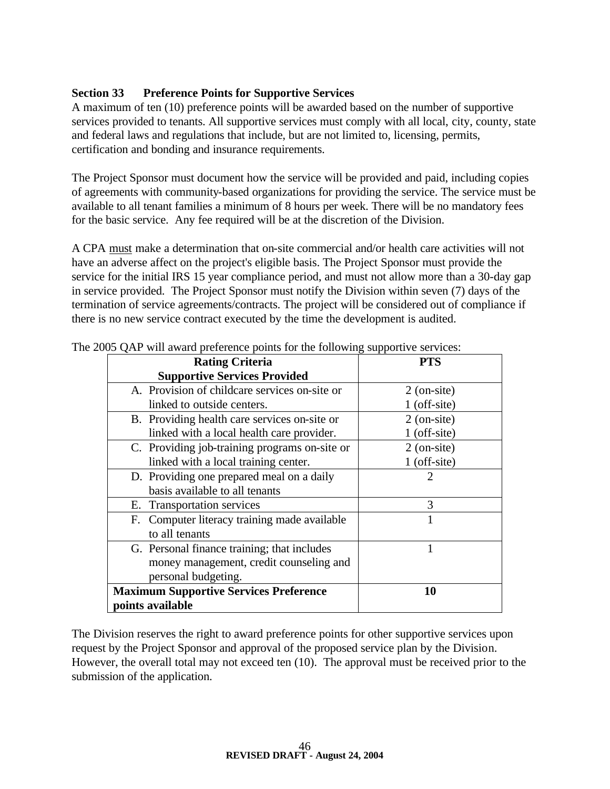# **Section 33 Preference Points for Supportive Services**

A maximum of ten (10) preference points will be awarded based on the number of supportive services provided to tenants. All supportive services must comply with all local, city, county, state and federal laws and regulations that include, but are not limited to, licensing, permits, certification and bonding and insurance requirements.

The Project Sponsor must document how the service will be provided and paid, including copies of agreements with community-based organizations for providing the service. The service must be available to all tenant families a minimum of 8 hours per week. There will be no mandatory fees for the basic service. Any fee required will be at the discretion of the Division.

A CPA must make a determination that on-site commercial and/or health care activities will not have an adverse affect on the project's eligible basis. The Project Sponsor must provide the service for the initial IRS 15 year compliance period, and must not allow more than a 30-day gap in service provided. The Project Sponsor must notify the Division within seven (7) days of the termination of service agreements/contracts. The project will be considered out of compliance if there is no new service contract executed by the time the development is audited.

| 00 QAT will award preference points for the following supportive services. |                       |
|----------------------------------------------------------------------------|-----------------------|
| <b>Rating Criteria</b>                                                     | <b>PTS</b>            |
| <b>Supportive Services Provided</b>                                        |                       |
| A. Provision of childcare services on-site or                              | $2$ (on-site)         |
| linked to outside centers.                                                 | $1$ (off-site)        |
| B. Providing health care services on-site or                               | $2$ (on-site)         |
| linked with a local health care provider.                                  | $1$ (off-site)        |
| C. Providing job-training programs on-site or                              | $2$ (on-site)         |
| linked with a local training center.                                       | $1$ (off-site)        |
| D. Providing one prepared meal on a daily                                  | $\mathcal{D}_{\cdot}$ |
| basis available to all tenants                                             |                       |
| E. Transportation services                                                 | 3                     |
| F. Computer literacy training made available                               |                       |
| to all tenants                                                             |                       |
| G. Personal finance training; that includes                                |                       |
| money management, credit counseling and                                    |                       |
| personal budgeting.                                                        |                       |
| <b>Maximum Supportive Services Preference</b>                              | 10                    |
| points available                                                           |                       |

The 2005 OAP will award preference points for the following supportive services:

The Division reserves the right to award preference points for other supportive services upon request by the Project Sponsor and approval of the proposed service plan by the Division. However, the overall total may not exceed ten (10). The approval must be received prior to the submission of the application.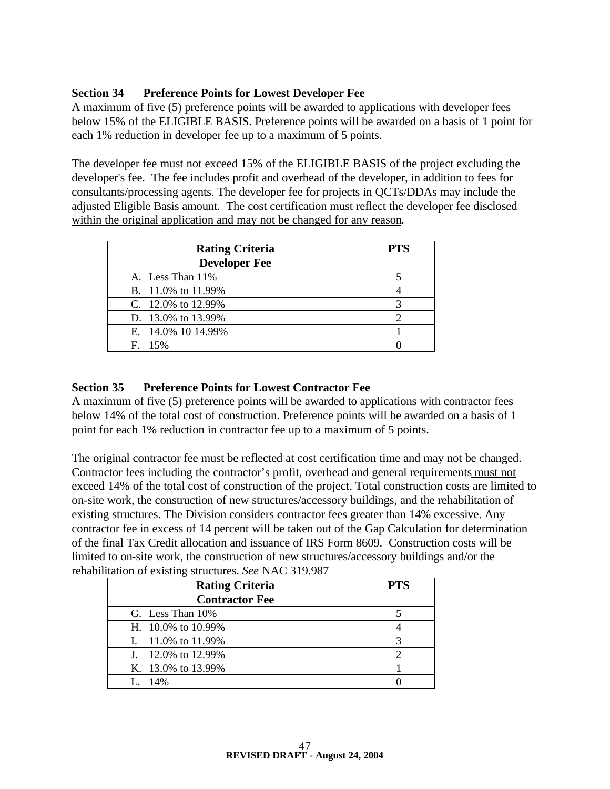# **Section 34 Preference Points for Lowest Developer Fee**

A maximum of five (5) preference points will be awarded to applications with developer fees below 15% of the ELIGIBLE BASIS. Preference points will be awarded on a basis of 1 point for each 1% reduction in developer fee up to a maximum of 5 points.

The developer fee must not exceed 15% of the ELIGIBLE BASIS of the project excluding the developer's fee. The fee includes profit and overhead of the developer, in addition to fees for consultants/processing agents. The developer fee for projects in QCTs/DDAs may include the adjusted Eligible Basis amount. The cost certification must reflect the developer fee disclosed within the original application and may not be changed for any reason.

| <b>Rating Criteria</b><br><b>Developer Fee</b> | <b>PTS</b> |
|------------------------------------------------|------------|
| A. Less Than 11%                               |            |
| B. 11.0% to 11.99%                             |            |
| C. 12.0% to 12.99%                             |            |
| D. 13.0% to 13.99%                             |            |
| E. 14.0% 10 14.99%                             |            |
| $F = 15\%$                                     |            |

# **Section 35 Preference Points for Lowest Contractor Fee**

A maximum of five (5) preference points will be awarded to applications with contractor fees below 14% of the total cost of construction. Preference points will be awarded on a basis of 1 point for each 1% reduction in contractor fee up to a maximum of 5 points.

The original contractor fee must be reflected at cost certification time and may not be changed. Contractor fees including the contractor's profit, overhead and general requirements must not exceed 14% of the total cost of construction of the project. Total construction costs are limited to on-site work, the construction of new structures/accessory buildings, and the rehabilitation of existing structures. The Division considers contractor fees greater than 14% excessive. Any contractor fee in excess of 14 percent will be taken out of the Gap Calculation for determination of the final Tax Credit allocation and issuance of IRS Form 8609. Construction costs will be limited to on-site work, the construction of new structures/accessory buildings and/or the rehabilitation of existing structures. *See* NAC 319.987

| <b>Rating Criteria</b> | <b>PTS</b> |
|------------------------|------------|
| <b>Contractor Fee</b>  |            |
| G. Less Than 10%       |            |
| H. $10.0\%$ to 10.99%  |            |
| I. 11.0% to 11.99%     |            |
| J. 12.0% to 12.99%     |            |
| K. 13.0% to 13.99%     |            |
| 14%                    |            |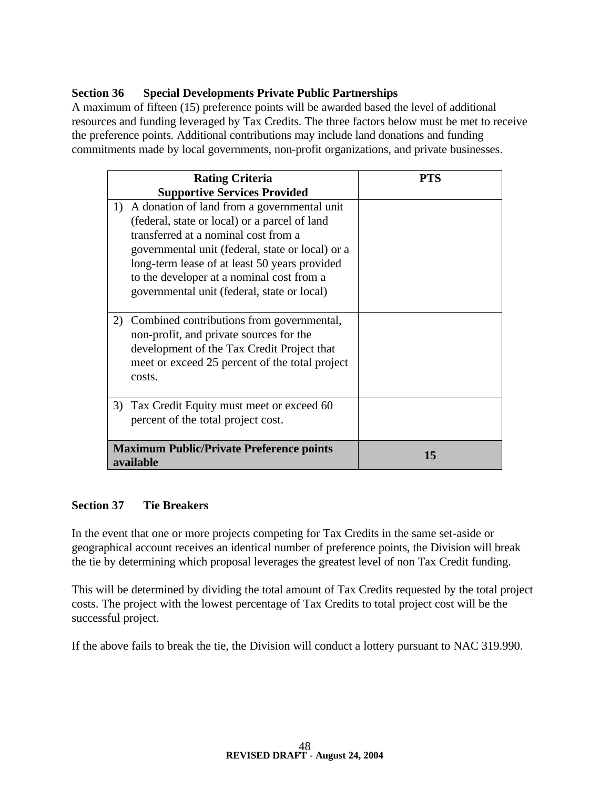# **Section 36 Special Developments Private Public Partnerships**

A maximum of fifteen (15) preference points will be awarded based the level of additional resources and funding leveraged by Tax Credits. The three factors below must be met to receive the preference points. Additional contributions may include land donations and funding commitments made by local governments, non-profit organizations, and private businesses.

| <b>Rating Criteria</b><br><b>Supportive Services Provided</b>                                                                                                                                                                                                                                                                               | PTS |
|---------------------------------------------------------------------------------------------------------------------------------------------------------------------------------------------------------------------------------------------------------------------------------------------------------------------------------------------|-----|
| A donation of land from a governmental unit<br>1)<br>(federal, state or local) or a parcel of land<br>transferred at a nominal cost from a<br>governmental unit (federal, state or local) or a<br>long-term lease of at least 50 years provided<br>to the developer at a nominal cost from a<br>governmental unit (federal, state or local) |     |
| Combined contributions from governmental,<br>2)<br>non-profit, and private sources for the<br>development of the Tax Credit Project that<br>meet or exceed 25 percent of the total project<br>costs.                                                                                                                                        |     |
| Tax Credit Equity must meet or exceed 60<br>3)<br>percent of the total project cost.                                                                                                                                                                                                                                                        |     |
| <b>Maximum Public/Private Preference points</b><br>available                                                                                                                                                                                                                                                                                | 15  |

### **Section 37 Tie Breakers**

In the event that one or more projects competing for Tax Credits in the same set-aside or geographical account receives an identical number of preference points, the Division will break the tie by determining which proposal leverages the greatest level of non Tax Credit funding.

This will be determined by dividing the total amount of Tax Credits requested by the total project costs. The project with the lowest percentage of Tax Credits to total project cost will be the successful project.

If the above fails to break the tie, the Division will conduct a lottery pursuant to NAC 319.990.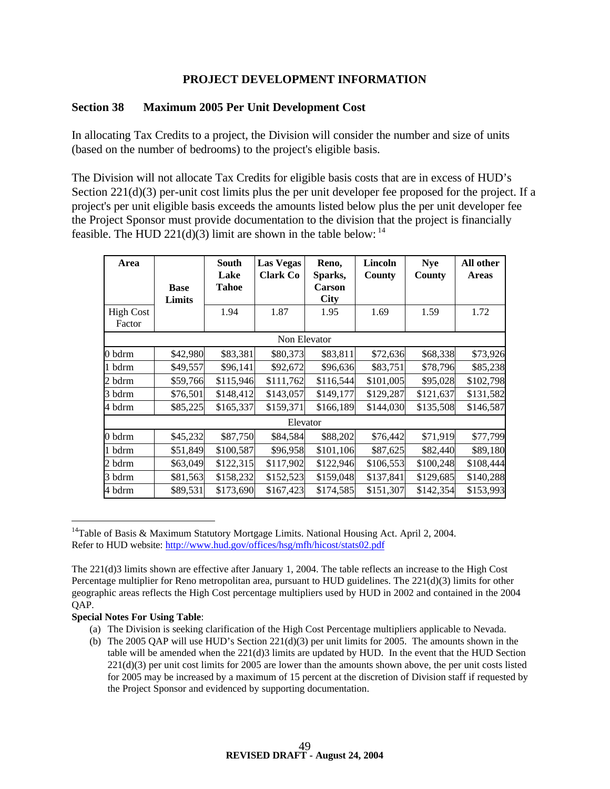#### **PROJECT DEVELOPMENT INFORMATION**

#### **Section 38 Maximum 2005 Per Unit Development Cost**

In allocating Tax Credits to a project, the Division will consider the number and size of units (based on the number of bedrooms) to the project's eligible basis.

The Division will not allocate Tax Credits for eligible basis costs that are in excess of HUD's Section 221(d)(3) per-unit cost limits plus the per unit developer fee proposed for the project. If a project's per unit eligible basis exceeds the amounts listed below plus the per unit developer fee the Project Sponsor must provide documentation to the division that the project is financially feasible. The HUD 221(d)(3) limit are shown in the table below:  $14$ 

| Area                       | <b>Base</b><br>Limits | South<br>Lake<br><b>Tahoe</b> | <b>Las Vegas</b><br><b>Clark Co</b> | Reno,<br>Sparks,<br><b>Carson</b><br>City | Lincoln<br>County | <b>Nye</b><br>County | All other<br><b>Areas</b> |
|----------------------------|-----------------------|-------------------------------|-------------------------------------|-------------------------------------------|-------------------|----------------------|---------------------------|
| <b>High Cost</b><br>Factor |                       | 1.94                          | 1.87                                | 1.95                                      | 1.69              | 1.59                 | 1.72                      |
|                            |                       |                               | Non Elevator                        |                                           |                   |                      |                           |
| 0 bdrm                     | \$42,980              | \$83,381                      | \$80,373                            | \$83,811                                  | \$72,636          | \$68,338             | \$73,926                  |
| 1 bdrm                     | \$49,557              | \$96,141                      | \$92,672                            | \$96,636                                  | \$83,751          | \$78,796             | \$85,238                  |
| 2 bdrm                     | \$59,766              | \$115,946                     | \$111,762                           | \$116,544                                 | \$101,005         | \$95,028             | \$102,798                 |
| 3 bdrm                     | \$76,501              | \$148,412                     | \$143,057                           | \$149,177                                 | \$129,287         | \$121,637            | \$131,582                 |
| 4 bdrm                     | \$85,225              | \$165,337                     | \$159,371                           | \$166,189                                 | \$144,030         | \$135,508            | \$146,587                 |
|                            | Elevator              |                               |                                     |                                           |                   |                      |                           |
| 0 bdrm                     | \$45,232              | \$87,750                      | \$84,584                            | \$88,202                                  | \$76,442          | \$71,919             | \$77,799                  |
| 1 bdrm                     | \$51,849              | \$100,587                     | \$96,958                            | \$101,106                                 | \$87,625          | \$82,440             | \$89,180                  |
| 2 bdrm                     | \$63,049              | \$122,315                     | \$117,902                           | \$122,946                                 | \$106,553         | \$100,248            | \$108,444                 |
| 3 bdrm                     | \$81,563              | \$158,232                     | \$152,523                           | \$159,048                                 | \$137,841         | \$129,685            | \$140,288                 |
| 4 bdrm                     | \$89,531              | \$173,690                     | \$167,423                           | \$174,585                                 | \$151,307         | \$142,354            | \$153,993                 |

<sup>&</sup>lt;sup>14</sup>Table of Basis & Maximum Statutory Mortgage Limits. National Housing Act. April 2, 2004. Refer to HUD website: http://www.hud.gov/offices/hsg/mfh/hicost/stats02.pdf

#### **Special Notes For Using Table**:

 $\overline{a}$ 

- (a) The Division is seeking clarification of the High Cost Percentage multipliers applicable to Nevada.
- (b) The 2005 QAP will use HUD's Section 221(d)(3) per unit limits for 2005. The amounts shown in the table will be amended when the  $221(d)3$  limits are updated by HUD. In the event that the HUD Section 221(d)(3) per unit cost limits for 2005 are lower than the amounts shown above, the per unit costs listed for 2005 may be increased by a maximum of 15 percent at the discretion of Division staff if requested by the Project Sponsor and evidenced by supporting documentation.

The 221(d)3 limits shown are effective after January 1, 2004. The table reflects an increase to the High Cost Percentage multiplier for Reno metropolitan area, pursuant to HUD guidelines. The 221(d)(3) limits for other geographic areas reflects the High Cost percentage multipliers used by HUD in 2002 and contained in the 2004 QAP.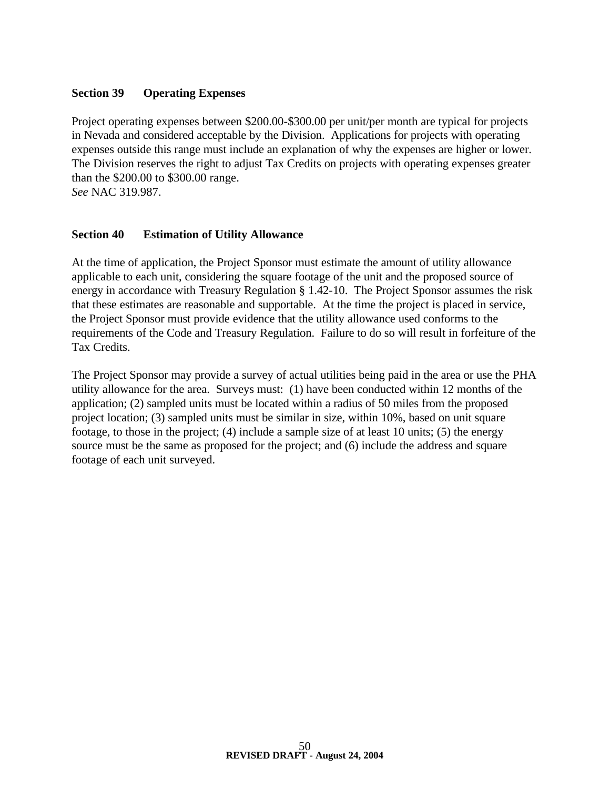#### **Section 39 Operating Expenses**

Project operating expenses between \$200.00-\$300.00 per unit/per month are typical for projects in Nevada and considered acceptable by the Division. Applications for projects with operating expenses outside this range must include an explanation of why the expenses are higher or lower. The Division reserves the right to adjust Tax Credits on projects with operating expenses greater than the \$200.00 to \$300.00 range. *See* NAC 319.987.

#### **Section 40 Estimation of Utility Allowance**

At the time of application, the Project Sponsor must estimate the amount of utility allowance applicable to each unit, considering the square footage of the unit and the proposed source of energy in accordance with Treasury Regulation § 1.42-10. The Project Sponsor assumes the risk that these estimates are reasonable and supportable. At the time the project is placed in service, the Project Sponsor must provide evidence that the utility allowance used conforms to the requirements of the Code and Treasury Regulation. Failure to do so will result in forfeiture of the Tax Credits.

The Project Sponsor may provide a survey of actual utilities being paid in the area or use the PHA utility allowance for the area. Surveys must: (1) have been conducted within 12 months of the application; (2) sampled units must be located within a radius of 50 miles from the proposed project location; (3) sampled units must be similar in size, within 10%, based on unit square footage, to those in the project; (4) include a sample size of at least 10 units; (5) the energy source must be the same as proposed for the project; and (6) include the address and square footage of each unit surveyed.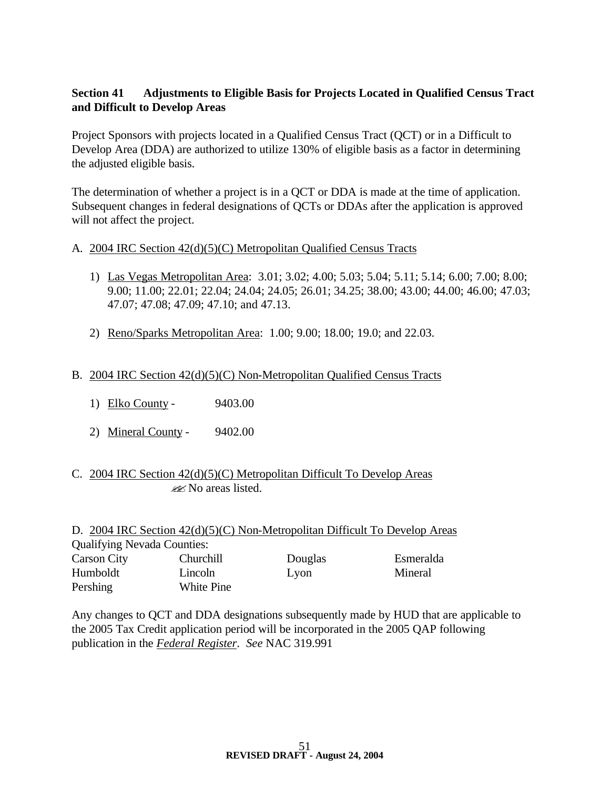# **Section 41 Adjustments to Eligible Basis for Projects Located in Qualified Census Tract and Difficult to Develop Areas**

Project Sponsors with projects located in a Qualified Census Tract (QCT) or in a Difficult to Develop Area (DDA) are authorized to utilize 130% of eligible basis as a factor in determining the adjusted eligible basis.

The determination of whether a project is in a QCT or DDA is made at the time of application. Subsequent changes in federal designations of QCTs or DDAs after the application is approved will not affect the project.

#### A. 2004 IRC Section 42(d)(5)(C) Metropolitan Qualified Census Tracts

- 1) Las Vegas Metropolitan Area: 3.01; 3.02; 4.00; 5.03; 5.04; 5.11; 5.14; 6.00; 7.00; 8.00; 9.00; 11.00; 22.01; 22.04; 24.04; 24.05; 26.01; 34.25; 38.00; 43.00; 44.00; 46.00; 47.03; 47.07; 47.08; 47.09; 47.10; and 47.13.
- 2) Reno/Sparks Metropolitan Area: 1.00; 9.00; 18.00; 19.0; and 22.03.

### B. 2004 IRC Section 42(d)(5)(C) Non-Metropolitan Qualified Census Tracts

- 1) Elko County 9403.00
- 2) Mineral County 9402.00

### C. 2004 IRC Section 42(d)(5)(C) Metropolitan Difficult To Develop Areas **EX** No areas listed.

|                                    | D. 2004 IRC Section 42(d)(5)(C) Non-Metropolitan Difficult To Develop Areas |         |           |
|------------------------------------|-----------------------------------------------------------------------------|---------|-----------|
| <b>Qualifying Nevada Counties:</b> |                                                                             |         |           |
| Carson City                        | Churchill                                                                   | Douglas | Esmeralda |
| Humboldt                           | Lincoln                                                                     | Lyon    | Mineral   |
| Pershing                           | White Pine                                                                  |         |           |

Any changes to QCT and DDA designations subsequently made by HUD that are applicable to the 2005 Tax Credit application period will be incorporated in the 2005 QAP following publication in the *Federal Register*. *See* NAC 319.991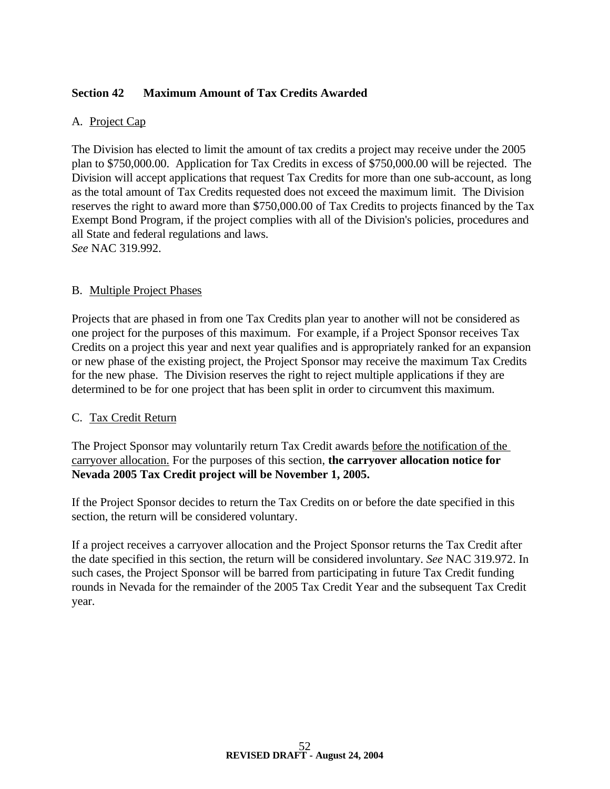# **Section 42 Maximum Amount of Tax Credits Awarded**

### A. Project Cap

The Division has elected to limit the amount of tax credits a project may receive under the 2005 plan to \$750,000.00. Application for Tax Credits in excess of \$750,000.00 will be rejected. The Division will accept applications that request Tax Credits for more than one sub-account, as long as the total amount of Tax Credits requested does not exceed the maximum limit. The Division reserves the right to award more than \$750,000.00 of Tax Credits to projects financed by the Tax Exempt Bond Program, if the project complies with all of the Division's policies, procedures and all State and federal regulations and laws. *See* NAC 319.992.

### B. Multiple Project Phases

Projects that are phased in from one Tax Credits plan year to another will not be considered as one project for the purposes of this maximum. For example, if a Project Sponsor receives Tax Credits on a project this year and next year qualifies and is appropriately ranked for an expansion or new phase of the existing project, the Project Sponsor may receive the maximum Tax Credits for the new phase. The Division reserves the right to reject multiple applications if they are determined to be for one project that has been split in order to circumvent this maximum.

#### C. Tax Credit Return

The Project Sponsor may voluntarily return Tax Credit awards before the notification of the carryover allocation. For the purposes of this section, **the carryover allocation notice for Nevada 2005 Tax Credit project will be November 1, 2005.** 

If the Project Sponsor decides to return the Tax Credits on or before the date specified in this section, the return will be considered voluntary.

If a project receives a carryover allocation and the Project Sponsor returns the Tax Credit after the date specified in this section, the return will be considered involuntary. *See* NAC 319.972. In such cases, the Project Sponsor will be barred from participating in future Tax Credit funding rounds in Nevada for the remainder of the 2005 Tax Credit Year and the subsequent Tax Credit year.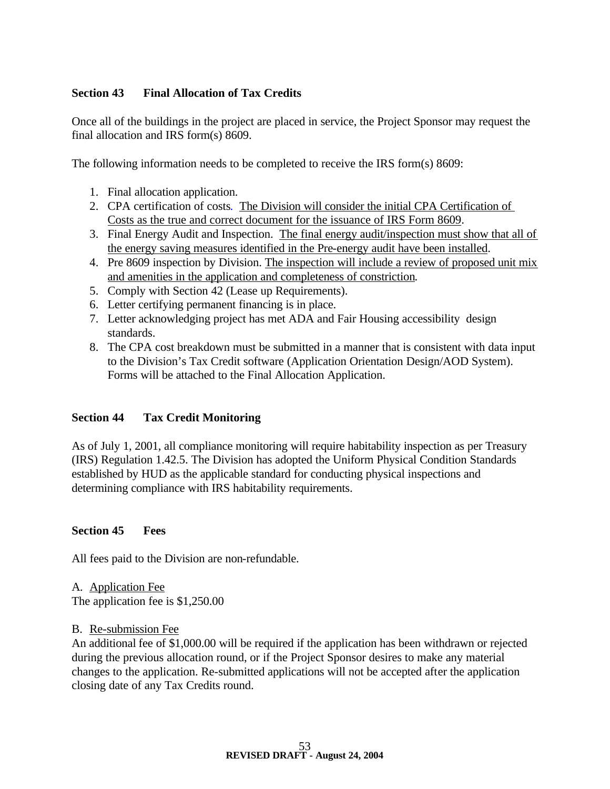# **Section 43 Final Allocation of Tax Credits**

Once all of the buildings in the project are placed in service, the Project Sponsor may request the final allocation and IRS form(s) 8609.

The following information needs to be completed to receive the IRS form(s) 8609:

- 1. Final allocation application.
- 2. CPA certification of costs. The Division will consider the initial CPA Certification of Costs as the true and correct document for the issuance of IRS Form 8609.
- 3. Final Energy Audit and Inspection. The final energy audit/inspection must show that all of the energy saving measures identified in the Pre-energy audit have been installed.
- 4. Pre 8609 inspection by Division. The inspection will include a review of proposed unit mix and amenities in the application and completeness of constriction.
- 5. Comply with Section 42 (Lease up Requirements).
- 6. Letter certifying permanent financing is in place.
- 7. Letter acknowledging project has met ADA and Fair Housing accessibility design standards.
- 8. The CPA cost breakdown must be submitted in a manner that is consistent with data input to the Division's Tax Credit software (Application Orientation Design/AOD System). Forms will be attached to the Final Allocation Application.

### **Section 44 Tax Credit Monitoring**

As of July 1, 2001, all compliance monitoring will require habitability inspection as per Treasury (IRS) Regulation 1.42.5. The Division has adopted the Uniform Physical Condition Standards established by HUD as the applicable standard for conducting physical inspections and determining compliance with IRS habitability requirements.

#### **Section 45 Fees**

All fees paid to the Division are non-refundable.

A. Application Fee The application fee is \$1,250.00

#### B. Re-submission Fee

An additional fee of \$1,000.00 will be required if the application has been withdrawn or rejected during the previous allocation round, or if the Project Sponsor desires to make any material changes to the application. Re-submitted applications will not be accepted after the application closing date of any Tax Credits round.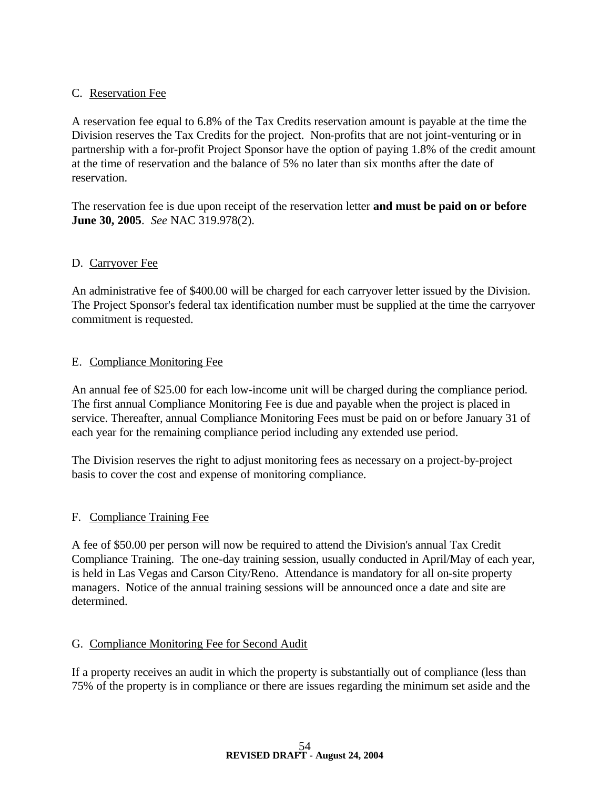#### C. Reservation Fee

A reservation fee equal to 6.8% of the Tax Credits reservation amount is payable at the time the Division reserves the Tax Credits for the project. Non-profits that are not joint-venturing or in partnership with a for-profit Project Sponsor have the option of paying 1.8% of the credit amount at the time of reservation and the balance of 5% no later than six months after the date of reservation.

The reservation fee is due upon receipt of the reservation letter **and must be paid on or before June 30, 2005**. *See* NAC 319.978(2).

### D. Carryover Fee

An administrative fee of \$400.00 will be charged for each carryover letter issued by the Division. The Project Sponsor's federal tax identification number must be supplied at the time the carryover commitment is requested.

#### E. Compliance Monitoring Fee

An annual fee of \$25.00 for each low-income unit will be charged during the compliance period. The first annual Compliance Monitoring Fee is due and payable when the project is placed in service. Thereafter, annual Compliance Monitoring Fees must be paid on or before January 31 of each year for the remaining compliance period including any extended use period.

The Division reserves the right to adjust monitoring fees as necessary on a project-by-project basis to cover the cost and expense of monitoring compliance.

#### F. Compliance Training Fee

A fee of \$50.00 per person will now be required to attend the Division's annual Tax Credit Compliance Training. The one-day training session, usually conducted in April/May of each year, is held in Las Vegas and Carson City/Reno. Attendance is mandatory for all on-site property managers. Notice of the annual training sessions will be announced once a date and site are determined.

#### G. Compliance Monitoring Fee for Second Audit

If a property receives an audit in which the property is substantially out of compliance (less than 75% of the property is in compliance or there are issues regarding the minimum set aside and the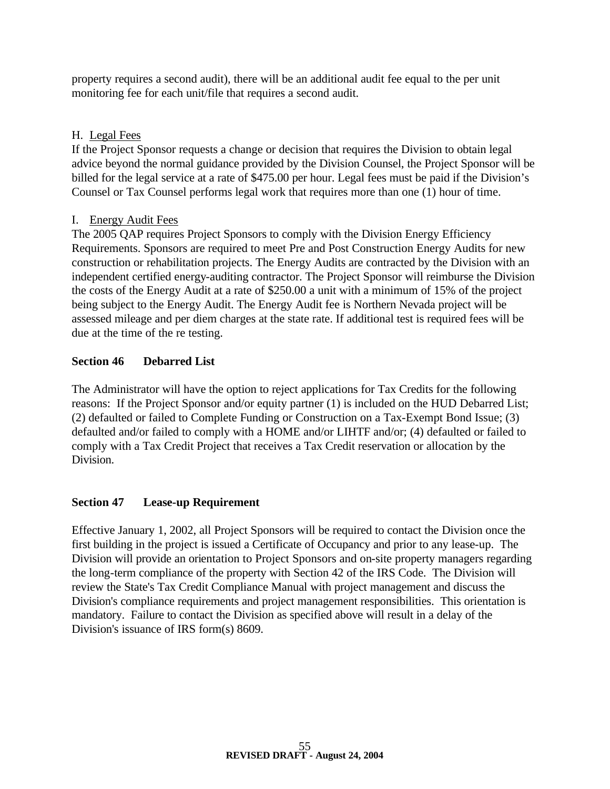property requires a second audit), there will be an additional audit fee equal to the per unit monitoring fee for each unit/file that requires a second audit.

## H. Legal Fees

If the Project Sponsor requests a change or decision that requires the Division to obtain legal advice beyond the normal guidance provided by the Division Counsel, the Project Sponsor will be billed for the legal service at a rate of \$475.00 per hour. Legal fees must be paid if the Division's Counsel or Tax Counsel performs legal work that requires more than one (1) hour of time.

# I. Energy Audit Fees

The 2005 QAP requires Project Sponsors to comply with the Division Energy Efficiency Requirements. Sponsors are required to meet Pre and Post Construction Energy Audits for new construction or rehabilitation projects. The Energy Audits are contracted by the Division with an independent certified energy-auditing contractor. The Project Sponsor will reimburse the Division the costs of the Energy Audit at a rate of \$250.00 a unit with a minimum of 15% of the project being subject to the Energy Audit. The Energy Audit fee is Northern Nevada project will be assessed mileage and per diem charges at the state rate. If additional test is required fees will be due at the time of the re testing.

# **Section 46 Debarred List**

The Administrator will have the option to reject applications for Tax Credits for the following reasons: If the Project Sponsor and/or equity partner (1) is included on the HUD Debarred List; (2) defaulted or failed to Complete Funding or Construction on a Tax-Exempt Bond Issue; (3) defaulted and/or failed to comply with a HOME and/or LIHTF and/or; (4) defaulted or failed to comply with a Tax Credit Project that receives a Tax Credit reservation or allocation by the Division.

### **Section 47 Lease-up Requirement**

Effective January 1, 2002, all Project Sponsors will be required to contact the Division once the first building in the project is issued a Certificate of Occupancy and prior to any lease-up. The Division will provide an orientation to Project Sponsors and on-site property managers regarding the long-term compliance of the property with Section 42 of the IRS Code. The Division will review the State's Tax Credit Compliance Manual with project management and discuss the Division's compliance requirements and project management responsibilities. This orientation is mandatory. Failure to contact the Division as specified above will result in a delay of the Division's issuance of IRS form(s) 8609.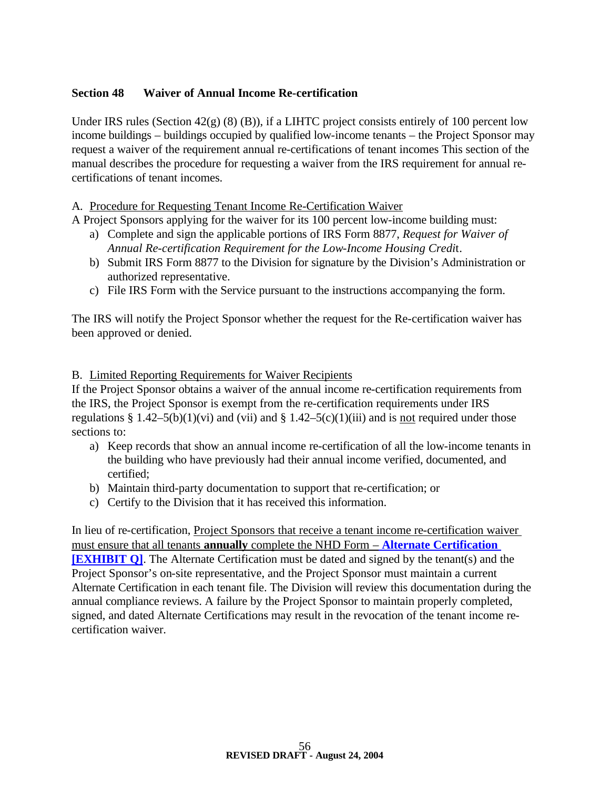### **Section 48 Waiver of Annual Income Re-certification**

Under IRS rules (Section  $42(g)$  (8) (B)), if a LIHTC project consists entirely of 100 percent low income buildings – buildings occupied by qualified low-income tenants – the Project Sponsor may request a waiver of the requirement annual re-certifications of tenant incomes This section of the manual describes the procedure for requesting a waiver from the IRS requirement for annual recertifications of tenant incomes.

### A. Procedure for Requesting Tenant Income Re-Certification Waiver

A Project Sponsors applying for the waiver for its 100 percent low-income building must:

- a) Complete and sign the applicable portions of IRS Form 8877, *Request for Waiver of Annual Re-certification Requirement for the Low-Income Housing Credi*t.
- b) Submit IRS Form 8877 to the Division for signature by the Division's Administration or authorized representative.
- c) File IRS Form with the Service pursuant to the instructions accompanying the form.

The IRS will notify the Project Sponsor whether the request for the Re-certification waiver has been approved or denied.

### B. Limited Reporting Requirements for Waiver Recipients

If the Project Sponsor obtains a waiver of the annual income re-certification requirements from the IRS, the Project Sponsor is exempt from the re-certification requirements under IRS regulations § 1.42–5(b)(1)(vi) and (vii) and § 1.42–5(c)(1)(iii) and is not required under those sections to:

- a) Keep records that show an annual income re-certification of all the low-income tenants in the building who have previously had their annual income verified, documented, and certified;
- b) Maintain third-party documentation to support that re-certification; or
- c) Certify to the Division that it has received this information.

In lieu of re-certification, Project Sponsors that receive a tenant income re-certification waiver must ensure that all tenants **annually** complete the NHD Form – **Alternate Certification [EXHIBIT Q]**. The Alternate Certification must be dated and signed by the tenant(s) and the Project Sponsor's on-site representative, and the Project Sponsor must maintain a current Alternate Certification in each tenant file. The Division will review this documentation during the annual compliance reviews. A failure by the Project Sponsor to maintain properly completed, signed, and dated Alternate Certifications may result in the revocation of the tenant income recertification waiver.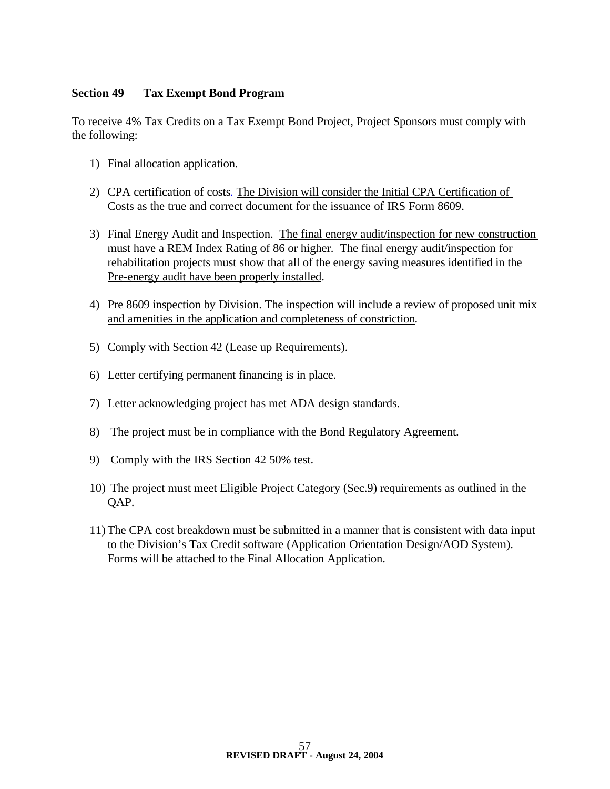## **Section 49 Tax Exempt Bond Program**

To receive 4% Tax Credits on a Tax Exempt Bond Project, Project Sponsors must comply with the following:

- 1) Final allocation application.
- 2) CPA certification of costs. The Division will consider the Initial CPA Certification of Costs as the true and correct document for the issuance of IRS Form 8609.
- 3) Final Energy Audit and Inspection. The final energy audit/inspection for new construction must have a REM Index Rating of 86 or higher. The final energy audit/inspection for rehabilitation projects must show that all of the energy saving measures identified in the Pre-energy audit have been properly installed.
- 4) Pre 8609 inspection by Division. The inspection will include a review of proposed unit mix and amenities in the application and completeness of constriction.
- 5) Comply with Section 42 (Lease up Requirements).
- 6) Letter certifying permanent financing is in place.
- 7) Letter acknowledging project has met ADA design standards.
- 8) The project must be in compliance with the Bond Regulatory Agreement.
- 9) Comply with the IRS Section 42 50% test.
- 10) The project must meet Eligible Project Category (Sec.9) requirements as outlined in the OAP.
- 11) The CPA cost breakdown must be submitted in a manner that is consistent with data input to the Division's Tax Credit software (Application Orientation Design/AOD System). Forms will be attached to the Final Allocation Application.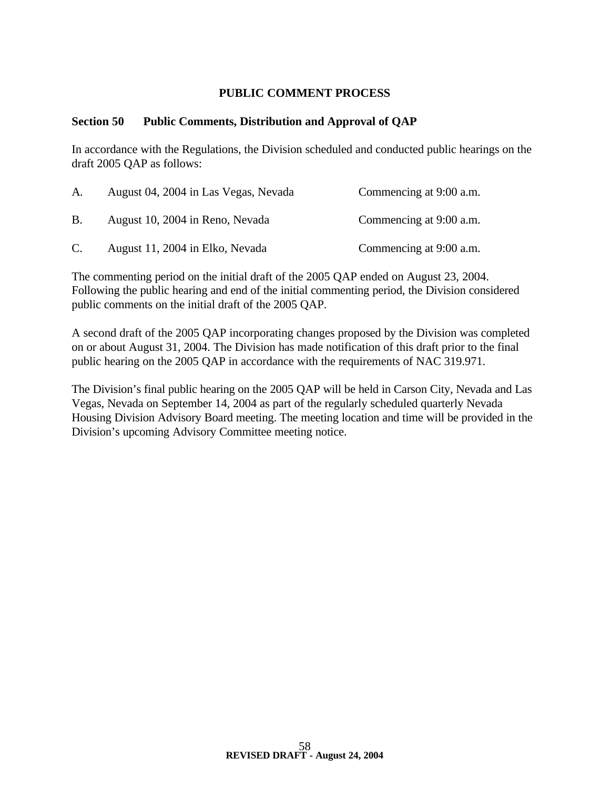#### **PUBLIC COMMENT PROCESS**

#### **Section 50 Public Comments, Distribution and Approval of QAP**

In accordance with the Regulations, the Division scheduled and conducted public hearings on the draft 2005 QAP as follows:

| A.        | August 04, 2004 in Las Vegas, Nevada | Commencing at 9:00 a.m. |
|-----------|--------------------------------------|-------------------------|
| <b>B.</b> | August 10, 2004 in Reno, Nevada      | Commencing at 9:00 a.m. |
| C.        | August 11, 2004 in Elko, Nevada      | Commencing at 9:00 a.m. |

The commenting period on the initial draft of the 2005 QAP ended on August 23, 2004. Following the public hearing and end of the initial commenting period, the Division considered public comments on the initial draft of the 2005 QAP.

A second draft of the 2005 QAP incorporating changes proposed by the Division was completed on or about August 31, 2004. The Division has made notification of this draft prior to the final public hearing on the 2005 QAP in accordance with the requirements of NAC 319.971.

The Division's final public hearing on the 2005 QAP will be held in Carson City, Nevada and Las Vegas, Nevada on September 14, 2004 as part of the regularly scheduled quarterly Nevada Housing Division Advisory Board meeting. The meeting location and time will be provided in the Division's upcoming Advisory Committee meeting notice.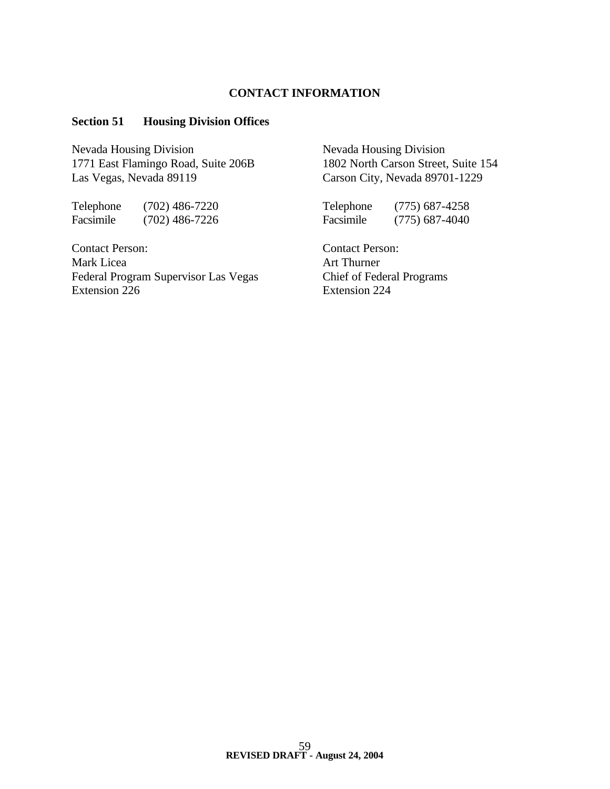#### **CONTACT INFORMATION**

#### **Section 51 Housing Division Offices**

Nevada Housing Division<br>
Nevada Housing Division 1771 East Flamingo Road, Suite 206B 1802 North Carson Street, Suite 154 Las Vegas, Nevada 89119 Carson City, Nevada 89701-1229

Telephone (702) 486-7220 Telephone (775) 687-4258 Facsimile (702) 486-7226 Facsimile (775) 687-4040

Contact Person: Contact Person: Mark Licea<br>
Federal Program Supervisor Las Vegas<br>
Chief of Federal Programs Federal Program Supervisor Las Vegas Extension 226 Extension 224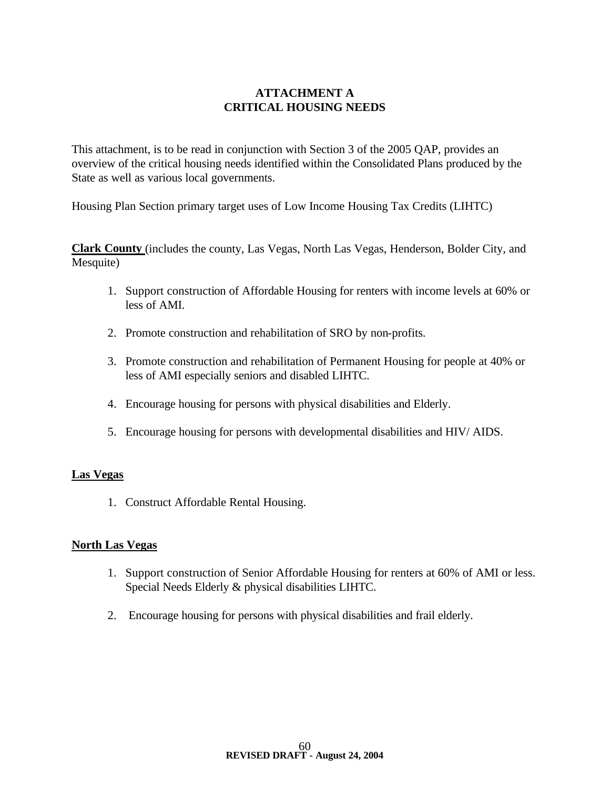# **ATTACHMENT A CRITICAL HOUSING NEEDS**

This attachment, is to be read in conjunction with Section 3 of the 2005 QAP, provides an overview of the critical housing needs identified within the Consolidated Plans produced by the State as well as various local governments.

Housing Plan Section primary target uses of Low Income Housing Tax Credits (LIHTC)

**Clark County** (includes the county, Las Vegas, North Las Vegas, Henderson, Bolder City, and Mesquite)

- 1. Support construction of Affordable Housing for renters with income levels at 60% or less of AMI.
- 2. Promote construction and rehabilitation of SRO by non-profits.
- 3. Promote construction and rehabilitation of Permanent Housing for people at 40% or less of AMI especially seniors and disabled LIHTC.
- 4. Encourage housing for persons with physical disabilities and Elderly.
- 5. Encourage housing for persons with developmental disabilities and HIV/ AIDS.

#### **Las Vegas**

1. Construct Affordable Rental Housing.

#### **North Las Vegas**

- 1. Support construction of Senior Affordable Housing for renters at 60% of AMI or less. Special Needs Elderly & physical disabilities LIHTC.
- 2. Encourage housing for persons with physical disabilities and frail elderly.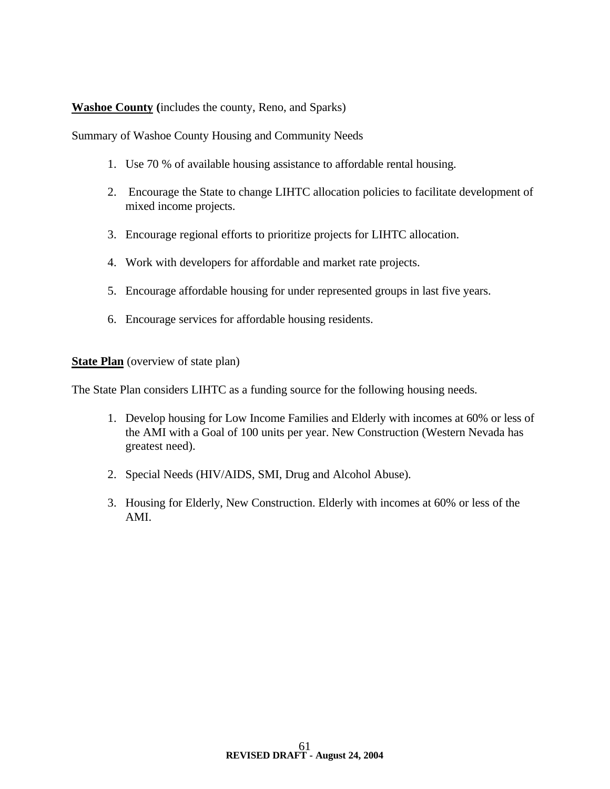#### **Washoe County (**includes the county, Reno, and Sparks)

Summary of Washoe County Housing and Community Needs

- 1. Use 70 % of available housing assistance to affordable rental housing.
- 2. Encourage the State to change LIHTC allocation policies to facilitate development of mixed income projects.
- 3. Encourage regional efforts to prioritize projects for LIHTC allocation.
- 4. Work with developers for affordable and market rate projects.
- 5. Encourage affordable housing for under represented groups in last five years.
- 6. Encourage services for affordable housing residents.

**State Plan** (overview of state plan)

The State Plan considers LIHTC as a funding source for the following housing needs.

- 1. Develop housing for Low Income Families and Elderly with incomes at 60% or less of the AMI with a Goal of 100 units per year. New Construction (Western Nevada has greatest need).
- 2. Special Needs (HIV/AIDS, SMI, Drug and Alcohol Abuse).
- 3. Housing for Elderly, New Construction. Elderly with incomes at 60% or less of the AMI.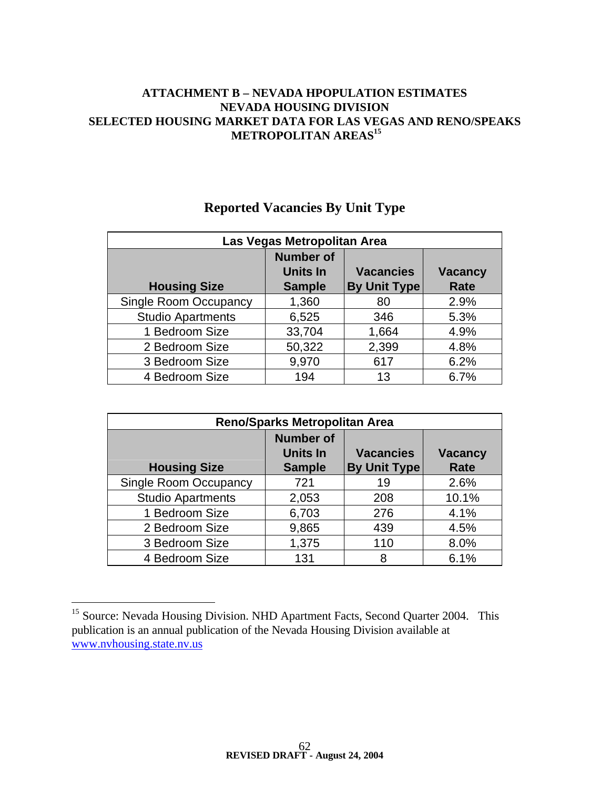### **ATTACHMENT B – NEVADA HPOPULATION ESTIMATES NEVADA HOUSING DIVISION SELECTED HOUSING MARKET DATA FOR LAS VEGAS AND RENO/SPEAKS METROPOLITAN AREAS<sup>15</sup>**

| Las Vegas Metropolitan Area  |                                                      |                                         |                        |  |
|------------------------------|------------------------------------------------------|-----------------------------------------|------------------------|--|
| <b>Housing Size</b>          | <b>Number of</b><br><b>Units In</b><br><b>Sample</b> | <b>Vacancies</b><br><b>By Unit Type</b> | <b>Vacancy</b><br>Rate |  |
| <b>Single Room Occupancy</b> | 1,360                                                | 80                                      | 2.9%                   |  |
| <b>Studio Apartments</b>     | 6,525                                                | 346                                     | 5.3%                   |  |
| 1 Bedroom Size               | 33,704                                               | 1,664                                   | 4.9%                   |  |
| 2 Bedroom Size               | 50,322                                               | 2,399                                   | 4.8%                   |  |
| 3 Bedroom Size               | 9,970                                                | 617                                     | 6.2%                   |  |
| 4 Bedroom Size               | 194                                                  | 13                                      | 6.7%                   |  |

# **Reported Vacancies By Unit Type**

| <b>Reno/Sparks Metropolitan Area</b> |                                                      |                                         |                        |  |
|--------------------------------------|------------------------------------------------------|-----------------------------------------|------------------------|--|
| <b>Housing Size</b>                  | <b>Number of</b><br><b>Units In</b><br><b>Sample</b> | <b>Vacancies</b><br><b>By Unit Type</b> | <b>Vacancy</b><br>Rate |  |
| <b>Single Room Occupancy</b>         | 721                                                  | 19                                      | 2.6%                   |  |
| <b>Studio Apartments</b>             | 2,053                                                | 208                                     | 10.1%                  |  |
| 1 Bedroom Size                       | 6,703                                                | 276                                     | 4.1%                   |  |
| 2 Bedroom Size                       | 9,865                                                | 439                                     | 4.5%                   |  |
| 3 Bedroom Size                       | 1,375                                                | 110                                     | 8.0%                   |  |
| 4 Bedroom Size                       | 131                                                  | 8                                       | 6.1%                   |  |

 $\overline{a}$ 

<sup>&</sup>lt;sup>15</sup> Source: Nevada Housing Division. NHD Apartment Facts, Second Quarter 2004. This publication is an annual publication of the Nevada Housing Division available at www.nvhousing.state.nv.us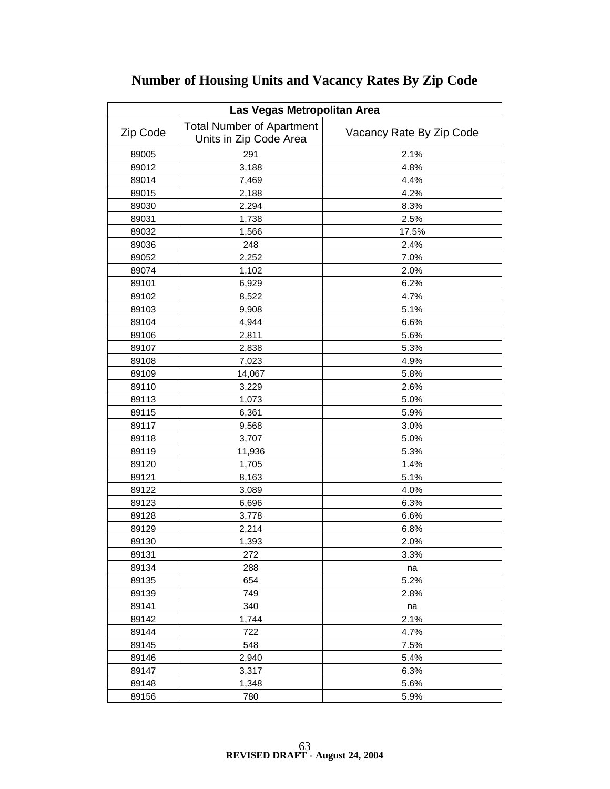| Las Vegas Metropolitan Area |                                                            |                          |  |
|-----------------------------|------------------------------------------------------------|--------------------------|--|
| Zip Code                    | <b>Total Number of Apartment</b><br>Units in Zip Code Area | Vacancy Rate By Zip Code |  |
| 89005                       | 291                                                        | 2.1%                     |  |
| 89012                       | 3,188                                                      | 4.8%                     |  |
| 89014                       | 7,469                                                      | 4.4%                     |  |
| 89015                       | 2,188                                                      | 4.2%                     |  |
| 89030                       | 2,294                                                      | 8.3%                     |  |
| 89031                       | 1,738                                                      | 2.5%                     |  |
| 89032                       | 1,566                                                      | 17.5%                    |  |
| 89036                       | 248                                                        | 2.4%                     |  |
| 89052                       | 2,252                                                      | 7.0%                     |  |
| 89074                       | 1,102                                                      | 2.0%                     |  |
| 89101                       | 6,929                                                      | 6.2%                     |  |
| 89102                       | 8,522                                                      | 4.7%                     |  |
| 89103                       | 9,908                                                      | 5.1%                     |  |
| 89104                       | 4,944                                                      | 6.6%                     |  |
| 89106                       | 2,811                                                      | 5.6%                     |  |
| 89107                       | 2,838                                                      | 5.3%                     |  |
| 89108                       | 7,023                                                      | 4.9%                     |  |
| 89109                       | 14,067                                                     | 5.8%                     |  |
| 89110                       | 3,229                                                      | 2.6%                     |  |
| 89113                       | 1,073                                                      | 5.0%                     |  |
| 89115                       | 6,361                                                      | 5.9%                     |  |
| 89117                       | 9,568                                                      | 3.0%                     |  |
| 89118                       | 3,707                                                      | 5.0%                     |  |
| 89119                       | 11,936                                                     | 5.3%                     |  |
| 89120                       | 1,705                                                      | 1.4%                     |  |
| 89121                       | 8,163                                                      | 5.1%                     |  |
| 89122                       | 3,089                                                      | 4.0%                     |  |
| 89123                       | 6,696                                                      | 6.3%                     |  |
| 89128                       | 3,778                                                      | 6.6%                     |  |
| 89129                       | 2,214                                                      | 6.8%                     |  |
| 89130                       | 1,393                                                      | 2.0%                     |  |
| 89131                       | 272                                                        | 3.3%                     |  |
| 89134                       | 288                                                        | na                       |  |
| 89135                       | 654                                                        | 5.2%                     |  |
| 89139                       | 749                                                        | 2.8%                     |  |
| 89141                       | 340                                                        | na                       |  |
| 89142                       | 1,744                                                      | 2.1%                     |  |
| 89144                       | 722                                                        | 4.7%                     |  |
| 89145                       | 548                                                        | 7.5%                     |  |
| 89146                       | 2,940                                                      | 5.4%                     |  |
| 89147                       | 3,317                                                      | 6.3%                     |  |
| 89148                       | 1,348                                                      | 5.6%                     |  |
| 89156                       | 780                                                        | 5.9%                     |  |

# **Number of Housing Units and Vacancy Rates By Zip Code**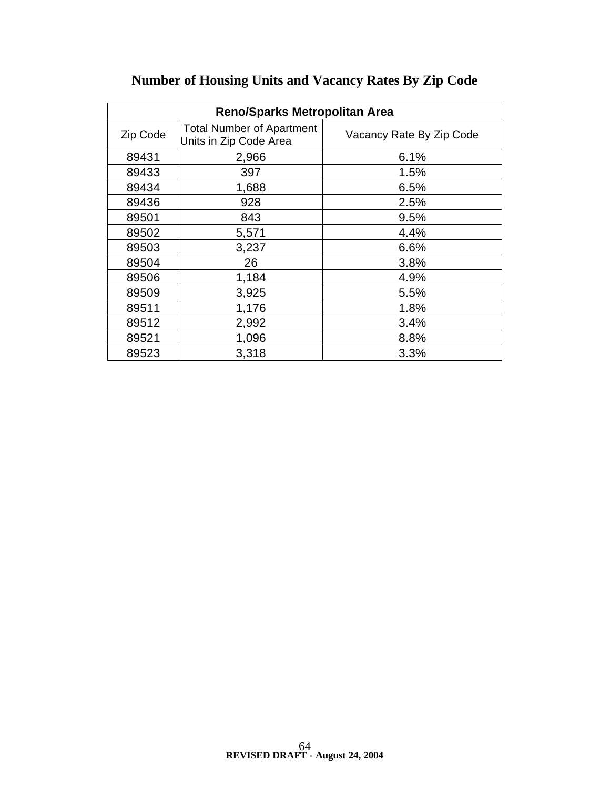| <b>Reno/Sparks Metropolitan Area</b> |                                                            |                          |
|--------------------------------------|------------------------------------------------------------|--------------------------|
| Zip Code                             | <b>Total Number of Apartment</b><br>Units in Zip Code Area | Vacancy Rate By Zip Code |
| 89431                                | 2,966                                                      | 6.1%                     |
| 89433                                | 397                                                        | 1.5%                     |
| 89434                                | 1,688                                                      | 6.5%                     |
| 89436                                | 928                                                        | 2.5%                     |
| 89501                                | 843                                                        | 9.5%                     |
| 89502                                | 5,571                                                      | 4.4%                     |
| 89503                                | 3,237                                                      | 6.6%                     |
| 89504                                | 26                                                         | 3.8%                     |
| 89506                                | 1,184                                                      | 4.9%                     |
| 89509                                | 3,925                                                      | 5.5%                     |
| 89511                                | 1,176                                                      | 1.8%                     |
| 89512                                | 2,992                                                      | 3.4%                     |
| 89521                                | 1,096                                                      | 8.8%                     |
| 89523                                | 3,318                                                      | 3.3%                     |

# **Number of Housing Units and Vacancy Rates By Zip Code**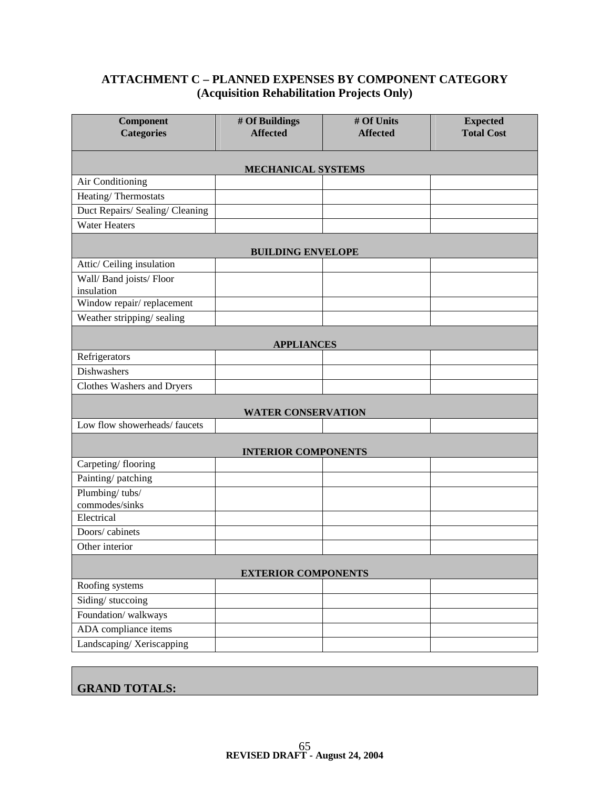# **ATTACHMENT C – PLANNED EXPENSES BY COMPONENT CATEGORY (Acquisition Rehabilitation Projects Only)**

| <b>Component</b><br><b>Categories</b>  | # Of Buildings<br><b>Affected</b> | # Of Units<br><b>Affected</b> | <b>Expected</b><br><b>Total Cost</b> |
|----------------------------------------|-----------------------------------|-------------------------------|--------------------------------------|
|                                        |                                   |                               |                                      |
|                                        | <b>MECHANICAL SYSTEMS</b>         |                               |                                      |
| Air Conditioning                       |                                   |                               |                                      |
| Heating/Thermostats                    |                                   |                               |                                      |
| Duct Repairs/ Sealing/ Cleaning        |                                   |                               |                                      |
| <b>Water Heaters</b>                   |                                   |                               |                                      |
|                                        | <b>BUILDING ENVELOPE</b>          |                               |                                      |
| Attic/ Ceiling insulation              |                                   |                               |                                      |
| Wall/ Band joists/ Floor<br>insulation |                                   |                               |                                      |
| Window repair/replacement              |                                   |                               |                                      |
| Weather stripping/sealing              |                                   |                               |                                      |
|                                        | <b>APPLIANCES</b>                 |                               |                                      |
| Refrigerators                          |                                   |                               |                                      |
| Dishwashers                            |                                   |                               |                                      |
| Clothes Washers and Dryers             |                                   |                               |                                      |
|                                        | <b>WATER CONSERVATION</b>         |                               |                                      |
| Low flow showerheads/faucets           |                                   |                               |                                      |
|                                        | <b>INTERIOR COMPONENTS</b>        |                               |                                      |
| Carpeting/flooring                     |                                   |                               |                                      |
| Painting/patching                      |                                   |                               |                                      |
| Plumbing/tubs/                         |                                   |                               |                                      |
| commodes/sinks                         |                                   |                               |                                      |
| Electrical                             |                                   |                               |                                      |
| Doors/cabinets<br>Other interior       |                                   |                               |                                      |
|                                        |                                   |                               |                                      |
| <b>EXTERIOR COMPONENTS</b>             |                                   |                               |                                      |
| Roofing systems                        |                                   |                               |                                      |
| Siding/stuccoing                       |                                   |                               |                                      |
| Foundation/walkways                    |                                   |                               |                                      |
| ADA compliance items                   |                                   |                               |                                      |
| Landscaping/Xeriscapping               |                                   |                               |                                      |

# **GRAND TOTALS:**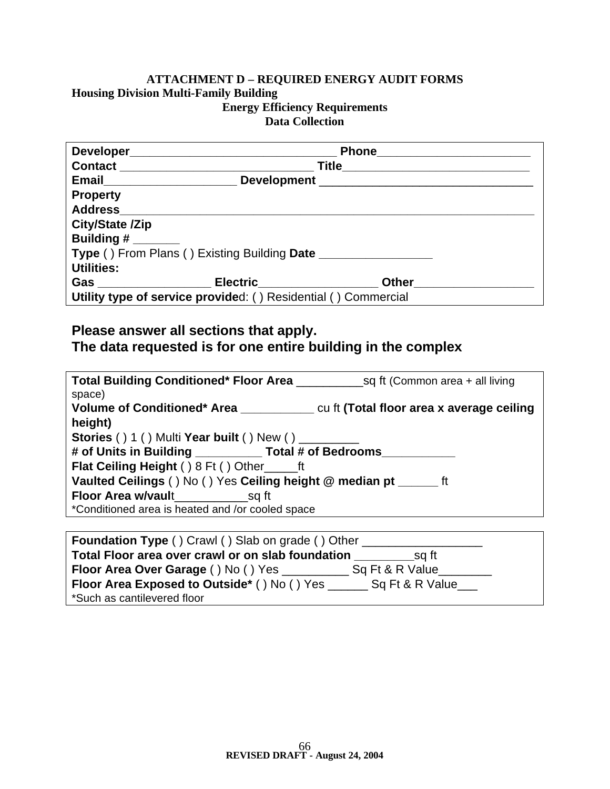## **ATTACHMENT D – REQUIRED ENERGY AUDIT FORMS Housing Division Multi-Family Building Energy Efficiency Requirements Data Collection**

|                   |                                                                | Phone__________________________ |  |
|-------------------|----------------------------------------------------------------|---------------------------------|--|
|                   |                                                                |                                 |  |
|                   |                                                                |                                 |  |
| <b>Property</b>   |                                                                |                                 |  |
|                   |                                                                |                                 |  |
| City/State /Zip   |                                                                |                                 |  |
| Building #        |                                                                |                                 |  |
|                   | Type () From Plans () Existing Building Date                   |                                 |  |
| <b>Utilities:</b> |                                                                |                                 |  |
|                   | Gas Electric Electric                                          | Other _____________             |  |
|                   | Utility type of service provided: () Residential () Commercial |                                 |  |

# **Please answer all sections that apply. The data requested is for one entire building in the complex**

| <b>Total Building Conditioned* Floor Area</b> sq ft (Common area + all living<br>space)  |  |
|------------------------------------------------------------------------------------------|--|
| Volume of Conditioned* Area entertainment of the Conditional Solume of Conditioned* Area |  |
| height)                                                                                  |  |
| Stories () 1 () Multi Year built () New () ________                                      |  |
| # of Units in Building ___________ Total # of Bedrooms__________                         |  |
| <b>Flat Ceiling Height () 8 Ft () Other ft</b>                                           |  |
| Vaulted Ceilings () No () Yes Ceiling height @ median pt _______ ft                      |  |
|                                                                                          |  |
| <i>*Conditioned area is heated and /or cooled space</i>                                  |  |
|                                                                                          |  |

| <b>Foundation Type ()</b> Crawl () Slab on grade () Other |                 |
|-----------------------------------------------------------|-----------------|
| Total Floor area over crawl or on slab foundation         | sq ft           |
| Floor Area Over Garage () No () Yes                       | Sq Ft & R Value |
| Floor Area Exposed to Outside* () No () Yes               | Sq Ft & R Value |
| *Such as cantilevered floor                               |                 |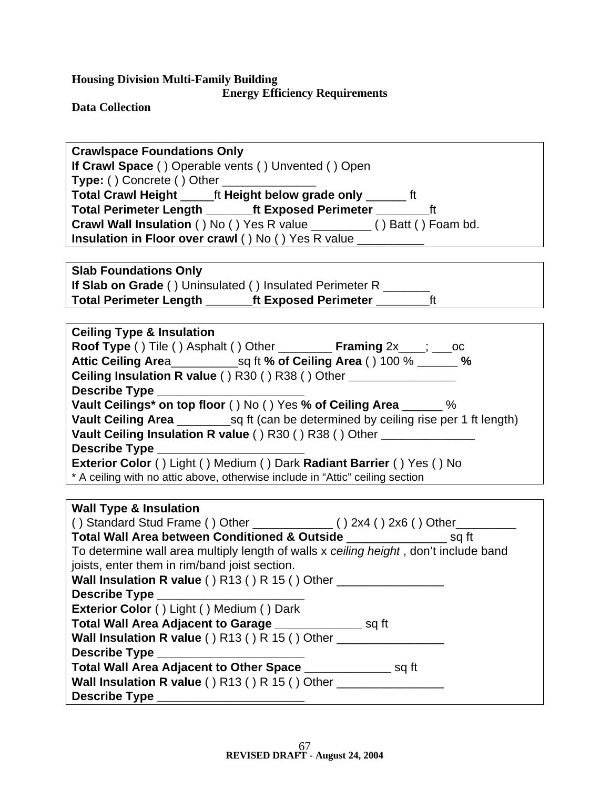# **Housing Division Multi-Family Building**

# **Energy Efficiency Requirements**

**Data Collection**

| <b>Crawlspace Foundations Only</b>                                                   |
|--------------------------------------------------------------------------------------|
| If Crawl Space () Operable vents () Unvented () Open                                 |
| <b>Type: ()</b> Concrete () Other _________________                                  |
| Total Crawl Height ______ ft Height below grade only _______ ft                      |
| Total Perimeter Length _________ft Exposed Perimeter _____________ft                 |
|                                                                                      |
| Crawl Wall Insulation () No () Yes R value __________ () Batt () Foam bd.            |
| Insulation in Floor over crawl () No () Yes R value ____________________________     |
|                                                                                      |
| <b>Slab Foundations Only</b>                                                         |
| <b>If Slab on Grade ()</b> Uninsulated () Insulated Perimeter R ________             |
| Total Perimeter Length ________ft Exposed Perimeter ___________ft                    |
|                                                                                      |
| <b>Ceiling Type &amp; Insulation</b>                                                 |
|                                                                                      |
| <b>Roof Type ()</b> Tile () Asphalt () Other <b>Framing</b> 2x___; ___ oc            |
|                                                                                      |
| Ceiling Insulation R value () R30 () R38 () Other _________________                  |
|                                                                                      |
| Vault Ceilings* on top floor () No () Yes % of Ceiling Area ______ %                 |
|                                                                                      |
| Vault Ceiling Insulation R value () R30 () R38 () Other _______________              |
| Describe Type ______________________                                                 |
| Exterior Color () Light () Medium () Dark Radiant Barrier () Yes () No               |
| * A ceiling with no attic above, otherwise include in "Attic" ceiling section        |
|                                                                                      |
| <b>Wall Type &amp; Insulation</b>                                                    |
|                                                                                      |
| () Standard Stud Frame () Other $\frac{1}{2}$ () 2x4 () 2x6 () Other $\frac{1}{2}$   |
| Total Wall Area between Conditioned & Outside ______________________ sq ft           |
| To determine wall area multiply length of walls x ceiling height, don't include band |
| joists, enter them in rim/band joist section.                                        |
| Wall Insulation R value () R13 () R 15 () Other                                      |
| Describe Type ________________                                                       |
| Exterior Color () Light () Medium () Dark                                            |
| Total Wall Area Adjacent to Garage ____________________ sq ft                        |
| Wall Insulation R value () R13 () R 15 () Other ________________________________     |
|                                                                                      |
| Total Wall Area Adjacent to Other Space ________________ sq ft                       |
| Wall Insulation R value () R13 () R 15 () Other ________________________________     |
|                                                                                      |
|                                                                                      |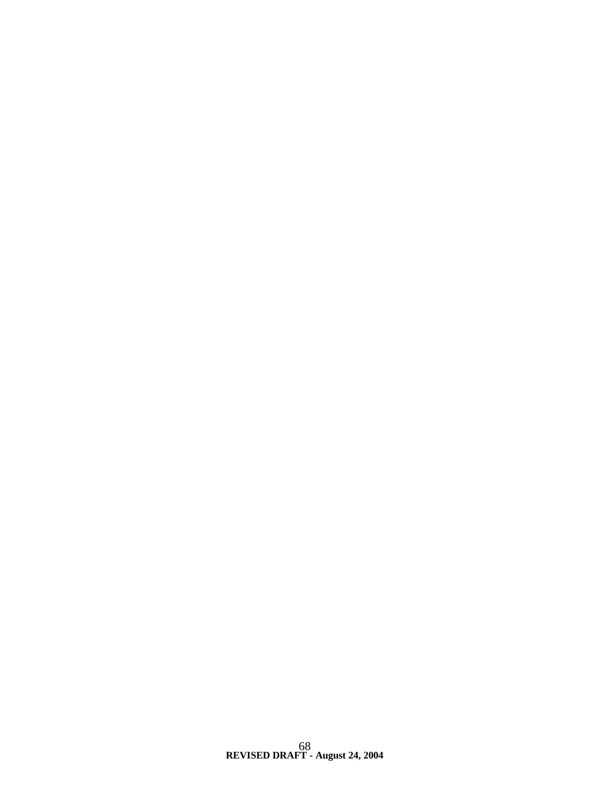68 **REVISED DRAFT - August 24, 2004**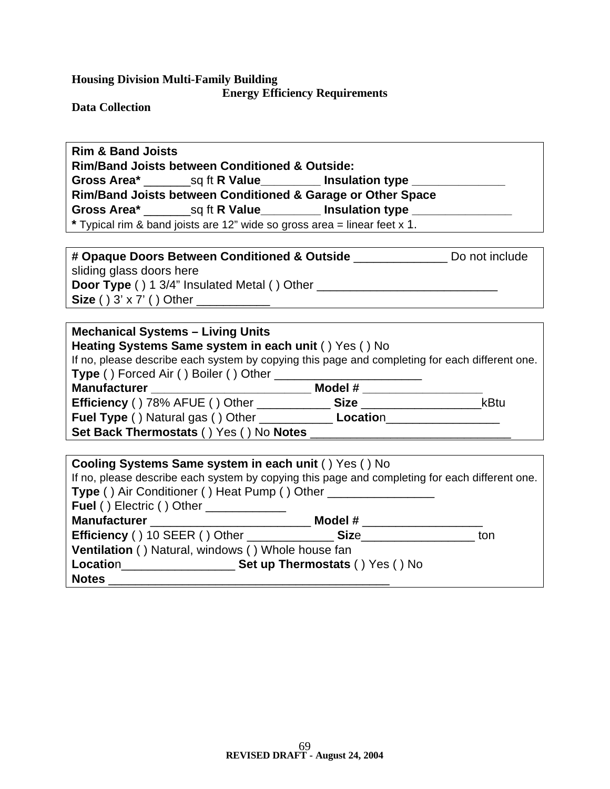#### **Housing Division Multi-Family Building**

**Energy Efficiency Requirements**

**Data Collection**

# **Rim & Band Joists**

**Rim/Band Joists between Conditioned & Outside:**

Gross Area\* **30 and Sq ft R Value Consults Insulation type \_\_\_\_\_\_\_\_** 

**Rim/Band Joists between Conditioned & Garage or Other Space**

**Gross Area\*** \_\_\_\_\_\_\_sq ft **R Value\_\_\_\_\_\_\_\_\_ Insulation type \_\_\_\_\_\_\_\_\_\_\_\_\_\_\_**

**\*** Typical rim & band joists are 12" wide so gross area = linear feet x 1.

| # Opaque Doors Between Conditioned & Outside        | Do not include |
|-----------------------------------------------------|----------------|
| sliding glass doors here                            |                |
| <b>Door Type</b> () 1 3/4" Insulated Metal () Other |                |
| Size () $3' \times 7'$ () Other                     |                |

# **Mechanical Systems – Living Units**

**Heating Systems Same system in each unit** ( ) Yes ( ) No

If no, please describe each system by copying this page and completing for each different one. **Type** ( ) Forced Air ( ) Boiler ( ) Other \_\_\_\_\_\_\_\_\_\_\_\_\_\_\_\_\_\_\_\_\_\_

**Manufacturer 2.1 and 2.1 and 2.1 and 2.1 and 2.1 and 2.1 and 2.1 and 2.1 and 2.1 and 2.1 and 2.1 and 2.1 and 2.1 and 2.1 and 2.1 and 2.1 and 2.1 and 2.1 and 2.1 and 2.1 and 2.1 and 2.1 and 2.1 and 2.1 and 2.1 and 2.1 and** 

**Efficiency** ( ) 78% AFUE ( ) Other \_\_\_\_\_\_\_\_\_\_\_ **Size** \_\_\_\_\_\_\_\_\_\_\_\_\_\_\_\_\_\_kBtu **Fuel Type** ( ) Natural gas ( ) Other \_\_\_\_\_\_\_\_\_\_\_ **Locatio**n\_\_\_\_\_\_\_\_\_\_\_\_\_\_\_\_\_

**Set Back Thermostats () Yes () No Notes \_** 

| <b>Cooling Systems Same system in each unit () Yes () No</b><br>If no, please describe each system by copying this page and completing for each different one.<br>Type () Air Conditioner () Heat Pump () Other __________________________________ |  |  |  |
|----------------------------------------------------------------------------------------------------------------------------------------------------------------------------------------------------------------------------------------------------|--|--|--|
| <b>Fuel () Electric () Other</b> _______________                                                                                                                                                                                                   |  |  |  |
|                                                                                                                                                                                                                                                    |  |  |  |
|                                                                                                                                                                                                                                                    |  |  |  |
| Ventilation () Natural, windows () Whole house fan                                                                                                                                                                                                 |  |  |  |
|                                                                                                                                                                                                                                                    |  |  |  |
| <b>Notes</b>                                                                                                                                                                                                                                       |  |  |  |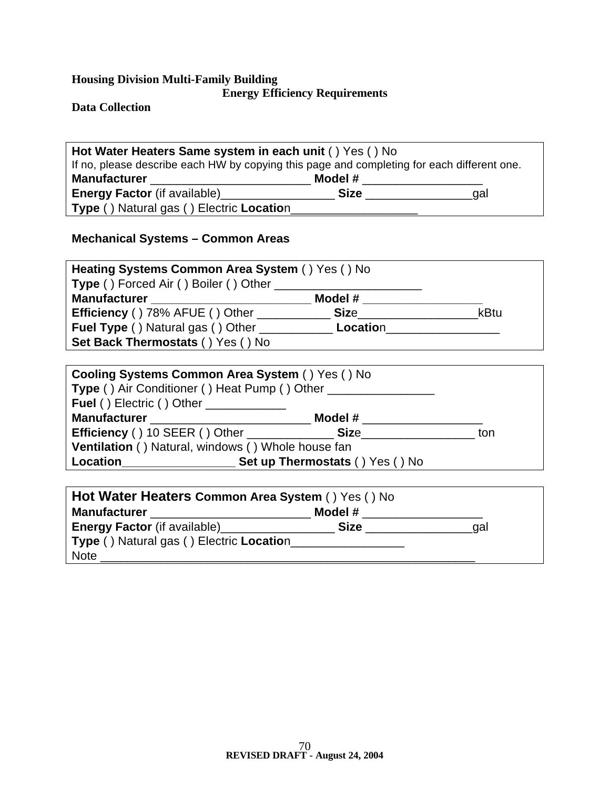## **Housing Division Multi-Family Building**

**Energy Efficiency Requirements**

**Data Collection**

| Hot Water Heaters Same system in each unit () Yes () No                                    |             |     |  |  |  |  |  |
|--------------------------------------------------------------------------------------------|-------------|-----|--|--|--|--|--|
| If no, please describe each HW by copying this page and completing for each different one. |             |     |  |  |  |  |  |
| <b>Manufacturer</b>                                                                        | Model #     |     |  |  |  |  |  |
| <b>Energy Factor</b> (if available) <b>Energy Factor</b>                                   | <b>Size</b> | aal |  |  |  |  |  |
| Type () Natural gas () Electric Location                                                   |             |     |  |  |  |  |  |

## **Mechanical Systems – Common Areas**

| Heating Systems Common Area System () Yes () No |             |      |  |  |  |  |
|-------------------------------------------------|-------------|------|--|--|--|--|
| Type () Forced Air () Boiler () Other           |             |      |  |  |  |  |
| <b>Manufacturer</b>                             | Model #     |      |  |  |  |  |
| <b>Efficiency () 78% AFUE () Other</b>          | <b>Size</b> | kBtu |  |  |  |  |
| Fuel Type () Natural gas () Other               | Location    |      |  |  |  |  |
| Set Back Thermostats () Yes () No               |             |      |  |  |  |  |

| <b>Cooling Systems Common Area System () Yes () No</b> |                        |     |  |  |  |
|--------------------------------------------------------|------------------------|-----|--|--|--|
| <b>Type ()</b> Air Conditioner () Heat Pump () Other   |                        |     |  |  |  |
| Fuel () Electric () Other ____________                 |                        |     |  |  |  |
|                                                        | Model # ______________ |     |  |  |  |
|                                                        |                        | ton |  |  |  |
| Ventilation () Natural, windows () Whole house fan     |                        |     |  |  |  |
|                                                        |                        |     |  |  |  |
|                                                        |                        |     |  |  |  |

| Hot Water Heaters Common Area System () Yes () No        |             |     |  |  |  |  |
|----------------------------------------------------------|-------------|-----|--|--|--|--|
| <b>Manufacturer</b>                                      | Model #     |     |  |  |  |  |
| <b>Energy Factor</b> (if available) <b>Energy Factor</b> | <b>Size</b> | aal |  |  |  |  |
| Type () Natural gas () Electric Location                 |             |     |  |  |  |  |
| <b>Note</b>                                              |             |     |  |  |  |  |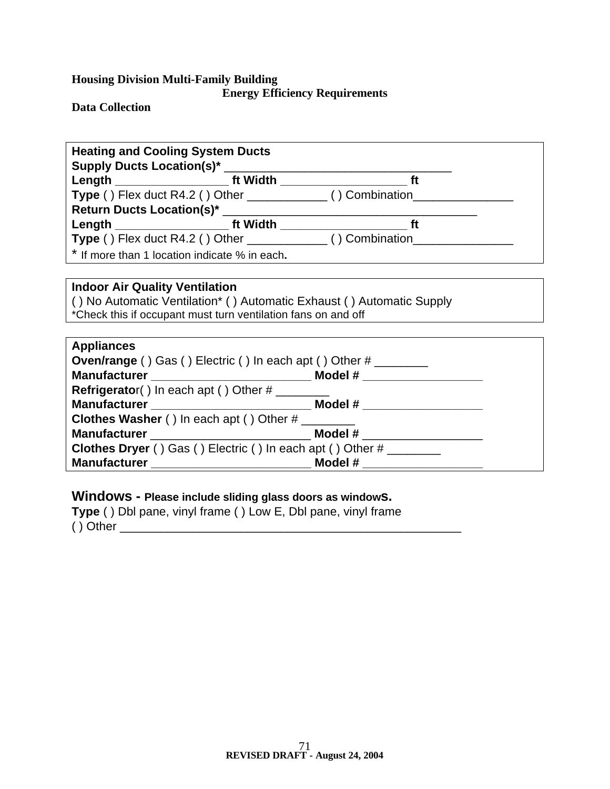#### **Housing Division Multi-Family Building**

**Energy Efficiency Requirements**

**Data Collection**

| <b>Heating and Cooling System Ducts</b>                                                                                                                                                                                        |  |  |  |  |  |  |  |  |
|--------------------------------------------------------------------------------------------------------------------------------------------------------------------------------------------------------------------------------|--|--|--|--|--|--|--|--|
| Supply Ducts Location(s)* _______                                                                                                                                                                                              |  |  |  |  |  |  |  |  |
|                                                                                                                                                                                                                                |  |  |  |  |  |  |  |  |
| Type () Flex duct R4.2 () Other ______________ () Combination_________                                                                                                                                                         |  |  |  |  |  |  |  |  |
|                                                                                                                                                                                                                                |  |  |  |  |  |  |  |  |
| Length ft Width ft Width the state of the state of the state of the state of the state of the state of the state of the state of the state of the state of the state of the state of the state of the state of the state of th |  |  |  |  |  |  |  |  |
|                                                                                                                                                                                                                                |  |  |  |  |  |  |  |  |
| * If more than 1 location indicate % in each.                                                                                                                                                                                  |  |  |  |  |  |  |  |  |

### **Indoor Air Quality Ventilation**

( ) No Automatic Ventilation\* ( ) Automatic Exhaust ( ) Automatic Supply \*Check this if occupant must turn ventilation fans on and off

| <b>Appliances</b>                                                       |                               |  |  |  |  |  |  |
|-------------------------------------------------------------------------|-------------------------------|--|--|--|--|--|--|
| <b>Oven/range ()</b> Gas () Electric () In each apt () Other # ________ |                               |  |  |  |  |  |  |
|                                                                         |                               |  |  |  |  |  |  |
| <b>Refrigerator()</b> In each apt () Other #                            |                               |  |  |  |  |  |  |
| Manufacturer Model #                                                    |                               |  |  |  |  |  |  |
| <b>Clothes Washer ()</b> In each apt () Other #                         |                               |  |  |  |  |  |  |
|                                                                         | Model # _____________________ |  |  |  |  |  |  |
| Clothes Dryer () Gas () Electric () In each apt () Other # _______      |                               |  |  |  |  |  |  |
|                                                                         | Model #                       |  |  |  |  |  |  |

## **Windows - Please include sliding glass doors as windows.**

**Type** ( ) Dbl pane, vinyl frame ( ) Low E, Dbl pane, vinyl frame ( ) Other \_\_\_\_\_\_\_\_\_\_\_\_\_\_\_\_\_\_\_\_\_\_\_\_\_\_\_\_\_\_\_\_\_\_\_\_\_\_\_\_\_\_\_\_\_\_\_\_\_\_\_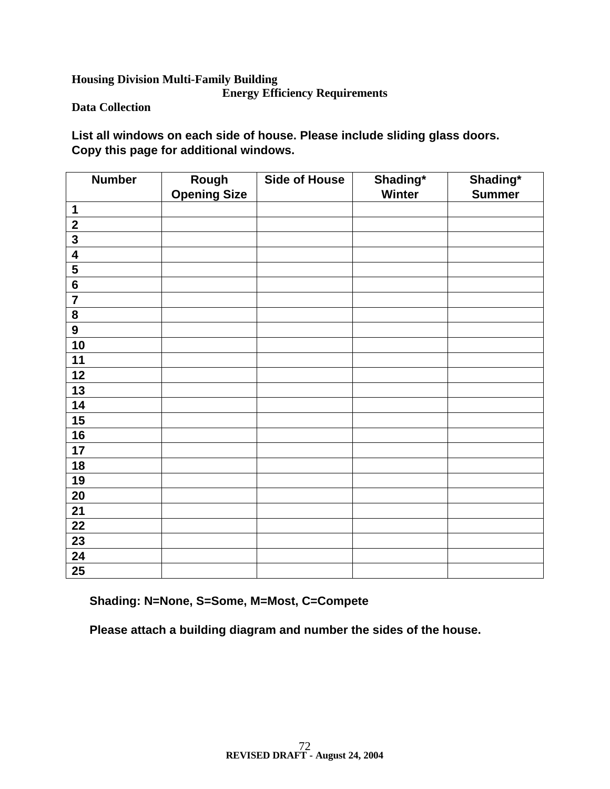### **Housing Division Multi-Family Building Energy Efficiency Requirements**

**Data Collection**

**List all windows on each side of house. Please include sliding glass doors. Copy this page for additional windows.**

| <b>Number</b>           | Rough<br><b>Opening Size</b> | <b>Side of House</b> | Shading*<br>Winter | Shading*<br><b>Summer</b> |
|-------------------------|------------------------------|----------------------|--------------------|---------------------------|
| $\mathbf 1$             |                              |                      |                    |                           |
| $\mathbf{2}$            |                              |                      |                    |                           |
| $\overline{\mathbf{3}}$ |                              |                      |                    |                           |
| $\overline{4}$          |                              |                      |                    |                           |
| $\overline{\mathbf{5}}$ |                              |                      |                    |                           |
| $\overline{\mathbf{6}}$ |                              |                      |                    |                           |
| $\overline{7}$          |                              |                      |                    |                           |
| 8                       |                              |                      |                    |                           |
| $\overline{9}$          |                              |                      |                    |                           |
| 10                      |                              |                      |                    |                           |
| 11                      |                              |                      |                    |                           |
| 12                      |                              |                      |                    |                           |
| 13                      |                              |                      |                    |                           |
| 14                      |                              |                      |                    |                           |
| 15                      |                              |                      |                    |                           |
| 16                      |                              |                      |                    |                           |
| 17                      |                              |                      |                    |                           |
| 18                      |                              |                      |                    |                           |
| 19                      |                              |                      |                    |                           |
| 20                      |                              |                      |                    |                           |
| 21                      |                              |                      |                    |                           |
| 22                      |                              |                      |                    |                           |
| 23                      |                              |                      |                    |                           |
| 24                      |                              |                      |                    |                           |
| $\overline{25}$         |                              |                      |                    |                           |

**Shading: N=None, S=Some, M=Most, C=Compete**

**Please attach a building diagram and number the sides of the house.**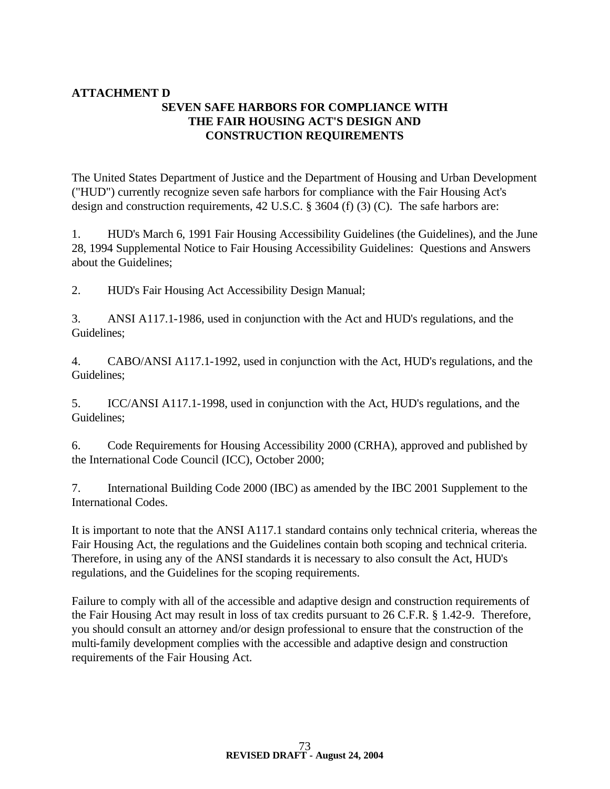### **ATTACHMENT D SEVEN SAFE HARBORS FOR COMPLIANCE WITH THE FAIR HOUSING ACT'S DESIGN AND CONSTRUCTION REQUIREMENTS**

The United States Department of Justice and the Department of Housing and Urban Development ("HUD") currently recognize seven safe harbors for compliance with the Fair Housing Act's design and construction requirements, 42 U.S.C. § 3604 (f) (3) (C). The safe harbors are:

1. HUD's March 6, 1991 Fair Housing Accessibility Guidelines (the Guidelines), and the June 28, 1994 Supplemental Notice to Fair Housing Accessibility Guidelines: Questions and Answers about the Guidelines;

2. HUD's Fair Housing Act Accessibility Design Manual;

3. ANSI A117.1-1986, used in conjunction with the Act and HUD's regulations, and the Guidelines;

4. CABO/ANSI A117.1-1992, used in conjunction with the Act, HUD's regulations, and the Guidelines;

5. ICC/ANSI A117.1-1998, used in conjunction with the Act, HUD's regulations, and the Guidelines;

6. Code Requirements for Housing Accessibility 2000 (CRHA), approved and published by the International Code Council (ICC), October 2000;

7. International Building Code 2000 (IBC) as amended by the IBC 2001 Supplement to the International Codes.

It is important to note that the ANSI A117.1 standard contains only technical criteria, whereas the Fair Housing Act, the regulations and the Guidelines contain both scoping and technical criteria. Therefore, in using any of the ANSI standards it is necessary to also consult the Act, HUD's regulations, and the Guidelines for the scoping requirements.

Failure to comply with all of the accessible and adaptive design and construction requirements of the Fair Housing Act may result in loss of tax credits pursuant to 26 C.F.R. § 1.42-9. Therefore, you should consult an attorney and/or design professional to ensure that the construction of the multi-family development complies with the accessible and adaptive design and construction requirements of the Fair Housing Act.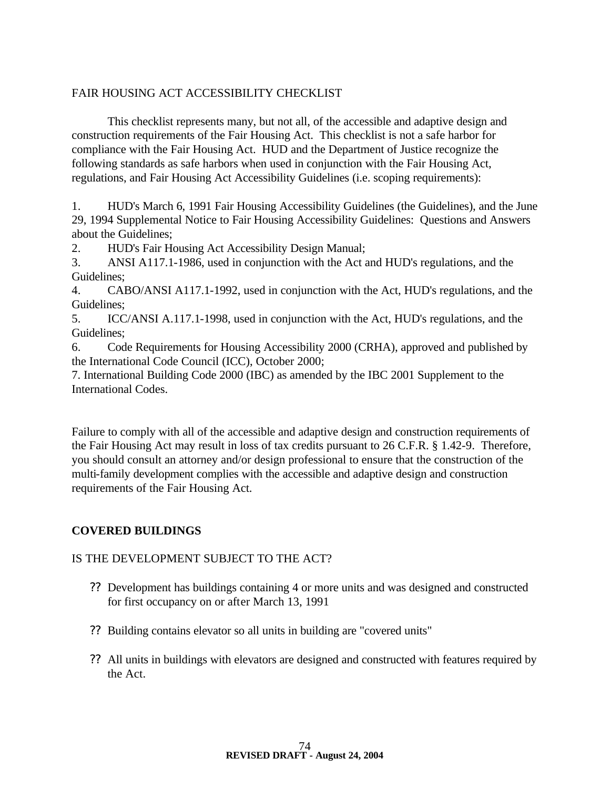### FAIR HOUSING ACT ACCESSIBILITY CHECKLIST

This checklist represents many, but not all, of the accessible and adaptive design and construction requirements of the Fair Housing Act. This checklist is not a safe harbor for compliance with the Fair Housing Act. HUD and the Department of Justice recognize the following standards as safe harbors when used in conjunction with the Fair Housing Act, regulations, and Fair Housing Act Accessibility Guidelines (i.e. scoping requirements):

1. HUD's March 6, 1991 Fair Housing Accessibility Guidelines (the Guidelines), and the June 29, 1994 Supplemental Notice to Fair Housing Accessibility Guidelines: Questions and Answers about the Guidelines;

2. HUD's Fair Housing Act Accessibility Design Manual;

3. ANSI A117.1-1986, used in conjunction with the Act and HUD's regulations, and the Guidelines;

4. CABO/ANSI A117.1-1992, used in conjunction with the Act, HUD's regulations, and the Guidelines;

5. ICC/ANSI A.117.1-1998, used in conjunction with the Act, HUD's regulations, and the Guidelines;

6. Code Requirements for Housing Accessibility 2000 (CRHA), approved and published by the International Code Council (ICC), October 2000;

7. International Building Code 2000 (IBC) as amended by the IBC 2001 Supplement to the International Codes.

Failure to comply with all of the accessible and adaptive design and construction requirements of the Fair Housing Act may result in loss of tax credits pursuant to 26 C.F.R. § 1.42-9. Therefore, you should consult an attorney and/or design professional to ensure that the construction of the multi-family development complies with the accessible and adaptive design and construction requirements of the Fair Housing Act.

## **COVERED BUILDINGS**

## IS THE DEVELOPMENT SUBJECT TO THE ACT?

- ?? Development has buildings containing 4 or more units and was designed and constructed for first occupancy on or after March 13, 1991
- ?? Building contains elevator so all units in building are "covered units"
- ?? All units in buildings with elevators are designed and constructed with features required by the Act.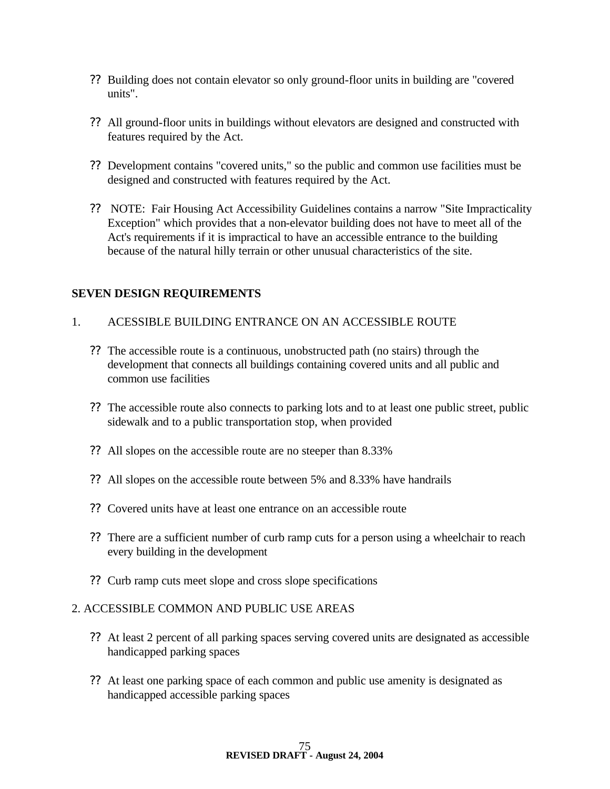- ?? Building does not contain elevator so only ground-floor units in building are "covered units".
- ?? All ground-floor units in buildings without elevators are designed and constructed with features required by the Act.
- ?? Development contains "covered units," so the public and common use facilities must be designed and constructed with features required by the Act.
- ?? NOTE: Fair Housing Act Accessibility Guidelines contains a narrow "Site Impracticality Exception" which provides that a non-elevator building does not have to meet all of the Act's requirements if it is impractical to have an accessible entrance to the building because of the natural hilly terrain or other unusual characteristics of the site.

#### **SEVEN DESIGN REQUIREMENTS**

#### 1. ACESSIBLE BUILDING ENTRANCE ON AN ACCESSIBLE ROUTE

- ?? The accessible route is a continuous, unobstructed path (no stairs) through the development that connects all buildings containing covered units and all public and common use facilities
- ?? The accessible route also connects to parking lots and to at least one public street, public sidewalk and to a public transportation stop, when provided
- ?? All slopes on the accessible route are no steeper than 8.33%
- ?? All slopes on the accessible route between 5% and 8.33% have handrails
- ?? Covered units have at least one entrance on an accessible route
- ?? There are a sufficient number of curb ramp cuts for a person using a wheelchair to reach every building in the development
- ?? Curb ramp cuts meet slope and cross slope specifications

#### 2. ACCESSIBLE COMMON AND PUBLIC USE AREAS

- ?? At least 2 percent of all parking spaces serving covered units are designated as accessible handicapped parking spaces
- ?? At least one parking space of each common and public use amenity is designated as handicapped accessible parking spaces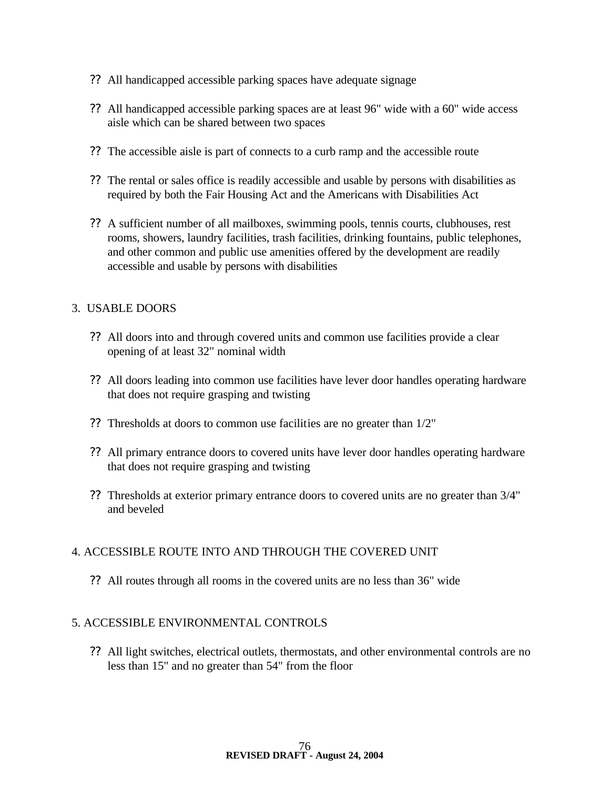- ?? All handicapped accessible parking spaces have adequate signage
- ?? All handicapped accessible parking spaces are at least 96" wide with a 60" wide access aisle which can be shared between two spaces
- ?? The accessible aisle is part of connects to a curb ramp and the accessible route
- ?? The rental or sales office is readily accessible and usable by persons with disabilities as required by both the Fair Housing Act and the Americans with Disabilities Act
- ?? A sufficient number of all mailboxes, swimming pools, tennis courts, clubhouses, rest rooms, showers, laundry facilities, trash facilities, drinking fountains, public telephones, and other common and public use amenities offered by the development are readily accessible and usable by persons with disabilities

#### 3. USABLE DOORS

- ?? All doors into and through covered units and common use facilities provide a clear opening of at least 32" nominal width
- ?? All doors leading into common use facilities have lever door handles operating hardware that does not require grasping and twisting
- ?? Thresholds at doors to common use facilities are no greater than 1/2"
- ?? All primary entrance doors to covered units have lever door handles operating hardware that does not require grasping and twisting
- ?? Thresholds at exterior primary entrance doors to covered units are no greater than 3/4" and beveled

#### 4. ACCESSIBLE ROUTE INTO AND THROUGH THE COVERED UNIT

?? All routes through all rooms in the covered units are no less than 36" wide

#### 5. ACCESSIBLE ENVIRONMENTAL CONTROLS

?? All light switches, electrical outlets, thermostats, and other environmental controls are no less than 15" and no greater than 54" from the floor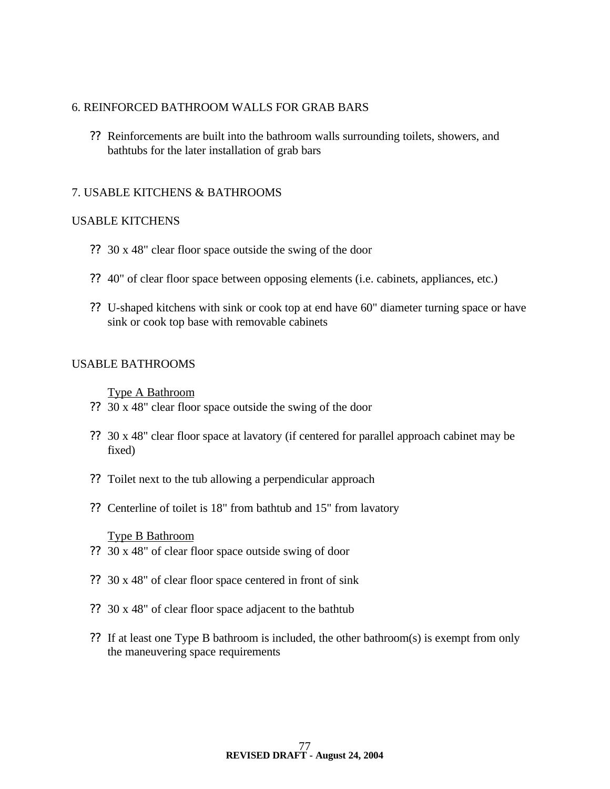#### 6. REINFORCED BATHROOM WALLS FOR GRAB BARS

?? Reinforcements are built into the bathroom walls surrounding toilets, showers, and bathtubs for the later installation of grab bars

#### 7. USABLE KITCHENS & BATHROOMS

#### USABLE KITCHENS

- ?? 30 x 48" clear floor space outside the swing of the door
- ?? 40" of clear floor space between opposing elements (i.e. cabinets, appliances, etc.)
- ?? U-shaped kitchens with sink or cook top at end have 60" diameter turning space or have sink or cook top base with removable cabinets

#### USABLE BATHROOMS

Type A Bathroom

- ?? 30 x 48" clear floor space outside the swing of the door
- ?? 30 x 48" clear floor space at lavatory (if centered for parallel approach cabinet may be fixed)
- ?? Toilet next to the tub allowing a perpendicular approach
- ?? Centerline of toilet is 18" from bathtub and 15" from lavatory

#### Type B Bathroom

- ?? 30 x 48" of clear floor space outside swing of door
- ?? 30 x 48" of clear floor space centered in front of sink
- ?? 30 x 48" of clear floor space adjacent to the bathtub
- ?? If at least one Type B bathroom is included, the other bathroom(s) is exempt from only the maneuvering space requirements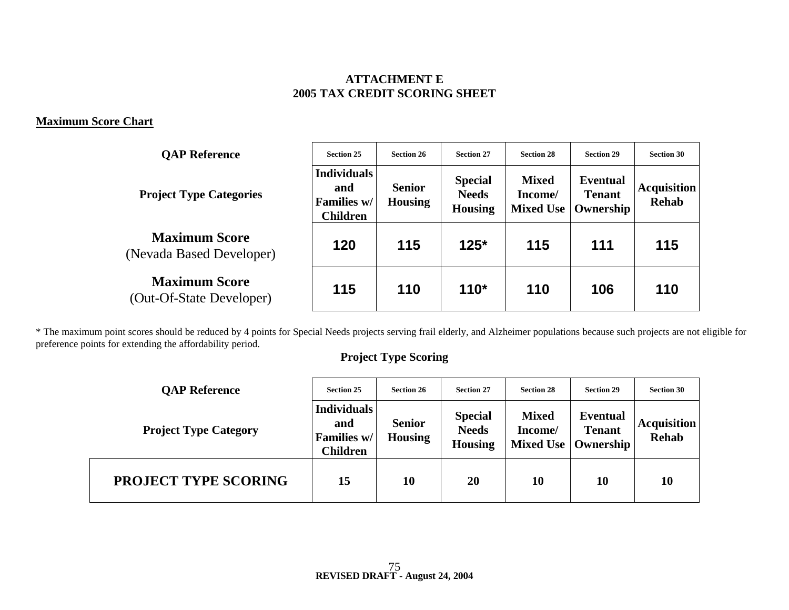### **ATTACHMENT E 2005 TAX CREDIT SCORING SHEET**

#### **Maximum Score Chart**

| <b>OAP Reference</b>                             | <b>Section 25</b>                                           | <b>Section 26</b>               | <b>Section 27</b>                                | <b>Section 28</b>                           | <b>Section 29</b>                      | <b>Section 30</b>                  |
|--------------------------------------------------|-------------------------------------------------------------|---------------------------------|--------------------------------------------------|---------------------------------------------|----------------------------------------|------------------------------------|
| <b>Project Type Categories</b>                   | <b>Individuals</b><br>and<br>Families w/<br><b>Children</b> | <b>Senior</b><br><b>Housing</b> | <b>Special</b><br><b>Needs</b><br><b>Housing</b> | <b>Mixed</b><br>Income/<br><b>Mixed Use</b> | Eventual<br><b>Tenant</b><br>Ownership | <b>Acquisition</b><br><b>Rehab</b> |
| <b>Maximum Score</b><br>(Nevada Based Developer) | 120                                                         | 115                             | $125*$                                           | 115                                         | 111                                    | 115                                |
| <b>Maximum Score</b><br>(Out-Of-State Developer) | 115                                                         | 110                             | $110*$                                           | 110                                         | 106                                    | 110                                |

\* The maximum point scores should be reduced by 4 points for Special Needs projects serving frail elderly, and Alzheimer populations because such projects are not eligible for preference points for extending the affordability period.

## **Project Type Scoring**

| <b>OAP Reference</b>         | <b>Section 25</b>                                           | <b>Section 26</b>               | <b>Section 27</b>                                | <b>Section 28</b>       | <b>Section 29</b>                                         | <b>Section 30</b>                  |
|------------------------------|-------------------------------------------------------------|---------------------------------|--------------------------------------------------|-------------------------|-----------------------------------------------------------|------------------------------------|
| <b>Project Type Category</b> | <b>Individuals</b><br>and<br>Families w/<br><b>Children</b> | <b>Senior</b><br><b>Housing</b> | <b>Special</b><br><b>Needs</b><br><b>Housing</b> | <b>Mixed</b><br>Income/ | <b>Eventual</b><br><b>Tenant</b><br>Mixed Use   Ownership | <b>Acquisition</b><br><b>Rehab</b> |
| <b>PROJECT TYPE SCORING</b>  | 15                                                          | 10                              | 20                                               | 10                      | 10                                                        | 10                                 |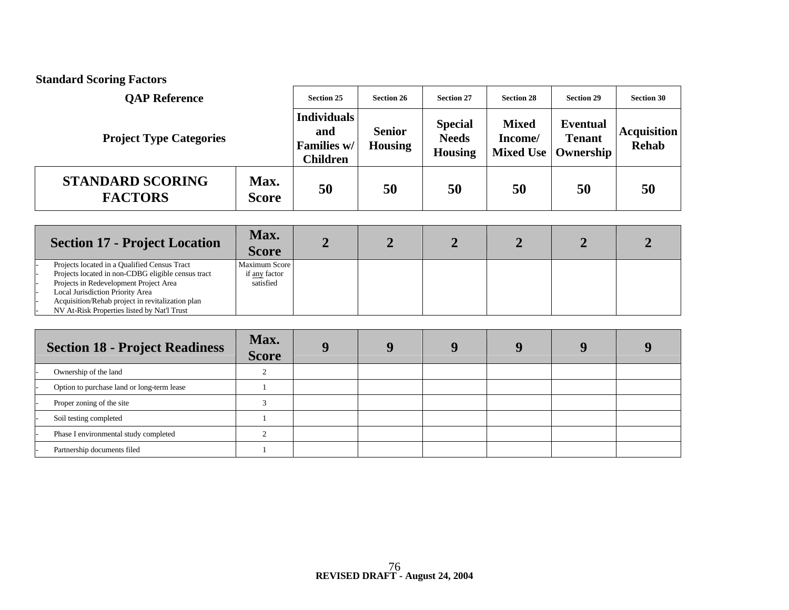| <b>Standard Scoring Factors</b>                                                                                                                                                                                                                                                     |                                                    |                                                             |                                 |                                                  |                                             |                                               |                                    |
|-------------------------------------------------------------------------------------------------------------------------------------------------------------------------------------------------------------------------------------------------------------------------------------|----------------------------------------------------|-------------------------------------------------------------|---------------------------------|--------------------------------------------------|---------------------------------------------|-----------------------------------------------|------------------------------------|
| <b>OAP Reference</b>                                                                                                                                                                                                                                                                |                                                    | <b>Section 25</b>                                           | <b>Section 26</b>               | <b>Section 27</b>                                | <b>Section 28</b>                           | <b>Section 29</b>                             | <b>Section 30</b>                  |
| <b>Project Type Categories</b>                                                                                                                                                                                                                                                      |                                                    | <b>Individuals</b><br>and<br>Families w/<br><b>Children</b> | <b>Senior</b><br><b>Housing</b> | <b>Special</b><br><b>Needs</b><br><b>Housing</b> | <b>Mixed</b><br>Income/<br><b>Mixed Use</b> | <b>Eventual</b><br><b>Tenant</b><br>Ownership | <b>Acquisition</b><br><b>Rehab</b> |
| <b>STANDARD SCORING</b><br><b>FACTORS</b>                                                                                                                                                                                                                                           | Max.<br><b>Score</b>                               | 50                                                          | 50                              | 50                                               | 50                                          | 50                                            | 50                                 |
| <b>Section 17 - Project Location</b>                                                                                                                                                                                                                                                | Max.<br><b>Score</b>                               | $\overline{2}$                                              | $\overline{2}$                  | $\overline{2}$                                   | $\overline{2}$                              | $\overline{2}$                                |                                    |
| Projects located in a Qualified Census Tract<br>Projects located in non-CDBG eligible census tract<br>Projects in Redevelopment Project Area<br>Local Jurisdiction Priority Area<br>Acquisition/Rehab project in revitalization plan<br>NV At-Risk Properties listed by Nat'l Trust | <b>Maximum Score</b><br>if any factor<br>satisfied |                                                             |                                 |                                                  |                                             |                                               |                                    |

| <b>Section 18 - Project Readiness</b>      | Max.<br><b>Score</b> |  |  |  |
|--------------------------------------------|----------------------|--|--|--|
| Ownership of the land                      |                      |  |  |  |
| Option to purchase land or long-term lease |                      |  |  |  |
| Proper zoning of the site                  |                      |  |  |  |
| Soil testing completed                     |                      |  |  |  |
| Phase I environmental study completed      |                      |  |  |  |
| Partnership documents filed                |                      |  |  |  |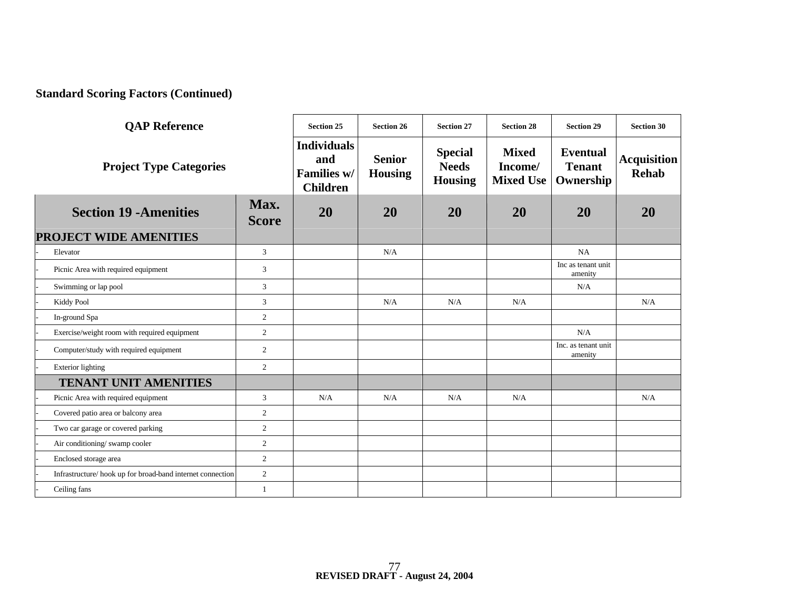# **Standard Scoring Factors (Continued)**

| <b>QAP Reference</b>                                      |                      | <b>Section 25</b>                                           | <b>Section 26</b>               | <b>Section 27</b>                                | <b>Section 28</b>                           | <b>Section 29</b>                             | <b>Section 30</b>                  |
|-----------------------------------------------------------|----------------------|-------------------------------------------------------------|---------------------------------|--------------------------------------------------|---------------------------------------------|-----------------------------------------------|------------------------------------|
| <b>Project Type Categories</b>                            |                      | <b>Individuals</b><br>and<br>Families w/<br><b>Children</b> | <b>Senior</b><br><b>Housing</b> | <b>Special</b><br><b>Needs</b><br><b>Housing</b> | <b>Mixed</b><br>Income/<br><b>Mixed Use</b> | <b>Eventual</b><br><b>Tenant</b><br>Ownership | <b>Acquisition</b><br><b>Rehab</b> |
| <b>Section 19 -Amenities</b>                              | Max.<br><b>Score</b> | 20                                                          | 20                              | 20                                               | 20                                          | 20                                            | 20                                 |
| <b>PROJECT WIDE AMENITIES</b>                             |                      |                                                             |                                 |                                                  |                                             |                                               |                                    |
| Elevator                                                  | $\overline{3}$       |                                                             | N/A                             |                                                  |                                             | NA                                            |                                    |
| Picnic Area with required equipment                       | 3                    |                                                             |                                 |                                                  |                                             | Inc as tenant unit<br>amenity                 |                                    |
| Swimming or lap pool                                      | $\mathbf{3}$         |                                                             |                                 |                                                  |                                             | N/A                                           |                                    |
| Kiddy Pool                                                | $\mathbf{3}$         |                                                             | N/A                             | N/A                                              | N/A                                         |                                               | N/A                                |
| In-ground Spa                                             | $\overline{2}$       |                                                             |                                 |                                                  |                                             |                                               |                                    |
| Exercise/weight room with required equipment              | $\overline{2}$       |                                                             |                                 |                                                  |                                             | N/A                                           |                                    |
| Computer/study with required equipment                    | $\overline{2}$       |                                                             |                                 |                                                  |                                             | Inc. as tenant unit<br>amenity                |                                    |
| <b>Exterior lighting</b>                                  | $\overline{2}$       |                                                             |                                 |                                                  |                                             |                                               |                                    |
| TENANT UNIT AMENITIES                                     |                      |                                                             |                                 |                                                  |                                             |                                               |                                    |
| Picnic Area with required equipment                       | 3                    | N/A                                                         | N/A                             | N/A                                              | N/A                                         |                                               | N/A                                |
| Covered patio area or balcony area                        | $\overline{c}$       |                                                             |                                 |                                                  |                                             |                                               |                                    |
| Two car garage or covered parking                         | $\overline{c}$       |                                                             |                                 |                                                  |                                             |                                               |                                    |
| Air conditioning/swamp cooler                             | 2                    |                                                             |                                 |                                                  |                                             |                                               |                                    |
| Enclosed storage area                                     | 2                    |                                                             |                                 |                                                  |                                             |                                               |                                    |
| Infrastructure/hook up for broad-band internet connection | 2                    |                                                             |                                 |                                                  |                                             |                                               |                                    |
| Ceiling fans                                              | $\mathbf{1}$         |                                                             |                                 |                                                  |                                             |                                               |                                    |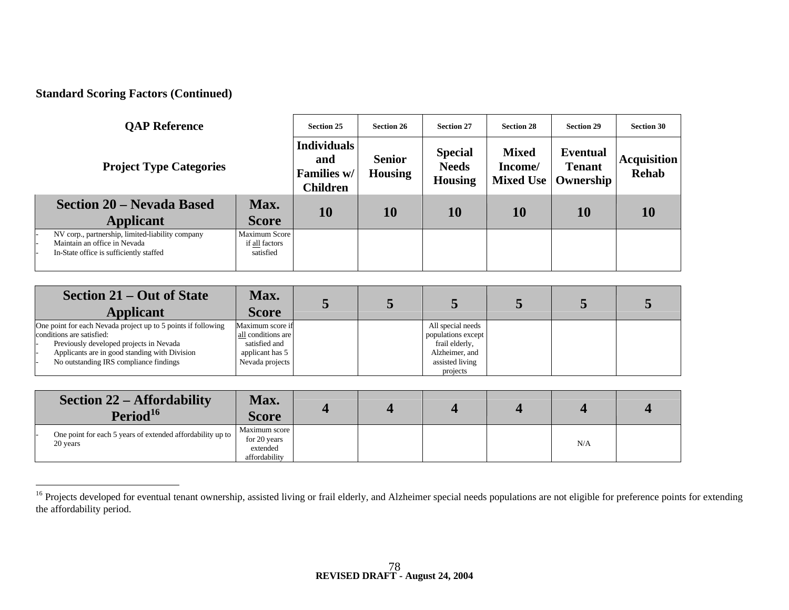## **Standard Scoring Factors (Continued)**

 $\overline{a}$ 

| <b>QAP Reference</b>                                                    |                                                  |                                                             | <b>Section 25</b>               | <b>Section 26</b>                                | <b>Section 27</b>                           | <b>Section 28</b>                             | <b>Section 29</b>                  | <b>Section 30</b> |
|-------------------------------------------------------------------------|--------------------------------------------------|-------------------------------------------------------------|---------------------------------|--------------------------------------------------|---------------------------------------------|-----------------------------------------------|------------------------------------|-------------------|
| <b>Project Type Categories</b>                                          |                                                  | <b>Individuals</b><br>and<br>Families w/<br><b>Children</b> | <b>Senior</b><br><b>Housing</b> | <b>Special</b><br><b>Needs</b><br><b>Housing</b> | <b>Mixed</b><br>Income/<br><b>Mixed Use</b> | <b>Eventual</b><br><b>Tenant</b><br>Ownership | <b>Acquisition</b><br><b>Rehab</b> |                   |
|                                                                         | Section 20 – Nevada Based<br><b>Applicant</b>    | Max.<br><b>Score</b>                                        | 10                              | 10                                               | 10                                          | 10                                            | 10                                 | 10                |
| Maintain an office in Nevada<br>In-State office is sufficiently staffed | NV corp., partnership, limited-liability company | Maximum Score<br>if all factors<br>satisfied                |                                 |                                                  |                                             |                                               |                                    |                   |

| Section 21 – Out of State<br><b>Applicant</b>                 | Max.<br><b>Score</b> |  |                    |  |  |
|---------------------------------------------------------------|----------------------|--|--------------------|--|--|
| One point for each Nevada project up to 5 points if following | Maximum score if     |  | All special needs  |  |  |
| conditions are satisfied:                                     | all conditions are   |  | populations except |  |  |
| Previously developed projects in Nevada                       | satisfied and        |  | frail elderly,     |  |  |
| Applicants are in good standing with Division                 | applicant has 5      |  | Alzheimer, and     |  |  |
| No outstanding IRS compliance findings                        | Nevada projects      |  | assisted living    |  |  |
|                                                               |                      |  | projects           |  |  |

| <b>Section 22 – Affordability</b><br>Period <sup>16</sup>              | Max.<br><b>Score</b>                                       |  |  |     |  |
|------------------------------------------------------------------------|------------------------------------------------------------|--|--|-----|--|
| One point for each 5 years of extended affordability up to<br>20 years | Maximum score<br>for 20 years<br>extended<br>affordability |  |  | N/A |  |

<sup>&</sup>lt;sup>16</sup> Projects developed for eventual tenant ownership, assisted living or frail elderly, and Alzheimer special needs populations are not eligible for preference points for extending the affordability period.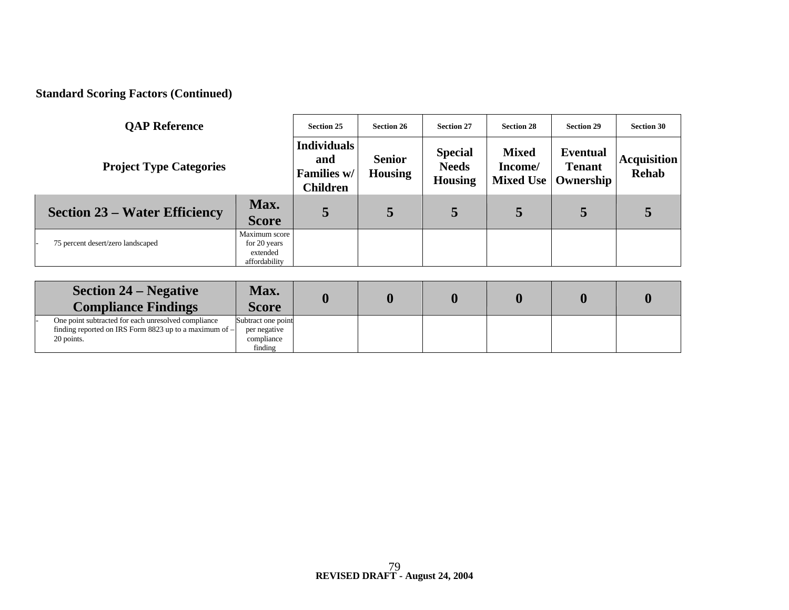# **Standard Scoring Factors (Continued)**

| <b>OAP Reference</b>                                         |                                                            | <b>Section 25</b>                                           | <b>Section 26</b>               | <b>Section 27</b>                                | <b>Section 28</b>                           | <b>Section 29</b>                             | <b>Section 30</b>                  |
|--------------------------------------------------------------|------------------------------------------------------------|-------------------------------------------------------------|---------------------------------|--------------------------------------------------|---------------------------------------------|-----------------------------------------------|------------------------------------|
| <b>Project Type Categories</b>                               |                                                            | <b>Individuals</b><br>and<br>Families w/<br><b>Children</b> | <b>Senior</b><br><b>Housing</b> | <b>Special</b><br><b>Needs</b><br><b>Housing</b> | <b>Mixed</b><br>Income/<br><b>Mixed Use</b> | <b>Eventual</b><br><b>Tenant</b><br>Ownership | <b>Acquisition</b><br><b>Rehab</b> |
| <b>Section 23 – Water Efficiency</b>                         | Max.<br><b>Score</b>                                       | 5                                                           | 5                               | 5                                                | 5                                           | 5                                             |                                    |
| 75 percent desert/zero landscaped                            | Maximum score<br>for 20 years<br>extended<br>affordability |                                                             |                                 |                                                  |                                             |                                               |                                    |
|                                                              |                                                            |                                                             |                                 |                                                  |                                             |                                               |                                    |
| <b>Section 24 – Negative</b><br>$\alpha$ is the $\mathbf{r}$ | Max.<br>$\sim$ $\sim$                                      | $\boldsymbol{0}$                                            | $\bf{0}$                        | $\boldsymbol{0}$                                 | $\boldsymbol{0}$                            |                                               |                                    |

| DUCTION $27 - 1$                                         | плал               |  |  |  |
|----------------------------------------------------------|--------------------|--|--|--|
| <b>Compliance Findings</b>                               | Score              |  |  |  |
| One point subtracted for each unresolved compliance      | Subtract one point |  |  |  |
| finding reported on IRS Form 8823 up to a maximum of $-$ | per negative       |  |  |  |
| 20 points.                                               | compliance         |  |  |  |
|                                                          | finding            |  |  |  |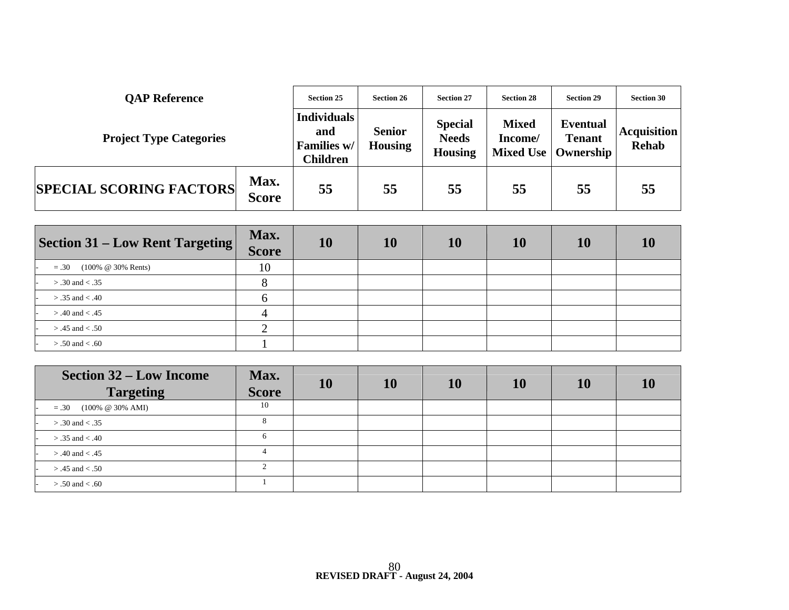| <b>OAP Reference</b><br><b>Project Type Categories</b> |                      | <b>Section 25</b>                                           | <b>Section 26</b>               | <b>Section 27</b>                                | <b>Section 28</b>       | <b>Section 29</b>                                         | <b>Section 30</b>                  |
|--------------------------------------------------------|----------------------|-------------------------------------------------------------|---------------------------------|--------------------------------------------------|-------------------------|-----------------------------------------------------------|------------------------------------|
|                                                        |                      | <b>Individuals</b><br>and<br>Families w/<br><b>Children</b> | <b>Senior</b><br><b>Housing</b> | <b>Special</b><br><b>Needs</b><br><b>Housing</b> | <b>Mixed</b><br>Income/ | <b>Eventual</b><br><b>Tenant</b><br>Mixed Use   Ownership | <b>Acquisition</b><br><b>Rehab</b> |
| <b>SPECIAL SCORING FACTORS</b>                         | Max.<br><b>Score</b> | 55                                                          | 55                              | 55                                               | 55                      | 55                                                        | 55                                 |

| <b>Section 31 – Low Rent Targeting</b> | Max.<br><b>Score</b> | 10 | 10 | 10 | 10 | 10 | 10 |
|----------------------------------------|----------------------|----|----|----|----|----|----|
| $(100\% \ @ \ 30\% \$ Rents)<br>$=.30$ | 10                   |    |    |    |    |    |    |
| $> .30$ and $< .35$                    |                      |    |    |    |    |    |    |
| $> .35$ and $< .40$                    |                      |    |    |    |    |    |    |
| $> .40$ and $< .45$                    |                      |    |    |    |    |    |    |
| $> .45$ and $< .50$                    | ◠                    |    |    |    |    |    |    |
| $> .50$ and $< .60$                    |                      |    |    |    |    |    |    |

| <b>Section 32 – Low Income</b><br><b>Targeting</b> | Max.<br><b>Score</b> | 10 | 10 | 10 | 10 | 10 | 10 |
|----------------------------------------------------|----------------------|----|----|----|----|----|----|
| $=.30$ (100% @ 30% AMI)                            | 10                   |    |    |    |    |    |    |
| $> .30$ and $< .35$                                |                      |    |    |    |    |    |    |
| $> .35$ and $< .40$                                | 'n                   |    |    |    |    |    |    |
| $> .40$ and $< .45$                                |                      |    |    |    |    |    |    |
| $> .45$ and $< .50$                                | $\mathfrak{D}$       |    |    |    |    |    |    |
| $> .50$ and $< .60$                                |                      |    |    |    |    |    |    |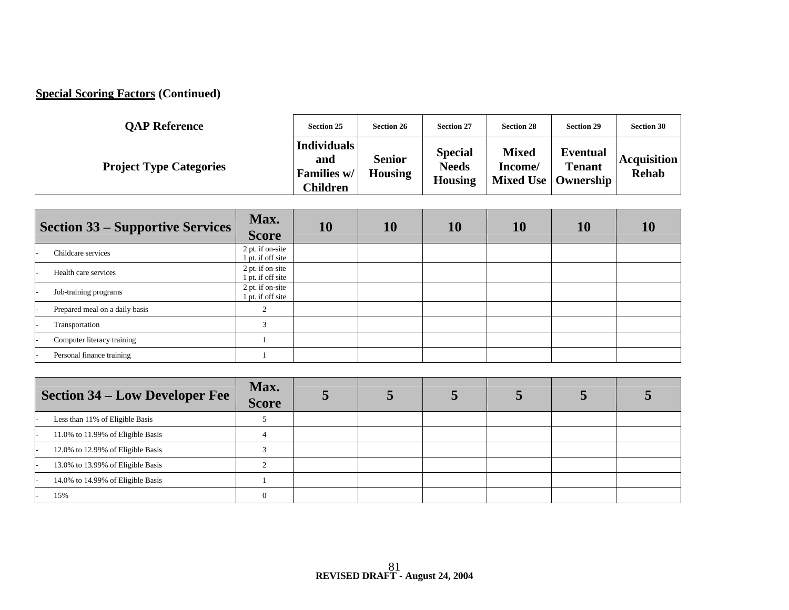# **Special Scoring Factors (Continued)**

| <b>OAP Reference</b>           | <b>Section 25</b>                                    | <b>Section 26</b>               | <b>Section 27</b>                                | <b>Section 28</b>       | <b>Section 29</b>                                         | <b>Section 30</b>                  |
|--------------------------------|------------------------------------------------------|---------------------------------|--------------------------------------------------|-------------------------|-----------------------------------------------------------|------------------------------------|
| <b>Project Type Categories</b> | <b>Individuals</b><br>and<br>Families w/<br>Children | <b>Senior</b><br><b>Housing</b> | <b>Special</b><br><b>Needs</b><br><b>Housing</b> | <b>Mixed</b><br>Income/ | <b>Eventual</b><br><b>Tenant</b><br>Mixed Use   Ownership | <b>Acquisition</b><br><b>Rehab</b> |

| <b>Section 33 – Supportive Services</b> | Max.<br><b>Score</b>                  | 10 | 10 | 10 | 10 | 10 |  |
|-----------------------------------------|---------------------------------------|----|----|----|----|----|--|
| Childcare services                      | 2 pt. if on-site<br>pt. if off site   |    |    |    |    |    |  |
| Health care services                    | 2 pt. if on-site<br>1 pt. if off site |    |    |    |    |    |  |
| Job-training programs                   | 2 pt. if on-site<br>b pt. if off site |    |    |    |    |    |  |
| Prepared meal on a daily basis          | $\overline{2}$                        |    |    |    |    |    |  |
| Transportation                          | 3                                     |    |    |    |    |    |  |
| Computer literacy training              |                                       |    |    |    |    |    |  |
| Personal finance training               |                                       |    |    |    |    |    |  |

| <b>Section 34 – Low Developer Fee</b> | Max.<br><b>Score</b> |  |  |  |
|---------------------------------------|----------------------|--|--|--|
| Less than 11% of Eligible Basis       |                      |  |  |  |
| 11.0% to 11.99% of Eligible Basis     |                      |  |  |  |
| 12.0% to 12.99% of Eligible Basis     |                      |  |  |  |
| 13.0% to 13.99% of Eligible Basis     |                      |  |  |  |
| 14.0% to 14.99% of Eligible Basis     |                      |  |  |  |
| 15%                                   |                      |  |  |  |